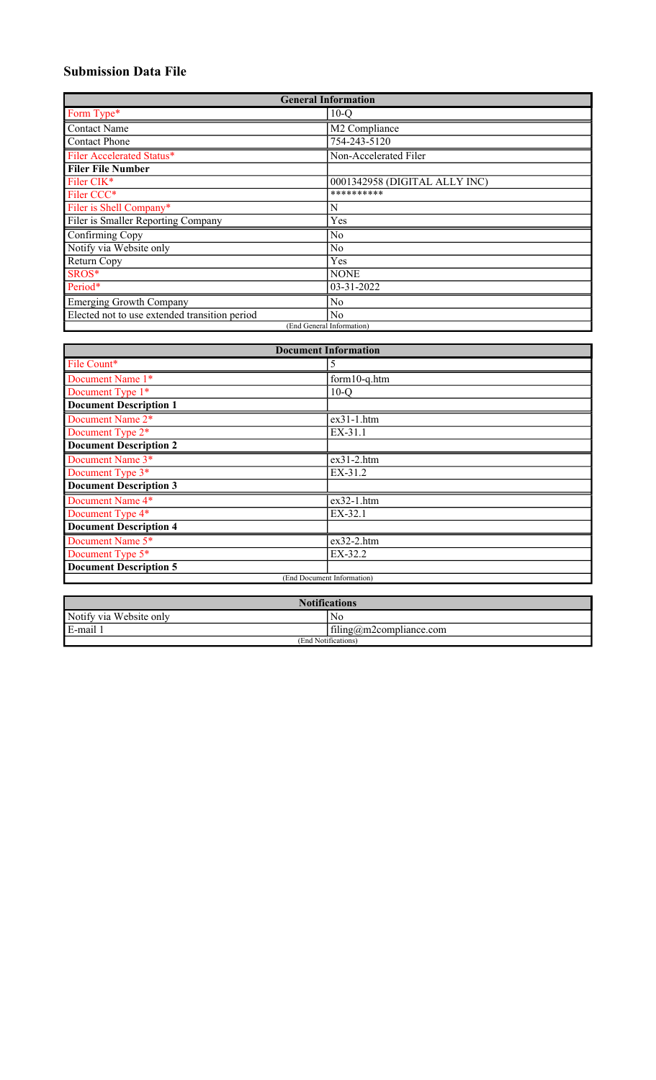# **Submission Data File**

| <b>General Information</b>                    |                               |  |  |  |  |
|-----------------------------------------------|-------------------------------|--|--|--|--|
| Form Type*                                    | $10-Q$                        |  |  |  |  |
| <b>Contact Name</b>                           | M2 Compliance                 |  |  |  |  |
| <b>Contact Phone</b>                          | 754-243-5120                  |  |  |  |  |
| Filer Accelerated Status*                     | Non-Accelerated Filer         |  |  |  |  |
| <b>Filer File Number</b>                      |                               |  |  |  |  |
| Filer CIK*                                    | 0001342958 (DIGITAL ALLY INC) |  |  |  |  |
| Filer CCC*                                    | **********                    |  |  |  |  |
| Filer is Shell Company*                       | N                             |  |  |  |  |
| Filer is Smaller Reporting Company            | Yes                           |  |  |  |  |
| Confirming Copy                               | No                            |  |  |  |  |
| Notify via Website only                       | N <sub>o</sub>                |  |  |  |  |
| Return Copy                                   | Yes                           |  |  |  |  |
| SROS*                                         | <b>NONE</b>                   |  |  |  |  |
| Period*                                       | 03-31-2022                    |  |  |  |  |
| <b>Emerging Growth Company</b>                | N <sub>o</sub>                |  |  |  |  |
| Elected not to use extended transition period | No                            |  |  |  |  |
|                                               | (End General Information)     |  |  |  |  |

| File Count*                   | 5                          |
|-------------------------------|----------------------------|
| Document Name 1*              | form10-q.htm               |
| Document Type 1*              | $10-Q$                     |
| <b>Document Description 1</b> |                            |
| Document Name 2*              | $ex31-1.htm$               |
| Document Type 2*              | EX-31.1                    |
| <b>Document Description 2</b> |                            |
| Document Name 3*              | $ex31-2.htm$               |
| Document Type 3*              | EX-31.2                    |
| <b>Document Description 3</b> |                            |
| Document Name 4*              | $ex32-1.htm$               |
| Document Type 4*              | EX-32.1                    |
| <b>Document Description 4</b> |                            |
| Document Name 5*              | $ex32-2.htm$               |
| Document Type 5*              | EX-32.2                    |
| <b>Document Description 5</b> |                            |
|                               | (End Document Information) |

| <b>Notifications</b>    |                         |  |  |  |
|-------------------------|-------------------------|--|--|--|
| Notify via Website only | N.                      |  |  |  |
| E-mail                  | filing@m2compliance.com |  |  |  |
| (End Notifications)     |                         |  |  |  |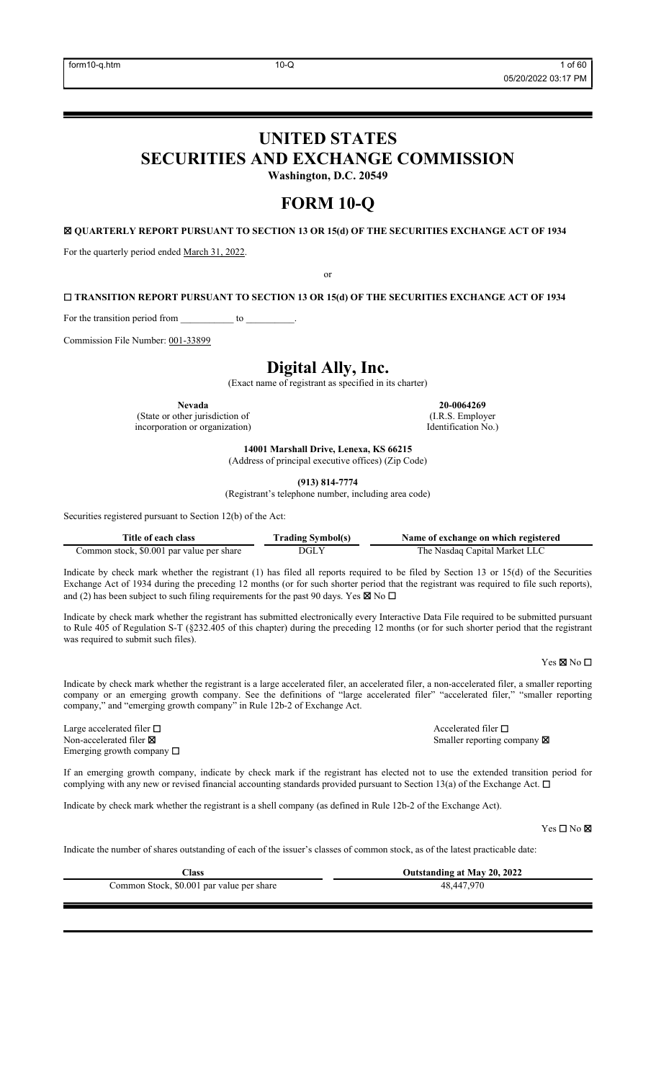# **UNITED STATES**

**SECURITIES AND EXCHANGE COMMISSION**

**Washington, D.C. 20549**

# **FORM 10-Q**

☒ **QUARTERLY REPORT PURSUANT TO SECTION 13 OR 15(d) OF THE SECURITIES EXCHANGE ACT OF 1934**

For the quarterly period ended March 31, 2022.

or

☐ **TRANSITION REPORT PURSUANT TO SECTION 13 OR 15(d) OF THE SECURITIES EXCHANGE ACT OF 1934**

For the transition period from to  $\sim$ 

Commission File Number: 001-33899

# **Digital Ally, Inc.**

(Exact name of registrant as specified in its charter)

**Nevada 20-0064269** (State or other jurisdiction of incorporation or organization)

(I.R.S. Employer Identification No.)

**14001 Marshall Drive, Lenexa, KS 66215** (Address of principal executive offices) (Zip Code)

**(913) 814-7774**

(Registrant's telephone number, including area code)

Securities registered pursuant to Section 12(b) of the Act:

| Title of each class                       | <b>Trading Symbol(s)</b> | Name of exchange on which registered |
|-------------------------------------------|--------------------------|--------------------------------------|
| Common stock, \$0.001 par value per share | DGLY                     | The Nasdag Capital Market LLC        |

Indicate by check mark whether the registrant (1) has filed all reports required to be filed by Section 13 or 15(d) of the Securities Exchange Act of 1934 during the preceding 12 months (or for such shorter period that the registrant was required to file such reports), and (2) has been subject to such filing requirements for the past 90 days. Yes  $\boxtimes$  No  $\Box$ 

Indicate by check mark whether the registrant has submitted electronically every Interactive Data File required to be submitted pursuant to Rule 405 of Regulation S-T (§232.405 of this chapter) during the preceding 12 months (or for such shorter period that the registrant was required to submit such files).

Yes ⊠ No □

Indicate by check mark whether the registrant is a large accelerated filer, an accelerated filer, a non-accelerated filer, a smaller reporting company or an emerging growth company. See the definitions of "large accelerated filer" "accelerated filer," "smaller reporting company," and "emerging growth company" in Rule 12b-2 of Exchange Act.

Large accelerated filer □ accelerated filer □ Emerging growth company  $\Box$ 

Non-accelerated filer  $\boxtimes$  Smaller reporting company  $\boxtimes$ 

If an emerging growth company, indicate by check mark if the registrant has elected not to use the extended transition period for complying with any new or revised financial accounting standards provided pursuant to Section 13(a) of the Exchange Act.  $\Box$ 

Indicate by check mark whether the registrant is a shell company (as defined in Rule 12b-2 of the Exchange Act).

Yes □ No ⊠

Indicate the number of shares outstanding of each of the issuer's classes of common stock, as of the latest practicable date:

| `lass                                     | Outstanding at May 20, 2022 |
|-------------------------------------------|-----------------------------|
| Common Stock, \$0.001 par value per share | 48,447,970                  |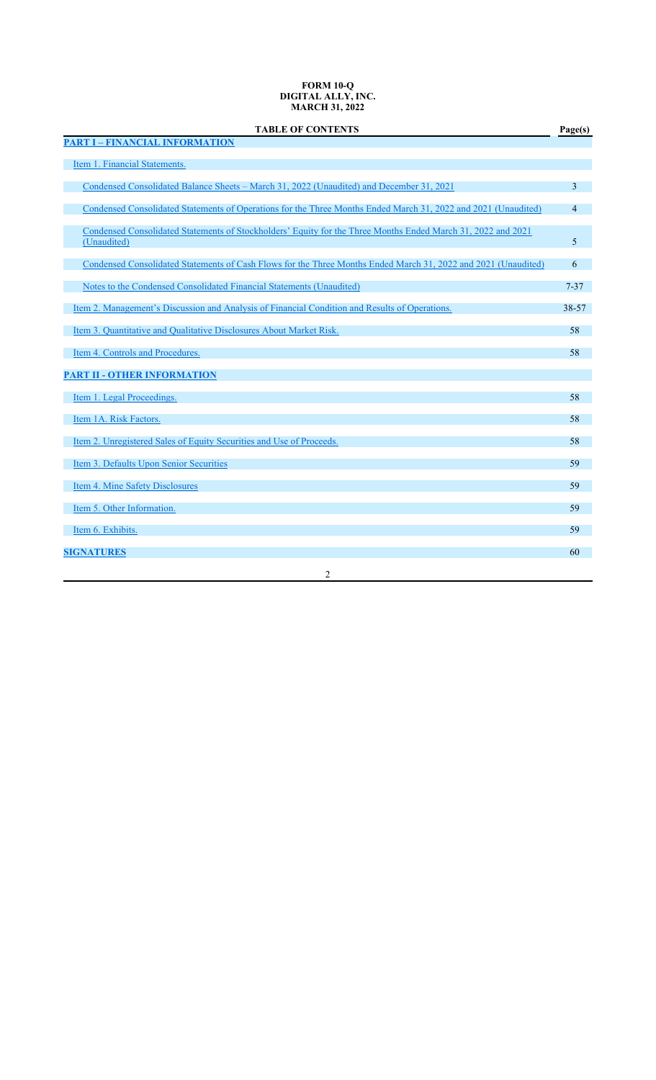## **FORM 10-Q DIGITAL ALLY, INC. MARCH 31, 2022**

| <b>TABLE OF CONTENTS</b>                                                                                                    | Page(s)  |
|-----------------------------------------------------------------------------------------------------------------------------|----------|
| <b>PART I - FINANCIAL INFORMATION</b>                                                                                       |          |
| Item 1. Financial Statements.                                                                                               |          |
| Condensed Consolidated Balance Sheets – March 31, 2022 (Unaudited) and December 31, 2021                                    | 3        |
| Condensed Consolidated Statements of Operations for the Three Months Ended March 31, 2022 and 2021 (Unaudited)              | 4        |
| Condensed Consolidated Statements of Stockholders' Equity for the Three Months Ended March 31, 2022 and 2021<br>(Unaudited) | 5        |
| Condensed Consolidated Statements of Cash Flows for the Three Months Ended March 31, 2022 and 2021 (Unaudited)              | 6        |
| Notes to the Condensed Consolidated Financial Statements (Unaudited)                                                        | $7 - 37$ |
| Item 2. Management's Discussion and Analysis of Financial Condition and Results of Operations.                              | 38-57    |
| Item 3. Quantitative and Qualitative Disclosures About Market Risk.                                                         | 58       |
| Item 4. Controls and Procedures.                                                                                            | 58       |
| <b>PART II - OTHER INFORMATION</b>                                                                                          |          |
| Item 1. Legal Proceedings.                                                                                                  | 58       |
| Item 1A. Risk Factors.                                                                                                      | 58       |
| Item 2. Unregistered Sales of Equity Securities and Use of Proceeds.                                                        | 58       |
| Item 3. Defaults Upon Senior Securities                                                                                     | 59       |
| Item 4. Mine Safety Disclosures                                                                                             | 59       |
| Item 5. Other Information.                                                                                                  | 59       |
| Item 6. Exhibits.                                                                                                           | 59       |
| <b>SIGNATURES</b>                                                                                                           | 60       |
| $\overline{2}$                                                                                                              |          |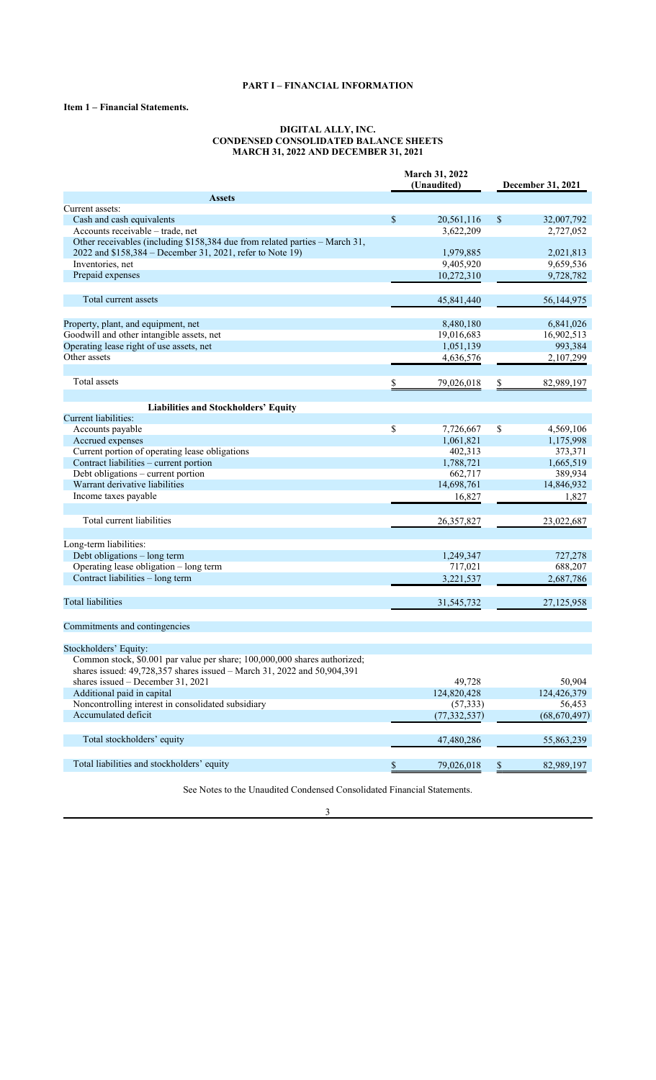# **PART I – FINANCIAL INFORMATION**

# **Item 1 – Financial Statements.**

#### **DIGITAL ALLY, INC. CONDENSED CONSOLIDATED BALANCE SHEETS MARCH 31, 2022 AND DECEMBER 31, 2021**

|                                                                             |               | March 31, 2022<br>(Unaudited) | <b>December 31, 2021</b> |              |  |  |
|-----------------------------------------------------------------------------|---------------|-------------------------------|--------------------------|--------------|--|--|
| <b>Assets</b>                                                               |               |                               |                          |              |  |  |
| Current assets:                                                             |               |                               |                          |              |  |  |
| Cash and cash equivalents                                                   | \$            | 20,561,116                    | S                        | 32,007,792   |  |  |
| Accounts receivable – trade, net                                            |               | 3,622,209                     |                          | 2,727,052    |  |  |
| Other receivables (including \$158,384 due from related parties - March 31, |               |                               |                          |              |  |  |
| 2022 and \$158,384 - December 31, 2021, refer to Note 19)                   |               | 1,979,885                     |                          | 2,021,813    |  |  |
| Inventories, net                                                            |               | 9,405,920                     |                          | 9,659,536    |  |  |
| Prepaid expenses                                                            |               | 10,272,310                    |                          | 9,728,782    |  |  |
|                                                                             |               |                               |                          |              |  |  |
| Total current assets                                                        |               | 45,841,440                    |                          | 56, 144, 975 |  |  |
|                                                                             |               |                               |                          |              |  |  |
| Property, plant, and equipment, net                                         |               |                               |                          | 6,841,026    |  |  |
|                                                                             |               | 8,480,180                     |                          |              |  |  |
| Goodwill and other intangible assets, net                                   |               | 19,016,683                    |                          | 16,902,513   |  |  |
| Operating lease right of use assets, net<br>Other assets                    |               | 1,051,139                     |                          | 993,384      |  |  |
|                                                                             |               | 4,636,576                     |                          | 2,107,299    |  |  |
|                                                                             |               |                               |                          |              |  |  |
| Total assets                                                                | S             | 79,026,018                    | S                        | 82,989,197   |  |  |
|                                                                             |               |                               |                          |              |  |  |
| <b>Liabilities and Stockholders' Equity</b>                                 |               |                               |                          |              |  |  |
| Current liabilities:                                                        |               |                               |                          |              |  |  |
| Accounts payable                                                            | \$            | 7,726,667                     | \$                       | 4,569,106    |  |  |
| Accrued expenses                                                            |               | 1,061,821                     |                          | 1,175,998    |  |  |
| Current portion of operating lease obligations                              |               | 402,313                       |                          | 373,371      |  |  |
| Contract liabilities - current portion                                      |               | 1,788,721                     |                          | 1,665,519    |  |  |
| Debt obligations - current portion                                          |               | 662,717                       |                          | 389,934      |  |  |
| Warrant derivative liabilities                                              |               | 14,698,761                    |                          | 14,846,932   |  |  |
| Income taxes payable                                                        |               | 16,827                        |                          | 1,827        |  |  |
|                                                                             |               |                               |                          |              |  |  |
| Total current liabilities                                                   |               | 26,357,827                    |                          | 23,022,687   |  |  |
|                                                                             |               |                               |                          |              |  |  |
| Long-term liabilities:                                                      |               |                               |                          |              |  |  |
| Debt obligations - long term                                                |               | 1,249,347                     |                          | 727,278      |  |  |
| Operating lease obligation - long term                                      |               | 717,021                       |                          | 688,207      |  |  |
| Contract liabilities - long term                                            |               | 3,221,537                     |                          | 2,687,786    |  |  |
|                                                                             |               |                               |                          |              |  |  |
| <b>Total liabilities</b>                                                    |               |                               |                          |              |  |  |
|                                                                             |               | 31,545,732                    |                          | 27,125,958   |  |  |
|                                                                             |               |                               |                          |              |  |  |
| Commitments and contingencies                                               |               |                               |                          |              |  |  |
|                                                                             |               |                               |                          |              |  |  |
| Stockholders' Equity:                                                       |               |                               |                          |              |  |  |
| Common stock, \$0.001 par value per share; 100,000,000 shares authorized;   |               |                               |                          |              |  |  |
| shares issued: 49,728,357 shares issued - March 31, 2022 and 50,904,391     |               |                               |                          |              |  |  |
| shares issued - December 31, 2021                                           |               | 49,728                        |                          | 50,904       |  |  |
| Additional paid in capital                                                  |               | 124,820,428                   |                          | 124,426,379  |  |  |
| Noncontrolling interest in consolidated subsidiary                          |               | (57, 333)                     |                          | 56,453       |  |  |
| Accumulated deficit                                                         |               | (77, 332, 537)                |                          | (68,670,497) |  |  |
|                                                                             |               |                               |                          |              |  |  |
| Total stockholders' equity                                                  |               | 47,480,286                    |                          | 55,863,239   |  |  |
|                                                                             |               |                               |                          |              |  |  |
| Total liabilities and stockholders' equity                                  | $\frac{1}{2}$ | 79,026,018                    | $\overline{\mathbf{z}}$  | 82,989,197   |  |  |
|                                                                             |               |                               |                          |              |  |  |

See Notes to the Unaudited Condensed Consolidated Financial Statements.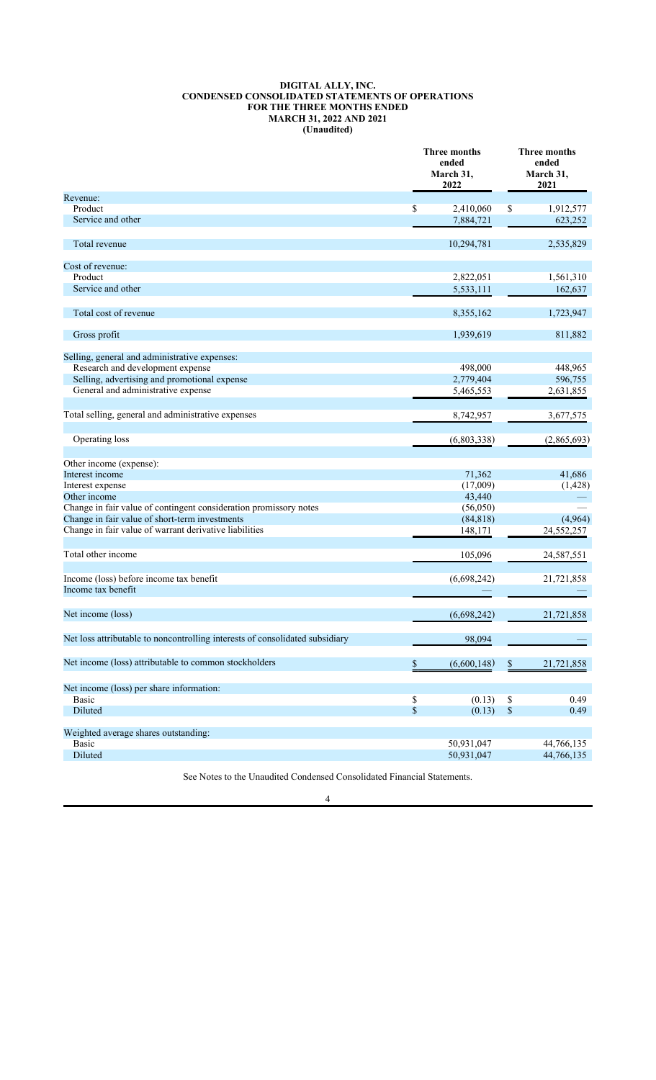#### **DIGITAL ALLY, INC. CONDENSED CONSOLIDATED STATEMENTS OF OPERATIONS FOR THE THREE MONTHS ENDED MARCH 31, 2022 AND 2021 (Unaudited)**

|                                                                              | Three months<br>ended<br>March 31,<br>2022 | <b>Three months</b><br>ended<br>March 31,<br>2021 |             |  |
|------------------------------------------------------------------------------|--------------------------------------------|---------------------------------------------------|-------------|--|
| Revenue:                                                                     |                                            |                                                   |             |  |
| Product                                                                      | \$<br>2,410,060                            | \$                                                | 1,912,577   |  |
| Service and other                                                            | 7,884,721                                  |                                                   | 623,252     |  |
| Total revenue                                                                | 10,294,781                                 |                                                   | 2,535,829   |  |
| Cost of revenue:                                                             |                                            |                                                   |             |  |
| Product                                                                      | 2,822,051                                  |                                                   | 1,561,310   |  |
| Service and other                                                            | 5,533,111                                  |                                                   | 162,637     |  |
|                                                                              |                                            |                                                   |             |  |
| Total cost of revenue                                                        | 8,355,162                                  |                                                   | 1,723,947   |  |
| Gross profit                                                                 | 1,939,619                                  |                                                   | 811,882     |  |
| Selling, general and administrative expenses:                                |                                            |                                                   |             |  |
| Research and development expense                                             | 498,000                                    |                                                   | 448,965     |  |
| Selling, advertising and promotional expense                                 | 2,779,404                                  |                                                   | 596,755     |  |
| General and administrative expense                                           | 5,465,553                                  |                                                   | 2,631,855   |  |
|                                                                              |                                            |                                                   |             |  |
| Total selling, general and administrative expenses                           | 8,742,957                                  |                                                   | 3,677,575   |  |
| Operating loss                                                               | (6,803,338)                                |                                                   | (2,865,693) |  |
| Other income (expense):                                                      |                                            |                                                   |             |  |
| Interest income                                                              | 71,362                                     |                                                   | 41,686      |  |
| Interest expense                                                             | (17,009)                                   |                                                   | (1, 428)    |  |
| Other income                                                                 | 43,440                                     |                                                   |             |  |
| Change in fair value of contingent consideration promissory notes            | (56,050)                                   |                                                   |             |  |
| Change in fair value of short-term investments                               | (84, 818)                                  |                                                   | (4,964)     |  |
| Change in fair value of warrant derivative liabilities                       | 148,171                                    |                                                   | 24,552,257  |  |
|                                                                              |                                            |                                                   |             |  |
| Total other income                                                           | 105,096                                    |                                                   | 24,587,551  |  |
| Income (loss) before income tax benefit                                      | (6,698,242)                                |                                                   | 21,721,858  |  |
| Income tax benefit                                                           |                                            |                                                   |             |  |
|                                                                              |                                            |                                                   |             |  |
| Net income (loss)                                                            | (6,698,242)                                |                                                   | 21,721,858  |  |
| Net loss attributable to noncontrolling interests of consolidated subsidiary | 98,094                                     |                                                   |             |  |
| Net income (loss) attributable to common stockholders                        | \$<br>(6,600,148)                          | $\$$                                              | 21,721,858  |  |
| Net income (loss) per share information:<br>Basic                            | \$<br>(0.13)                               | \$                                                | 0.49        |  |
| Diluted                                                                      | \$<br>(0.13)                               | $\$$                                              | 0.49        |  |
| Weighted average shares outstanding:                                         |                                            |                                                   |             |  |
| Basic                                                                        | 50,931,047                                 |                                                   | 44,766,135  |  |
| Diluted                                                                      | 50,931,047                                 |                                                   | 44,766,135  |  |
|                                                                              |                                            |                                                   |             |  |

See Notes to the Unaudited Condensed Consolidated Financial Statements.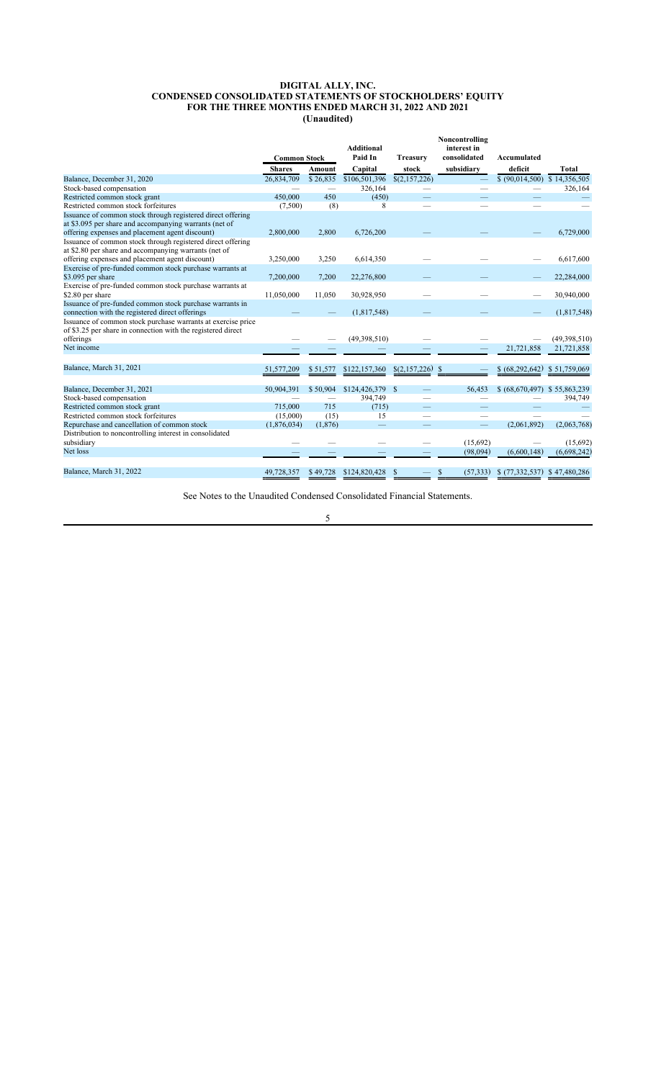#### **DIGITAL ALLY, INC. CONDENSED CONSOLIDATED STATEMENTS OF STOCKHOLDERS' EQUITY FOR THE THREE MONTHS ENDED MARCH 31, 2022 AND 2021 (Unaudited)**

|                                                              | <b>Common Stock</b> |          | <b>Additional</b><br>Paid In | <b>Treasury</b> | Noncontrolling<br>interest in<br>consolidated | Accumulated                 |              |
|--------------------------------------------------------------|---------------------|----------|------------------------------|-----------------|-----------------------------------------------|-----------------------------|--------------|
|                                                              | <b>Shares</b>       | Amount   | Capital                      | stock           | subsidiary                                    | deficit                     | Total        |
| Balance, December 31, 2020                                   | 26,834,709          | \$26,835 | \$106,501,396                | \$(2,157,226)   |                                               | \$ (90,014,500)             | \$14,356,505 |
| Stock-based compensation                                     |                     |          | 326,164                      |                 |                                               |                             | 326,164      |
| Restricted common stock grant                                | 450,000             | 450      | (450)                        |                 |                                               |                             |              |
| Restricted common stock forfeitures                          | (7,500)             | (8)      | 8                            |                 |                                               |                             |              |
| Issuance of common stock through registered direct offering  |                     |          |                              |                 |                                               |                             |              |
| at \$3.095 per share and accompanying warrants (net of       |                     |          |                              |                 |                                               |                             |              |
| offering expenses and placement agent discount)              | 2,800,000           | 2.800    | 6,726,200                    |                 |                                               |                             | 6.729,000    |
| Issuance of common stock through registered direct offering  |                     |          |                              |                 |                                               |                             |              |
| at \$2.80 per share and accompanying warrants (net of        |                     |          |                              |                 |                                               |                             |              |
| offering expenses and placement agent discount)              | 3,250,000           | 3,250    | 6,614,350                    |                 |                                               |                             | 6,617,600    |
| Exercise of pre-funded common stock purchase warrants at     |                     |          |                              |                 |                                               |                             |              |
| \$3.095 per share                                            | 7,200,000           | 7,200    | 22,276,800                   |                 |                                               |                             | 22,284,000   |
| Exercise of pre-funded common stock purchase warrants at     |                     |          |                              |                 |                                               |                             |              |
| \$2.80 per share                                             | 11,050,000          | 11,050   | 30,928,950                   |                 |                                               |                             | 30,940,000   |
| Issuance of pre-funded common stock purchase warrants in     |                     |          |                              |                 |                                               |                             |              |
| connection with the registered direct offerings              |                     |          | (1,817,548)                  |                 |                                               |                             | (1,817,548)  |
| Issuance of common stock purchase warrants at exercise price |                     |          |                              |                 |                                               |                             |              |
| of \$3.25 per share in connection with the registered direct |                     |          |                              |                 |                                               |                             |              |
| offerings                                                    |                     |          | (49,398,510)                 |                 |                                               |                             | (49,398,510) |
| Net income                                                   |                     |          |                              |                 |                                               | 21,721,858                  | 21,721,858   |
|                                                              |                     |          |                              |                 |                                               |                             |              |
| Balance, March 31, 2021                                      | 51,577,209          | \$51,577 | \$122,157,360                | \$(2,157,226)   | <sup>\$</sup>                                 | \$(68,292,642)              | \$51,759,069 |
|                                                              |                     |          |                              |                 |                                               |                             |              |
| Balance, December 31, 2021                                   | 50.904.391          | \$50,904 | \$124,426,379                | <sup>\$</sup>   | 56,453                                        | \$ (68,670,497)             | \$55,863,239 |
| Stock-based compensation                                     |                     |          | 394,749                      |                 |                                               |                             | 394,749      |
| Restricted common stock grant                                | 715,000             | 715      | (715)                        |                 |                                               |                             |              |
| Restricted common stock forfeitures                          | (15,000)            | (15)     | 15                           |                 | $\overline{\phantom{0}}$                      |                             |              |
| Repurchase and cancellation of common stock                  | (1,876,034)         | (1,876)  |                              |                 |                                               | (2,061,892)                 | (2,063,768)  |
| Distribution to noncontrolling interest in consolidated      |                     |          |                              |                 |                                               |                             |              |
| subsidiary                                                   |                     |          |                              |                 | (15,692)                                      |                             | (15,692)     |
| Net loss                                                     |                     |          |                              |                 | (98,094)                                      | (6,600,148)                 | (6,698,242)  |
|                                                              |                     |          |                              |                 |                                               |                             |              |
| Balance, March 31, 2022                                      | 49,728,357          | \$49,728 | \$124,820,428                | \$              | \$<br>(57, 333)                               | $(77,332,537)$ \$47,480,286 |              |
|                                                              |                     |          |                              |                 |                                               |                             |              |

See Notes to the Unaudited Condensed Consolidated Financial Statements.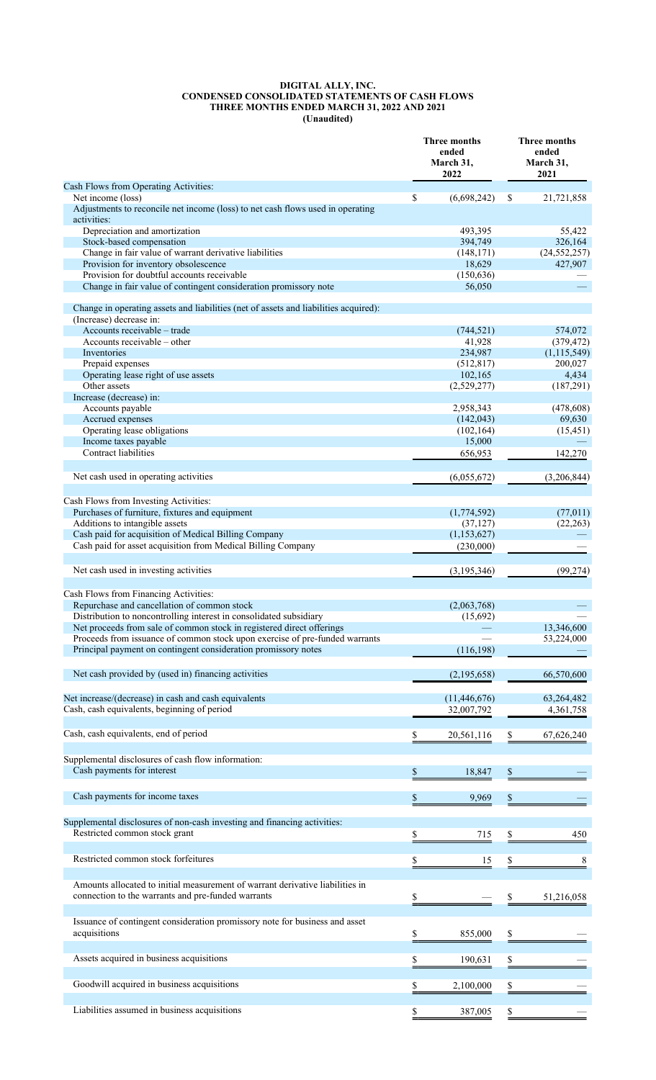#### **DIGITAL ALLY, INC. CONDENSED CONSOLIDATED STATEMENTS OF CASH FLOWS THREE MONTHS ENDED MARCH 31, 2022 AND 2021 (Unaudited)**

|                                                                                                                    | Three months<br>ended<br>March 31.<br>2022 |                          |    | <b>Three months</b><br>ended<br>March 31,<br>2021 |
|--------------------------------------------------------------------------------------------------------------------|--------------------------------------------|--------------------------|----|---------------------------------------------------|
| Cash Flows from Operating Activities:                                                                              |                                            |                          |    |                                                   |
| Net income (loss)<br>Adjustments to reconcile net income (loss) to net cash flows used in operating<br>activities: | \$                                         | (6,698,242)              | \$ | 21,721,858                                        |
| Depreciation and amortization                                                                                      |                                            | 493,395                  |    | 55,422                                            |
| Stock-based compensation                                                                                           |                                            | 394,749                  |    | 326,164                                           |
| Change in fair value of warrant derivative liabilities                                                             |                                            | (148, 171)               |    | (24, 552, 257)                                    |
| Provision for inventory obsolescence                                                                               |                                            | 18,629                   |    | 427,907                                           |
| Provision for doubtful accounts receivable                                                                         |                                            | (150, 636)               |    |                                                   |
| Change in fair value of contingent consideration promissory note                                                   |                                            | 56,050                   |    |                                                   |
| Change in operating assets and liabilities (net of assets and liabilities acquired):<br>(Increase) decrease in:    |                                            |                          |    |                                                   |
| Accounts receivable – trade                                                                                        |                                            | (744, 521)               |    | 574,072                                           |
| Accounts receivable – other                                                                                        |                                            | 41,928                   |    | (379, 472)                                        |
| Inventories                                                                                                        |                                            | 234,987                  |    | (1,115,549)                                       |
| Prepaid expenses                                                                                                   |                                            | (512, 817)               |    | 200,027                                           |
| Operating lease right of use assets                                                                                |                                            | 102,165                  |    | 4,434                                             |
| Other assets                                                                                                       |                                            | (2,529,277)              |    | (187,291)                                         |
| Increase (decrease) in:                                                                                            |                                            |                          |    |                                                   |
| Accounts payable                                                                                                   |                                            | 2,958,343                |    | (478, 608)                                        |
| Accrued expenses<br>Operating lease obligations                                                                    |                                            | (142, 043)<br>(102, 164) |    | 69,630                                            |
| Income taxes payable                                                                                               |                                            | 15,000                   |    | (15, 451)                                         |
| Contract liabilities                                                                                               |                                            | 656,953                  |    | 142,270                                           |
|                                                                                                                    |                                            |                          |    |                                                   |
| Net cash used in operating activities                                                                              |                                            | (6,055,672)              |    | (3,206,844)                                       |
| Cash Flows from Investing Activities:                                                                              |                                            |                          |    |                                                   |
| Purchases of furniture, fixtures and equipment                                                                     |                                            | (1,774,592)              |    | (77, 011)                                         |
| Additions to intangible assets<br>Cash paid for acquisition of Medical Billing Company                             |                                            | (37, 127)<br>(1,153,627) |    | (22, 263)                                         |
| Cash paid for asset acquisition from Medical Billing Company                                                       |                                            |                          |    |                                                   |
|                                                                                                                    |                                            | (230,000)                |    |                                                   |
| Net cash used in investing activities                                                                              |                                            | (3, 195, 346)            |    | (99, 274)                                         |
| Cash Flows from Financing Activities:                                                                              |                                            |                          |    |                                                   |
| Repurchase and cancellation of common stock                                                                        |                                            | (2,063,768)              |    |                                                   |
| Distribution to noncontrolling interest in consolidated subsidiary                                                 |                                            | (15,692)                 |    |                                                   |
| Net proceeds from sale of common stock in registered direct offerings                                              |                                            |                          |    | 13,346,600                                        |
| Proceeds from issuance of common stock upon exercise of pre-funded warrants                                        |                                            |                          |    | 53,224,000                                        |
| Principal payment on contingent consideration promissory notes                                                     |                                            | (116, 198)               |    |                                                   |
| Net cash provided by (used in) financing activities                                                                |                                            | (2,195,658)              |    | 66,570,600                                        |
| Net increase/(decrease) in cash and cash equivalents                                                               |                                            | (11, 446, 676)           |    |                                                   |
| Cash, cash equivalents, beginning of period                                                                        |                                            | 32,007,792               |    | 63,264,482<br>4,361,758                           |
|                                                                                                                    |                                            |                          |    |                                                   |
| Cash, cash equivalents, end of period                                                                              | \$                                         | 20,561,116               | \$ | 67,626,240                                        |
| Supplemental disclosures of cash flow information:                                                                 |                                            |                          |    |                                                   |
| Cash payments for interest                                                                                         | \$                                         | 18,847                   | \$ |                                                   |
| Cash payments for income taxes                                                                                     | \$                                         | 9,969                    | \$ |                                                   |
|                                                                                                                    |                                            |                          |    |                                                   |
| Supplemental disclosures of non-cash investing and financing activities:                                           |                                            |                          |    |                                                   |
| Restricted common stock grant                                                                                      | \$                                         | 715                      | \$ | 450                                               |
|                                                                                                                    |                                            |                          |    |                                                   |
| Restricted common stock forfeitures                                                                                | \$                                         | 15                       | \$ | 8                                                 |
| Amounts allocated to initial measurement of warrant derivative liabilities in                                      |                                            |                          |    |                                                   |
| connection to the warrants and pre-funded warrants                                                                 | \$                                         |                          | \$ | 51,216,058                                        |
|                                                                                                                    |                                            |                          |    |                                                   |
| Issuance of contingent consideration promissory note for business and asset                                        |                                            |                          |    |                                                   |
| acquisitions                                                                                                       | \$                                         | 855,000                  | \$ |                                                   |
|                                                                                                                    |                                            |                          |    |                                                   |
| Assets acquired in business acquisitions                                                                           | \$                                         | 190,631                  |    |                                                   |
|                                                                                                                    |                                            |                          |    |                                                   |
| Goodwill acquired in business acquisitions                                                                         | \$                                         | 2,100,000                |    |                                                   |
| Liabilities assumed in business acquisitions                                                                       | \$                                         | 387,005                  | \$ |                                                   |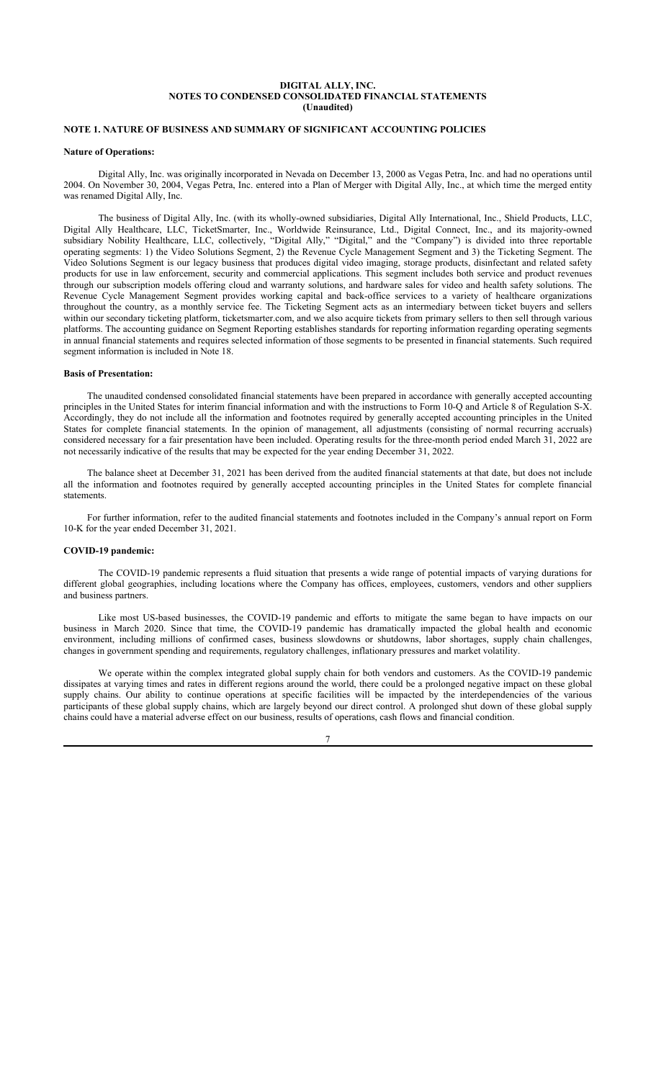#### **DIGITAL ALLY, INC. NOTES TO CONDENSED CONSOLIDATED FINANCIAL STATEMENTS (Unaudited)**

## **NOTE 1. NATURE OF BUSINESS AND SUMMARY OF SIGNIFICANT ACCOUNTING POLICIES**

## **Nature of Operations:**

Digital Ally, Inc. was originally incorporated in Nevada on December 13, 2000 as Vegas Petra, Inc. and had no operations until 2004. On November 30, 2004, Vegas Petra, Inc. entered into a Plan of Merger with Digital Ally, Inc., at which time the merged entity was renamed Digital Ally, Inc.

The business of Digital Ally, Inc. (with its wholly-owned subsidiaries, Digital Ally International, Inc., Shield Products, LLC, Digital Ally Healthcare, LLC, TicketSmarter, Inc., Worldwide Reinsurance, Ltd., Digital Connect, Inc., and its majority-owned subsidiary Nobility Healthcare, LLC, collectively, "Digital Ally," "Digital," and the "Company") is divided into three reportable operating segments: 1) the Video Solutions Segment, 2) the Revenue Cycle Management Segment and 3) the Ticketing Segment. The Video Solutions Segment is our legacy business that produces digital video imaging, storage products, disinfectant and related safety products for use in law enforcement, security and commercial applications. This segment includes both service and product revenues through our subscription models offering cloud and warranty solutions, and hardware sales for video and health safety solutions. The Revenue Cycle Management Segment provides working capital and back-office services to a variety of healthcare organizations throughout the country, as a monthly service fee. The Ticketing Segment acts as an intermediary between ticket buyers and sellers within our secondary ticketing platform, ticketsmarter.com, and we also acquire tickets from primary sellers to then sell through various platforms. The accounting guidance on Segment Reporting establishes standards for reporting information regarding operating segments in annual financial statements and requires selected information of those segments to be presented in financial statements. Such required segment information is included in Note 18.

## **Basis of Presentation:**

The unaudited condensed consolidated financial statements have been prepared in accordance with generally accepted accounting principles in the United States for interim financial information and with the instructions to Form 10-Q and Article 8 of Regulation S-X. Accordingly, they do not include all the information and footnotes required by generally accepted accounting principles in the United States for complete financial statements. In the opinion of management, all adjustments (consisting of normal recurring accruals) considered necessary for a fair presentation have been included. Operating results for the three-month period ended March 31, 2022 are not necessarily indicative of the results that may be expected for the year ending December 31, 2022.

The balance sheet at December 31, 2021 has been derived from the audited financial statements at that date, but does not include all the information and footnotes required by generally accepted accounting principles in the United States for complete financial statements.

For further information, refer to the audited financial statements and footnotes included in the Company's annual report on Form 10-K for the year ended December 31, 2021.

## **COVID-19 pandemic:**

The COVID-19 pandemic represents a fluid situation that presents a wide range of potential impacts of varying durations for different global geographies, including locations where the Company has offices, employees, customers, vendors and other suppliers and business partners.

Like most US-based businesses, the COVID-19 pandemic and efforts to mitigate the same began to have impacts on our business in March 2020. Since that time, the COVID-19 pandemic has dramatically impacted the global health and economic environment, including millions of confirmed cases, business slowdowns or shutdowns, labor shortages, supply chain challenges, changes in government spending and requirements, regulatory challenges, inflationary pressures and market volatility.

We operate within the complex integrated global supply chain for both vendors and customers. As the COVID-19 pandemic dissipates at varying times and rates in different regions around the world, there could be a prolonged negative impact on these global supply chains. Our ability to continue operations at specific facilities will be impacted by the interdependencies of the various participants of these global supply chains, which are largely beyond our direct control. A prolonged shut down of these global supply chains could have a material adverse effect on our business, results of operations, cash flows and financial condition.

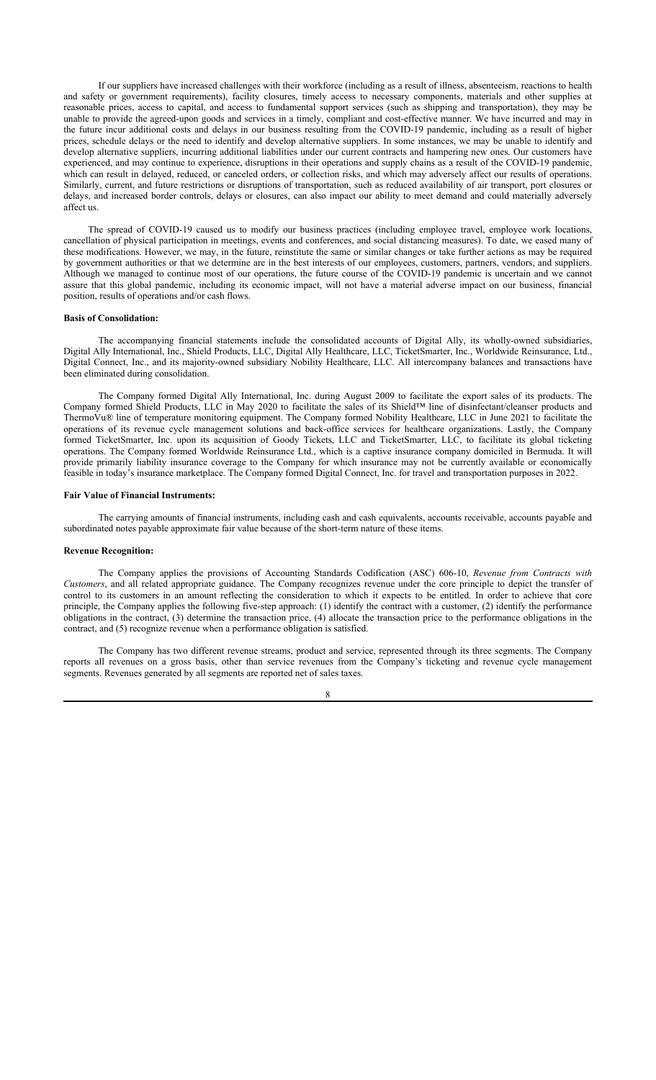If our suppliers have increased challenges with their workforce (including as a result of illness, absenteeism, reactions to health and safety or government requirements), facility closures, timely access to necessary components, materials and other supplies at reasonable prices, access to capital, and access to fundamental support services (such as shipping and transportation), they may be unable to provide the agreed-upon goods and services in a timely, compliant and cost-effective manner. We have incurred and may in the future incur additional costs and delays in our business resulting from the COVID-19 pandemic, including as a result of higher prices, schedule delays or the need to identify and develop alternative suppliers. In some instances, we may be unable to identify and develop alternative suppliers, incurring additional liabilities under our current contracts and hampering new ones. Our customers have experienced, and may continue to experience, disruptions in their operations and supply chains as a result of the COVID-19 pandemic, which can result in delayed, reduced, or canceled orders, or collection risks, and which may adversely affect our results of operations. Similarly, current, and future restrictions or disruptions of transportation, such as reduced availability of air transport, port closures or delays, and increased border controls, delays or closures, can also impact our ability to meet demand and could materially adversely affect us.

The spread of COVID-19 caused us to modify our business practices (including employee travel, employee work locations, cancellation of physical participation in meetings, events and conferences, and social distancing measures). To date, we eased many of these modifications. However, we may, in the future, reinstitute the same or similar changes or take further actions as may be required by government authorities or that we determine are in the best interests of our employees, customers, partners, vendors, and suppliers. Although we managed to continue most of our operations, the future course of the COVID-19 pandemic is uncertain and we cannot assure that this global pandemic, including its economic impact, will not have a material adverse impact on our business, financial position, results of operations and/or cash flows.

## **Basis of Consolidation:**

The accompanying financial statements include the consolidated accounts of Digital Ally, its wholly-owned subsidiaries, Digital Ally International, Inc., Shield Products, LLC, Digital Ally Healthcare, LLC, TicketSmarter, Inc., Worldwide Reinsurance, Ltd., Digital Connect, Inc., and its majority-owned subsidiary Nobility Healthcare, LLC. All intercompany balances and transactions have been eliminated during consolidation.

The Company formed Digital Ally International, Inc. during August 2009 to facilitate the export sales of its products. The Company formed Shield Products, LLC in May 2020 to facilitate the sales of its Shield™ line of disinfectant/cleanser products and ThermoVu® line of temperature monitoring equipment. The Company formed Nobility Healthcare, LLC in June 2021 to facilitate the operations of its revenue cycle management solutions and back-office services for healthcare organizations. Lastly, the Company formed TicketSmarter, Inc. upon its acquisition of Goody Tickets, LLC and TicketSmarter, LLC, to facilitate its global ticketing operations. The Company formed Worldwide Reinsurance Ltd., which is a captive insurance company domiciled in Bermuda. It will provide primarily liability insurance coverage to the Company for which insurance may not be currently available or economically feasible in today's insurance marketplace. The Company formed Digital Connect, Inc. for travel and transportation purposes in 2022.

## **Fair Value of Financial Instruments:**

The carrying amounts of financial instruments, including cash and cash equivalents, accounts receivable, accounts payable and subordinated notes payable approximate fair value because of the short-term nature of these items.

## **Revenue Recognition:**

The Company applies the provisions of Accounting Standards Codification (ASC) 606-10, *Revenue from Contracts with Customers*, and all related appropriate guidance. The Company recognizes revenue under the core principle to depict the transfer of control to its customers in an amount reflecting the consideration to which it expects to be entitled. In order to achieve that core principle, the Company applies the following five-step approach: (1) identify the contract with a customer, (2) identify the performance obligations in the contract, (3) determine the transaction price, (4) allocate the transaction price to the performance obligations in the contract, and (5) recognize revenue when a performance obligation is satisfied.

The Company has two different revenue streams, product and service, represented through its three segments. The Company reports all revenues on a gross basis, other than service revenues from the Company's ticketing and revenue cycle management segments. Revenues generated by all segments are reported net of sales taxes.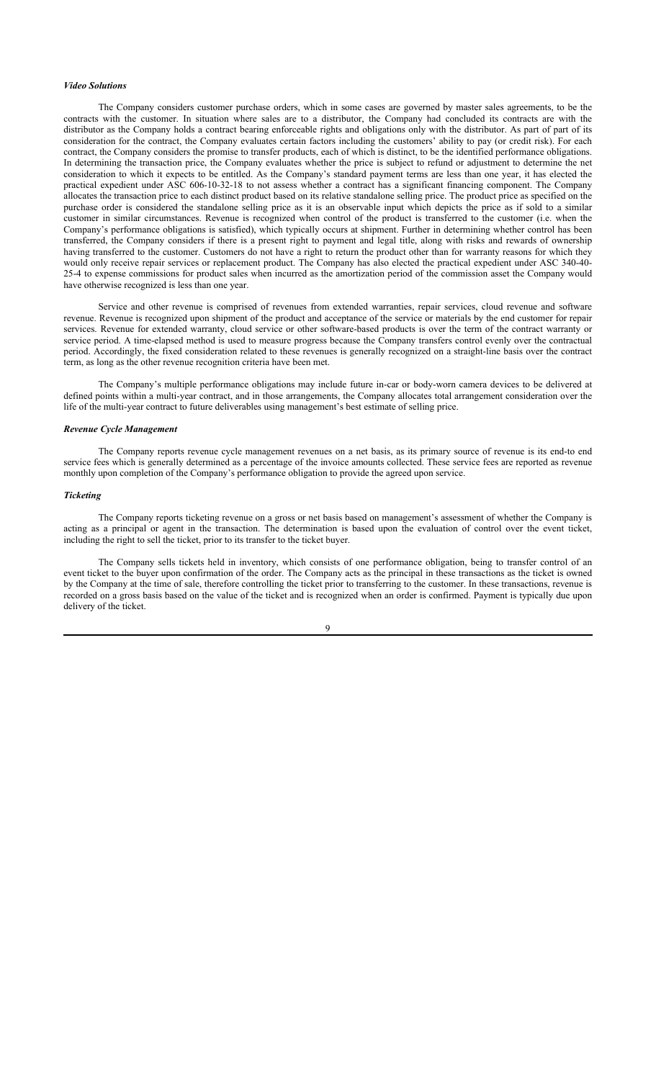#### *Video Solutions*

The Company considers customer purchase orders, which in some cases are governed by master sales agreements, to be the contracts with the customer. In situation where sales are to a distributor, the Company had concluded its contracts are with the distributor as the Company holds a contract bearing enforceable rights and obligations only with the distributor. As part of part of its consideration for the contract, the Company evaluates certain factors including the customers' ability to pay (or credit risk). For each contract, the Company considers the promise to transfer products, each of which is distinct, to be the identified performance obligations. In determining the transaction price, the Company evaluates whether the price is subject to refund or adjustment to determine the net consideration to which it expects to be entitled. As the Company's standard payment terms are less than one year, it has elected the practical expedient under ASC 606-10-32-18 to not assess whether a contract has a significant financing component. The Company allocates the transaction price to each distinct product based on its relative standalone selling price. The product price as specified on the purchase order is considered the standalone selling price as it is an observable input which depicts the price as if sold to a similar customer in similar circumstances. Revenue is recognized when control of the product is transferred to the customer (i.e. when the Company's performance obligations is satisfied), which typically occurs at shipment. Further in determining whether control has been transferred, the Company considers if there is a present right to payment and legal title, along with risks and rewards of ownership having transferred to the customer. Customers do not have a right to return the product other than for warranty reasons for which they would only receive repair services or replacement product. The Company has also elected the practical expedient under ASC 340-40- 25-4 to expense commissions for product sales when incurred as the amortization period of the commission asset the Company would have otherwise recognized is less than one year.

Service and other revenue is comprised of revenues from extended warranties, repair services, cloud revenue and software revenue. Revenue is recognized upon shipment of the product and acceptance of the service or materials by the end customer for repair services. Revenue for extended warranty, cloud service or other software-based products is over the term of the contract warranty or service period. A time-elapsed method is used to measure progress because the Company transfers control evenly over the contractual period. Accordingly, the fixed consideration related to these revenues is generally recognized on a straight-line basis over the contract term, as long as the other revenue recognition criteria have been met.

The Company's multiple performance obligations may include future in-car or body-worn camera devices to be delivered at defined points within a multi-year contract, and in those arrangements, the Company allocates total arrangement consideration over the life of the multi-year contract to future deliverables using management's best estimate of selling price.

#### *Revenue Cycle Management*

The Company reports revenue cycle management revenues on a net basis, as its primary source of revenue is its end-to end service fees which is generally determined as a percentage of the invoice amounts collected. These service fees are reported as revenue monthly upon completion of the Company's performance obligation to provide the agreed upon service.

## *Ticketing*

The Company reports ticketing revenue on a gross or net basis based on management's assessment of whether the Company is acting as a principal or agent in the transaction. The determination is based upon the evaluation of control over the event ticket, including the right to sell the ticket, prior to its transfer to the ticket buyer.

The Company sells tickets held in inventory, which consists of one performance obligation, being to transfer control of an event ticket to the buyer upon confirmation of the order. The Company acts as the principal in these transactions as the ticket is owned by the Company at the time of sale, therefore controlling the ticket prior to transferring to the customer. In these transactions, revenue is recorded on a gross basis based on the value of the ticket and is recognized when an order is confirmed. Payment is typically due upon delivery of the ticket.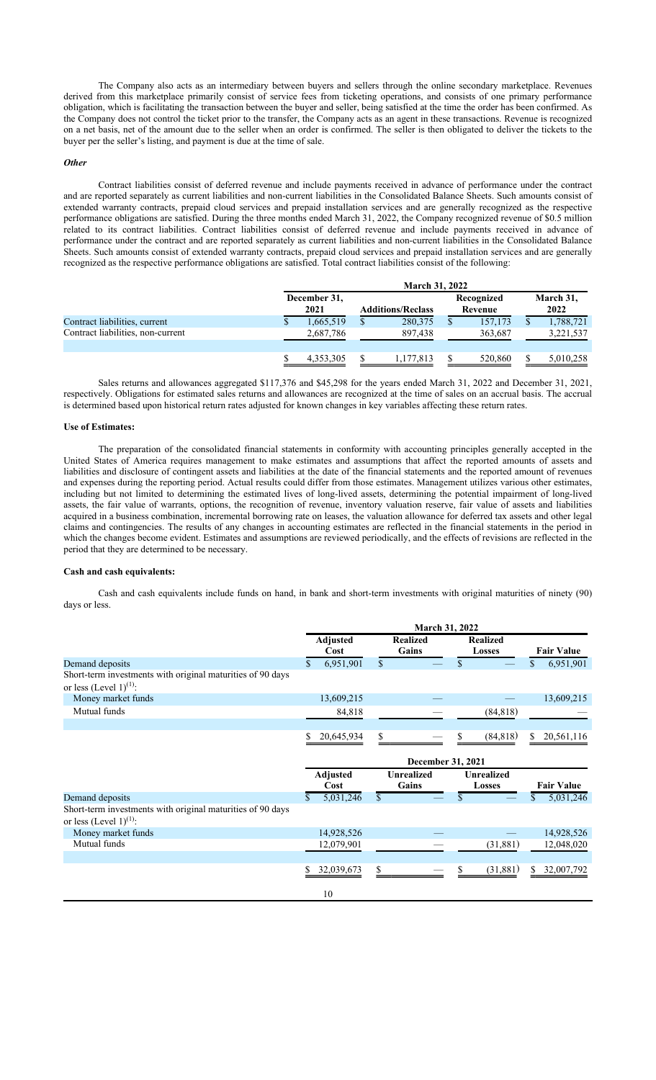The Company also acts as an intermediary between buyers and sellers through the online secondary marketplace. Revenues derived from this marketplace primarily consist of service fees from ticketing operations, and consists of one primary performance obligation, which is facilitating the transaction between the buyer and seller, being satisfied at the time the order has been confirmed. As the Company does not control the ticket prior to the transfer, the Company acts as an agent in these transactions. Revenue is recognized on a net basis, net of the amount due to the seller when an order is confirmed. The seller is then obligated to deliver the tickets to the buyer per the seller's listing, and payment is due at the time of sale.

## *Other*

Contract liabilities consist of deferred revenue and include payments received in advance of performance under the contract and are reported separately as current liabilities and non-current liabilities in the Consolidated Balance Sheets. Such amounts consist of extended warranty contracts, prepaid cloud services and prepaid installation services and are generally recognized as the respective performance obligations are satisfied. During the three months ended March 31, 2022, the Company recognized revenue of \$0.5 million related to its contract liabilities. Contract liabilities consist of deferred revenue and include payments received in advance of performance under the contract and are reported separately as current liabilities and non-current liabilities in the Consolidated Balance Sheets. Such amounts consist of extended warranty contracts, prepaid cloud services and prepaid installation services and are generally recognized as the respective performance obligations are satisfied. Total contract liabilities consist of the following:

|                                   |  | <b>March 31, 2022</b> |                          |           |                       |         |  |                   |  |  |  |  |  |
|-----------------------------------|--|-----------------------|--------------------------|-----------|-----------------------|---------|--|-------------------|--|--|--|--|--|
|                                   |  | December 31,<br>2021  | <b>Additions/Reclass</b> |           | Recognized<br>Revenue |         |  | March 31,<br>2022 |  |  |  |  |  |
| Contract liabilities, current     |  | 1,665,519             |                          | 280,375   |                       | 157,173 |  | 1,788,721         |  |  |  |  |  |
| Contract liabilities, non-current |  | 2,687,786             |                          | 897.438   |                       | 363,687 |  | 3,221,537         |  |  |  |  |  |
|                                   |  | 4,353,305             |                          | 1,177,813 |                       | 520,860 |  | 5,010,258         |  |  |  |  |  |

Sales returns and allowances aggregated \$117,376 and \$45,298 for the years ended March 31, 2022 and December 31, 2021, respectively. Obligations for estimated sales returns and allowances are recognized at the time of sales on an accrual basis. The accrual is determined based upon historical return rates adjusted for known changes in key variables affecting these return rates.

## **Use of Estimates:**

The preparation of the consolidated financial statements in conformity with accounting principles generally accepted in the United States of America requires management to make estimates and assumptions that affect the reported amounts of assets and liabilities and disclosure of contingent assets and liabilities at the date of the financial statements and the reported amount of revenues and expenses during the reporting period. Actual results could differ from those estimates. Management utilizes various other estimates, including but not limited to determining the estimated lives of long-lived assets, determining the potential impairment of long-lived assets, the fair value of warrants, options, the recognition of revenue, inventory valuation reserve, fair value of assets and liabilities acquired in a business combination, incremental borrowing rate on leases, the valuation allowance for deferred tax assets and other legal claims and contingencies. The results of any changes in accounting estimates are reflected in the financial statements in the period in which the changes become evident. Estimates and assumptions are reviewed periodically, and the effects of revisions are reflected in the period that they are determined to be necessary.

#### **Cash and cash equivalents:**

Cash and cash equivalents include funds on hand, in bank and short-term investments with original maturities of ninety (90) days or less.

|                                                            |                         |            |                 | March 31, 2022    |                           |                   |                   |                   |
|------------------------------------------------------------|-------------------------|------------|-----------------|-------------------|---------------------------|-------------------|-------------------|-------------------|
|                                                            | <b>Adjusted</b><br>Cost |            | <b>Realized</b> |                   | <b>Realized</b><br>Losses |                   | <b>Fair Value</b> |                   |
| Demand deposits                                            | \$                      | 6,951,901  | \$              |                   | \$                        |                   | \$                | 6,951,901         |
| Short-term investments with original maturities of 90 days |                         |            |                 |                   |                           |                   |                   |                   |
| or less (Level $1)^{(1)}$ :                                |                         |            |                 |                   |                           |                   |                   |                   |
| Money market funds                                         |                         | 13,609,215 |                 |                   |                           |                   |                   | 13,609,215        |
| Mutual funds                                               |                         | 84,818     |                 |                   |                           | (84, 818)         |                   |                   |
|                                                            |                         |            |                 |                   |                           |                   |                   |                   |
|                                                            | S                       | 20,645,934 | S               |                   | S                         | (84, 818)         | S                 | 20,561,116        |
|                                                            |                         |            |                 |                   |                           |                   |                   |                   |
|                                                            |                         |            |                 | December 31, 2021 |                           |                   |                   |                   |
|                                                            |                         | Adjusted   |                 | <b>Unrealized</b> |                           | <b>Unrealized</b> |                   |                   |
|                                                            |                         | Cost       |                 | Gains             |                           | <b>Losses</b>     |                   | <b>Fair Value</b> |
| Demand deposits                                            | \$                      | 5,031,246  | \$              |                   | \$                        |                   | \$                | 5,031,246         |
| Short-term investments with original maturities of 90 days |                         |            |                 |                   |                           |                   |                   |                   |
| or less (Level $1$ ) <sup>(1)</sup> :                      |                         |            |                 |                   |                           |                   |                   |                   |
| Money market funds                                         |                         | 14,928,526 |                 |                   |                           |                   |                   | 14,928,526        |
| Mutual funds                                               |                         | 12,079,901 |                 |                   |                           | (31,881)          |                   | 12,048,020        |
|                                                            |                         |            |                 |                   |                           |                   |                   |                   |
|                                                            | \$                      | 32,039,673 | \$              |                   |                           | (31,881)          | \$                | 32,007,792        |
|                                                            |                         |            |                 |                   |                           |                   |                   |                   |
|                                                            |                         | 10         |                 |                   |                           |                   |                   |                   |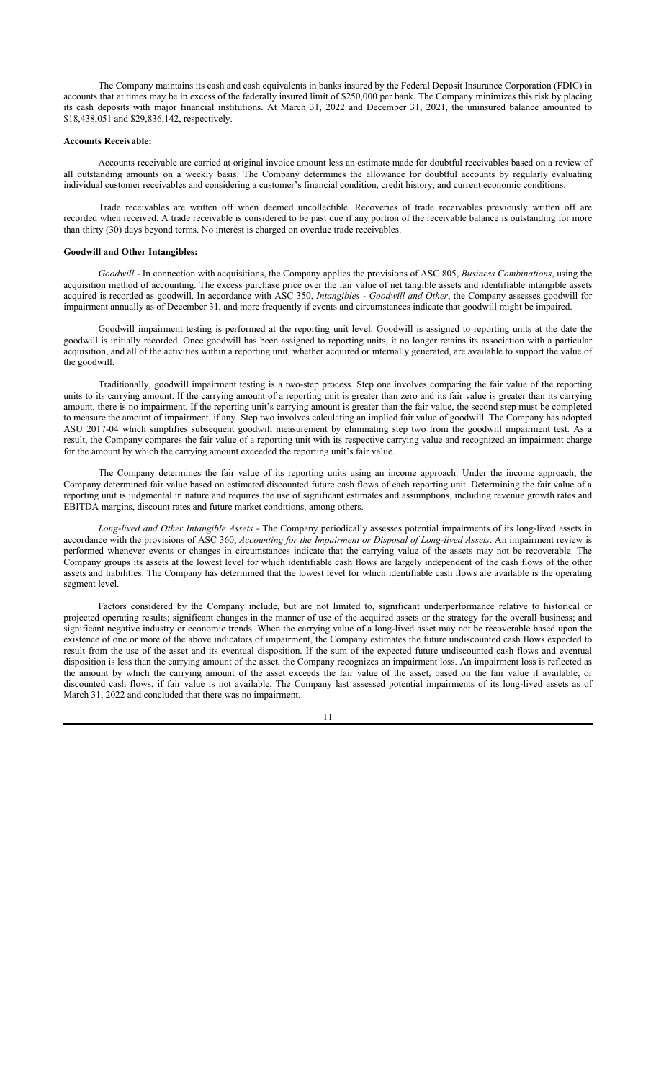The Company maintains its cash and cash equivalents in banks insured by the Federal Deposit Insurance Corporation (FDIC) in accounts that at times may be in excess of the federally insured limit of \$250,000 per bank. The Company minimizes this risk by placing its cash deposits with major financial institutions. At March 31, 2022 and December 31, 2021, the uninsured balance amounted to \$18,438,051 and \$29,836,142, respectively.

#### **Accounts Receivable:**

Accounts receivable are carried at original invoice amount less an estimate made for doubtful receivables based on a review of all outstanding amounts on a weekly basis. The Company determines the allowance for doubtful accounts by regularly evaluating individual customer receivables and considering a customer's financial condition, credit history, and current economic conditions.

Trade receivables are written off when deemed uncollectible. Recoveries of trade receivables previously written off are recorded when received. A trade receivable is considered to be past due if any portion of the receivable balance is outstanding for more than thirty (30) days beyond terms. No interest is charged on overdue trade receivables.

## **Goodwill and Other Intangibles:**

*Goodwill* - In connection with acquisitions, the Company applies the provisions of ASC 805, *Business Combinations*, using the acquisition method of accounting. The excess purchase price over the fair value of net tangible assets and identifiable intangible assets acquired is recorded as goodwill. In accordance with ASC 350, *Intangibles - Goodwill and Other*, the Company assesses goodwill for impairment annually as of December 31, and more frequently if events and circumstances indicate that goodwill might be impaired.

Goodwill impairment testing is performed at the reporting unit level. Goodwill is assigned to reporting units at the date the goodwill is initially recorded. Once goodwill has been assigned to reporting units, it no longer retains its association with a particular acquisition, and all of the activities within a reporting unit, whether acquired or internally generated, are available to support the value of the goodwill.

Traditionally, goodwill impairment testing is a two-step process. Step one involves comparing the fair value of the reporting units to its carrying amount. If the carrying amount of a reporting unit is greater than zero and its fair value is greater than its carrying amount, there is no impairment. If the reporting unit's carrying amount is greater than the fair value, the second step must be completed to measure the amount of impairment, if any. Step two involves calculating an implied fair value of goodwill. The Company has adopted ASU 2017-04 which simplifies subsequent goodwill measurement by eliminating step two from the goodwill impairment test. As a result, the Company compares the fair value of a reporting unit with its respective carrying value and recognized an impairment charge for the amount by which the carrying amount exceeded the reporting unit's fair value.

The Company determines the fair value of its reporting units using an income approach. Under the income approach, the Company determined fair value based on estimated discounted future cash flows of each reporting unit. Determining the fair value of a reporting unit is judgmental in nature and requires the use of significant estimates and assumptions, including revenue growth rates and EBITDA margins, discount rates and future market conditions, among others.

*Long-lived and Other Intangible Assets -* The Company periodically assesses potential impairments of its long-lived assets in accordance with the provisions of ASC 360, *Accounting for the Impairment or Disposal of Long-lived Assets*. An impairment review is performed whenever events or changes in circumstances indicate that the carrying value of the assets may not be recoverable. The Company groups its assets at the lowest level for which identifiable cash flows are largely independent of the cash flows of the other assets and liabilities. The Company has determined that the lowest level for which identifiable cash flows are available is the operating segment level.

Factors considered by the Company include, but are not limited to, significant underperformance relative to historical or projected operating results; significant changes in the manner of use of the acquired assets or the strategy for the overall business; and significant negative industry or economic trends. When the carrying value of a long-lived asset may not be recoverable based upon the existence of one or more of the above indicators of impairment, the Company estimates the future undiscounted cash flows expected to result from the use of the asset and its eventual disposition. If the sum of the expected future undiscounted cash flows and eventual disposition is less than the carrying amount of the asset, the Company recognizes an impairment loss. An impairment loss is reflected as the amount by which the carrying amount of the asset exceeds the fair value of the asset, based on the fair value if available, or discounted cash flows, if fair value is not available. The Company last assessed potential impairments of its long-lived assets as of March 31, 2022 and concluded that there was no impairment.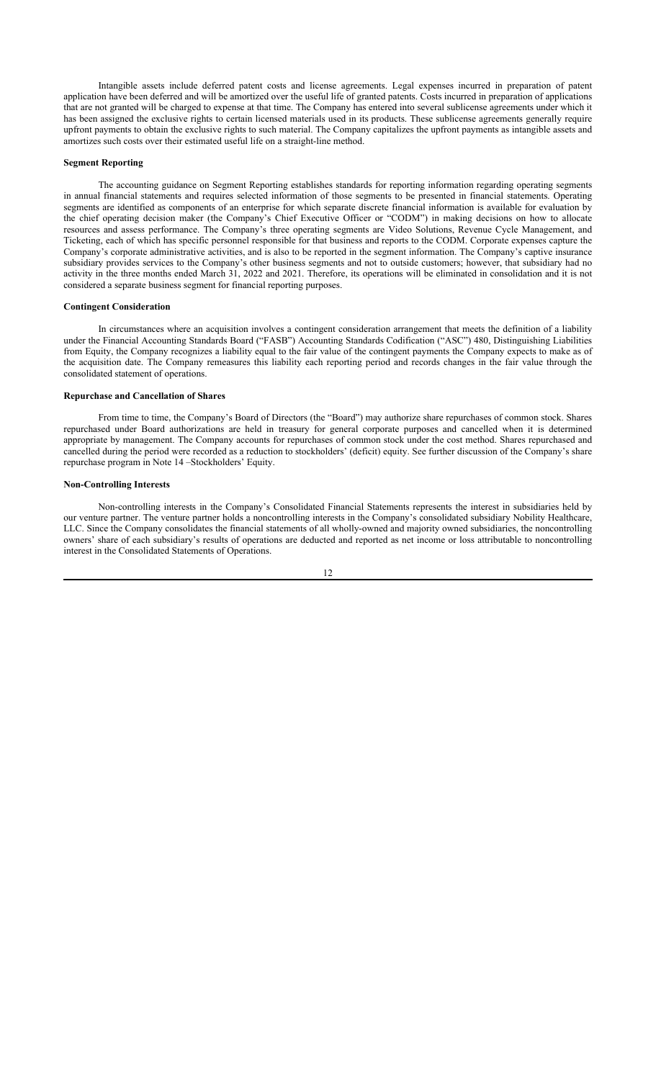Intangible assets include deferred patent costs and license agreements. Legal expenses incurred in preparation of patent application have been deferred and will be amortized over the useful life of granted patents. Costs incurred in preparation of applications that are not granted will be charged to expense at that time. The Company has entered into several sublicense agreements under which it has been assigned the exclusive rights to certain licensed materials used in its products. These sublicense agreements generally require upfront payments to obtain the exclusive rights to such material. The Company capitalizes the upfront payments as intangible assets and amortizes such costs over their estimated useful life on a straight-line method.

## **Segment Reporting**

The accounting guidance on Segment Reporting establishes standards for reporting information regarding operating segments in annual financial statements and requires selected information of those segments to be presented in financial statements. Operating segments are identified as components of an enterprise for which separate discrete financial information is available for evaluation by the chief operating decision maker (the Company's Chief Executive Officer or "CODM") in making decisions on how to allocate resources and assess performance. The Company's three operating segments are Video Solutions, Revenue Cycle Management, and Ticketing, each of which has specific personnel responsible for that business and reports to the CODM. Corporate expenses capture the Company's corporate administrative activities, and is also to be reported in the segment information. The Company's captive insurance subsidiary provides services to the Company's other business segments and not to outside customers; however, that subsidiary had no activity in the three months ended March 31, 2022 and 2021. Therefore, its operations will be eliminated in consolidation and it is not considered a separate business segment for financial reporting purposes.

## **Contingent Consideration**

In circumstances where an acquisition involves a contingent consideration arrangement that meets the definition of a liability under the Financial Accounting Standards Board ("FASB") Accounting Standards Codification ("ASC") 480, Distinguishing Liabilities from Equity, the Company recognizes a liability equal to the fair value of the contingent payments the Company expects to make as of the acquisition date. The Company remeasures this liability each reporting period and records changes in the fair value through the consolidated statement of operations.

#### **Repurchase and Cancellation of Shares**

From time to time, the Company's Board of Directors (the "Board") may authorize share repurchases of common stock. Shares repurchased under Board authorizations are held in treasury for general corporate purposes and cancelled when it is determined appropriate by management. The Company accounts for repurchases of common stock under the cost method. Shares repurchased and cancelled during the period were recorded as a reduction to stockholders' (deficit) equity. See further discussion of the Company's share repurchase program in Note 14 –Stockholders' Equity.

## **Non-Controlling Interests**

Non-controlling interests in the Company's Consolidated Financial Statements represents the interest in subsidiaries held by our venture partner. The venture partner holds a noncontrolling interests in the Company's consolidated subsidiary Nobility Healthcare, LLC. Since the Company consolidates the financial statements of all wholly-owned and majority owned subsidiaries, the noncontrolling owners' share of each subsidiary's results of operations are deducted and reported as net income or loss attributable to noncontrolling interest in the Consolidated Statements of Operations.

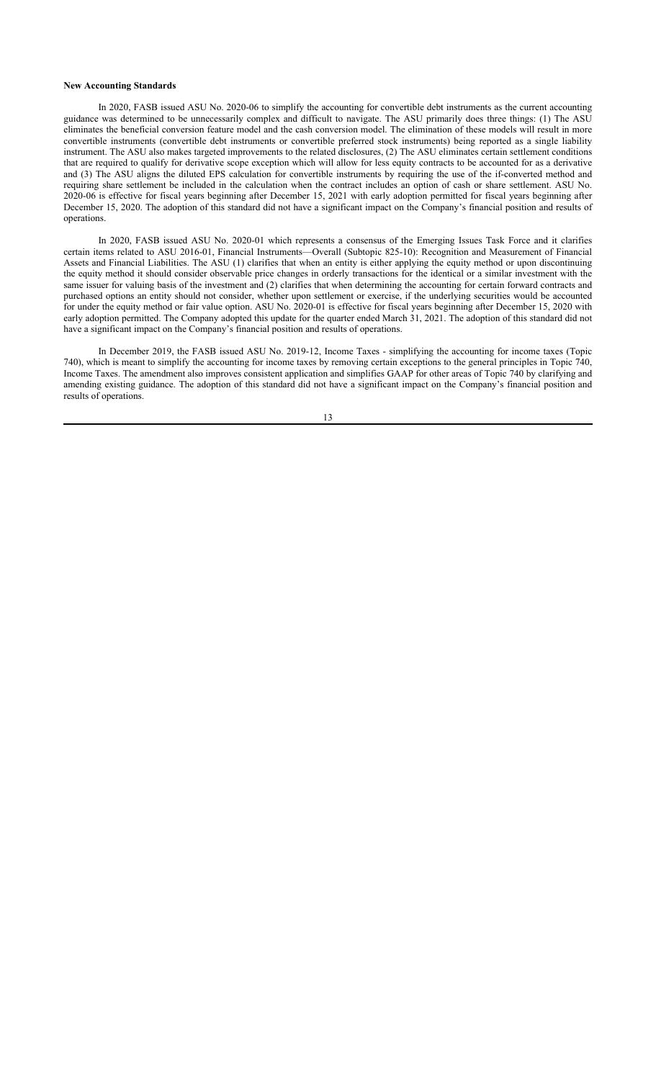#### **New Accounting Standards**

In 2020, FASB issued ASU No. 2020-06 to simplify the accounting for convertible debt instruments as the current accounting guidance was determined to be unnecessarily complex and difficult to navigate. The ASU primarily does three things: (1) The ASU eliminates the beneficial conversion feature model and the cash conversion model. The elimination of these models will result in more convertible instruments (convertible debt instruments or convertible preferred stock instruments) being reported as a single liability instrument. The ASU also makes targeted improvements to the related disclosures, (2) The ASU eliminates certain settlement conditions that are required to qualify for derivative scope exception which will allow for less equity contracts to be accounted for as a derivative and (3) The ASU aligns the diluted EPS calculation for convertible instruments by requiring the use of the if-converted method and requiring share settlement be included in the calculation when the contract includes an option of cash or share settlement. ASU No. 2020-06 is effective for fiscal years beginning after December 15, 2021 with early adoption permitted for fiscal years beginning after December 15, 2020. The adoption of this standard did not have a significant impact on the Company's financial position and results of operations.

In 2020, FASB issued ASU No. 2020-01 which represents a consensus of the Emerging Issues Task Force and it clarifies certain items related to ASU 2016-01, Financial Instruments—Overall (Subtopic 825-10): Recognition and Measurement of Financial Assets and Financial Liabilities. The ASU (1) clarifies that when an entity is either applying the equity method or upon discontinuing the equity method it should consider observable price changes in orderly transactions for the identical or a similar investment with the same issuer for valuing basis of the investment and (2) clarifies that when determining the accounting for certain forward contracts and purchased options an entity should not consider, whether upon settlement or exercise, if the underlying securities would be accounted for under the equity method or fair value option. ASU No. 2020-01 is effective for fiscal years beginning after December 15, 2020 with early adoption permitted. The Company adopted this update for the quarter ended March 31, 2021. The adoption of this standard did not have a significant impact on the Company's financial position and results of operations.

In December 2019, the FASB issued ASU No. 2019-12, Income Taxes - simplifying the accounting for income taxes (Topic 740), which is meant to simplify the accounting for income taxes by removing certain exceptions to the general principles in Topic 740, Income Taxes. The amendment also improves consistent application and simplifies GAAP for other areas of Topic 740 by clarifying and amending existing guidance. The adoption of this standard did not have a significant impact on the Company's financial position and results of operations.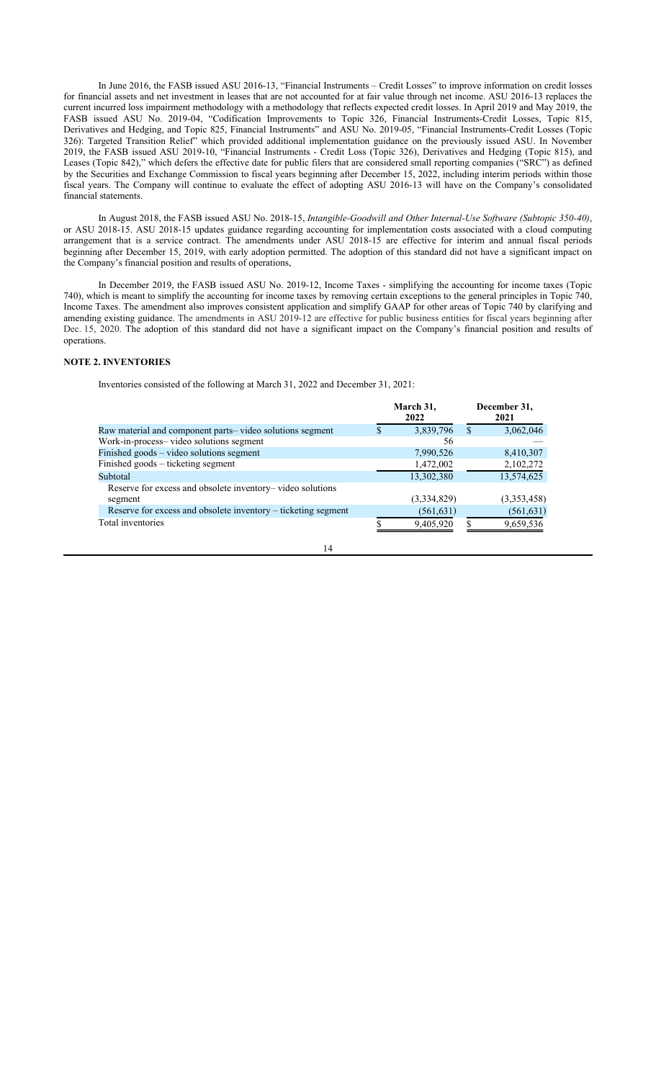In June 2016, the FASB issued ASU 2016-13, "Financial Instruments – Credit Losses" to improve information on credit losses for financial assets and net investment in leases that are not accounted for at fair value through net income. ASU 2016-13 replaces the current incurred loss impairment methodology with a methodology that reflects expected credit losses. In April 2019 and May 2019, the FASB issued ASU No. 2019-04, "Codification Improvements to Topic 326, Financial Instruments-Credit Losses, Topic 815, Derivatives and Hedging, and Topic 825, Financial Instruments" and ASU No. 2019-05, "Financial Instruments-Credit Losses (Topic 326): Targeted Transition Relief<sup>5</sup> which provided additional implementation guidance on the previously issued ASU. In November 2019, the FASB issued ASU 2019-10, "Financial Instruments - Credit Loss (Topic 326), Derivatives and Hedging (Topic 815), and Leases (Topic 842)," which defers the effective date for public filers that are considered small reporting companies ("SRC") as defined by the Securities and Exchange Commission to fiscal years beginning after December 15, 2022, including interim periods within those fiscal years. The Company will continue to evaluate the effect of adopting ASU 2016-13 will have on the Company's consolidated financial statements.

In August 2018, the FASB issued ASU No. 2018-15, *Intangible-Goodwill and Other Internal-Use Software (Subtopic 350-40)*, or ASU 2018-15. ASU 2018-15 updates guidance regarding accounting for implementation costs associated with a cloud computing arrangement that is a service contract. The amendments under ASU 2018-15 are effective for interim and annual fiscal periods beginning after December 15, 2019, with early adoption permitted. The adoption of this standard did not have a significant impact on the Company's financial position and results of operations,

In December 2019, the FASB issued ASU No. 2019-12, Income Taxes - simplifying the accounting for income taxes (Topic 740), which is meant to simplify the accounting for income taxes by removing certain exceptions to the general principles in Topic 740, Income Taxes. The amendment also improves consistent application and simplify GAAP for other areas of Topic 740 by clarifying and amending existing guidance. The amendments in ASU 2019-12 are effective for public business entities for fiscal years beginning after Dec. 15, 2020. The adoption of this standard did not have a significant impact on the Company's financial position and results of operations.

# **NOTE 2. INVENTORIES**

Inventories consisted of the following at March 31, 2022 and December 31, 2021:

|                                                               |  | March 31,<br>2022 |               | December 31,<br>2021 |
|---------------------------------------------------------------|--|-------------------|---------------|----------------------|
| Raw material and component parts-video solutions segment      |  | 3,839,796         | <sup>\$</sup> | 3,062,046            |
| Work-in-process- video solutions segment                      |  | 56                |               |                      |
| Finished goods - video solutions segment                      |  | 7,990,526         |               | 8,410,307            |
| Finished goods - ticketing segment                            |  | 1,472,002         |               | 2,102,272            |
| Subtotal                                                      |  | 13,302,380        |               | 13,574,625           |
| Reserve for excess and obsolete inventory– video solutions    |  |                   |               |                      |
| segment                                                       |  | (3,334,829)       |               | (3,353,458)          |
| Reserve for excess and obsolete inventory – ticketing segment |  | (561, 631)        |               | (561, 631)           |
| Total inventories                                             |  | 9,405,920         |               | 9,659,536            |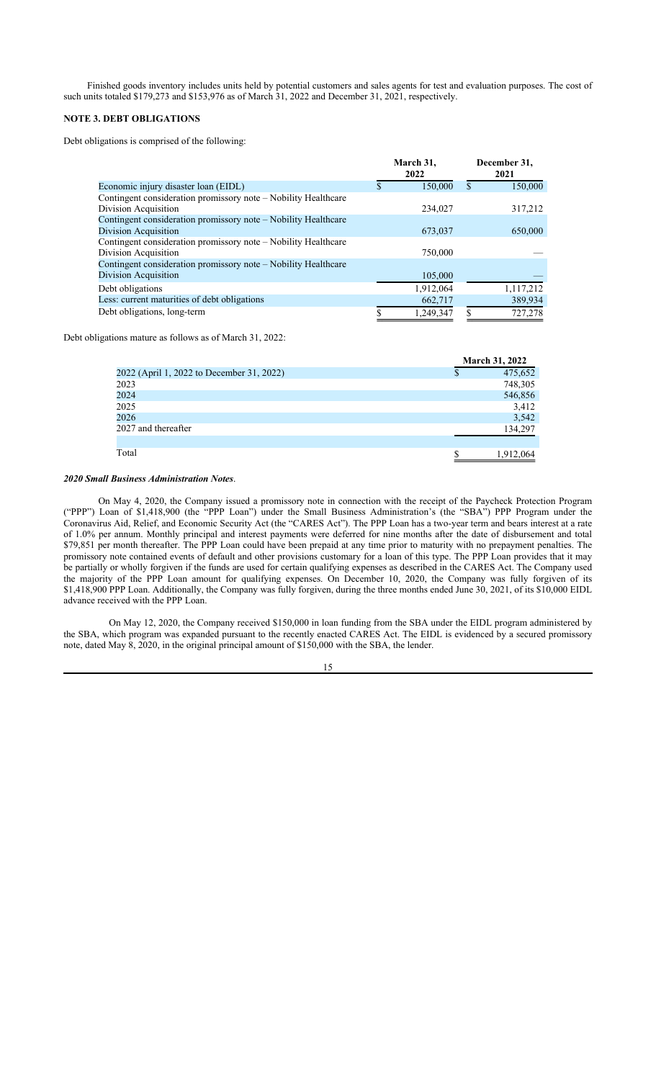Finished goods inventory includes units held by potential customers and sales agents for test and evaluation purposes. The cost of such units totaled \$179,273 and \$153,976 as of March 31, 2022 and December 31, 2021, respectively.

# **NOTE 3. DEBT OBLIGATIONS**

Debt obligations is comprised of the following:

|                                                                | March 31,<br>2022 | December 31,<br>2021 |
|----------------------------------------------------------------|-------------------|----------------------|
| Economic injury disaster loan (EIDL)                           | 150,000           | \$<br>150,000        |
| Contingent consideration promissory note – Nobility Healthcare |                   |                      |
| Division Acquisition                                           | 234,027           | 317,212              |
| Contingent consideration promissory note – Nobility Healthcare |                   |                      |
| Division Acquisition                                           | 673,037           | 650,000              |
| Contingent consideration promissory note - Nobility Healthcare |                   |                      |
| Division Acquisition                                           | 750,000           |                      |
| Contingent consideration promissory note - Nobility Healthcare |                   |                      |
| Division Acquisition                                           | 105,000           |                      |
| Debt obligations                                               | 1,912,064         | 1,117,212            |
| Less: current maturities of debt obligations                   | 662,717           | 389,934              |
| Debt obligations, long-term                                    | 1,249,347         | 727,278              |

Debt obligations mature as follows as of March 31, 2022:

|                                           | <b>March 31, 2022</b> |
|-------------------------------------------|-----------------------|
| 2022 (April 1, 2022 to December 31, 2022) | 475,652               |
| 2023                                      | 748,305               |
| 2024                                      | 546,856               |
| 2025                                      | 3,412                 |
| 2026                                      | 3,542                 |
| 2027 and thereafter                       | 134,297               |
|                                           |                       |
| Total                                     | 1.912.064             |

## *2020 Small Business Administration Notes*.

On May 4, 2020, the Company issued a promissory note in connection with the receipt of the Paycheck Protection Program ("PPP") Loan of \$1,418,900 (the "PPP Loan") under the Small Business Administration's (the "SBA") PPP Program under the Coronavirus Aid, Relief, and Economic Security Act (the "CARES Act"). The PPP Loan has a two-year term and bears interest at a rate of 1.0% per annum. Monthly principal and interest payments were deferred for nine months after the date of disbursement and total \$79,851 per month thereafter. The PPP Loan could have been prepaid at any time prior to maturity with no prepayment penalties. The promissory note contained events of default and other provisions customary for a loan of this type. The PPP Loan provides that it may be partially or wholly forgiven if the funds are used for certain qualifying expenses as described in the CARES Act. The Company used the majority of the PPP Loan amount for qualifying expenses. On December 10, 2020, the Company was fully forgiven of its \$1,418,900 PPP Loan. Additionally, the Company was fully forgiven, during the three months ended June 30, 2021, of its \$10,000 EIDL advance received with the PPP Loan.

On May 12, 2020, the Company received \$150,000 in loan funding from the SBA under the EIDL program administered by the SBA, which program was expanded pursuant to the recently enacted CARES Act. The EIDL is evidenced by a secured promissory note, dated May 8, 2020, in the original principal amount of \$150,000 with the SBA, the lender.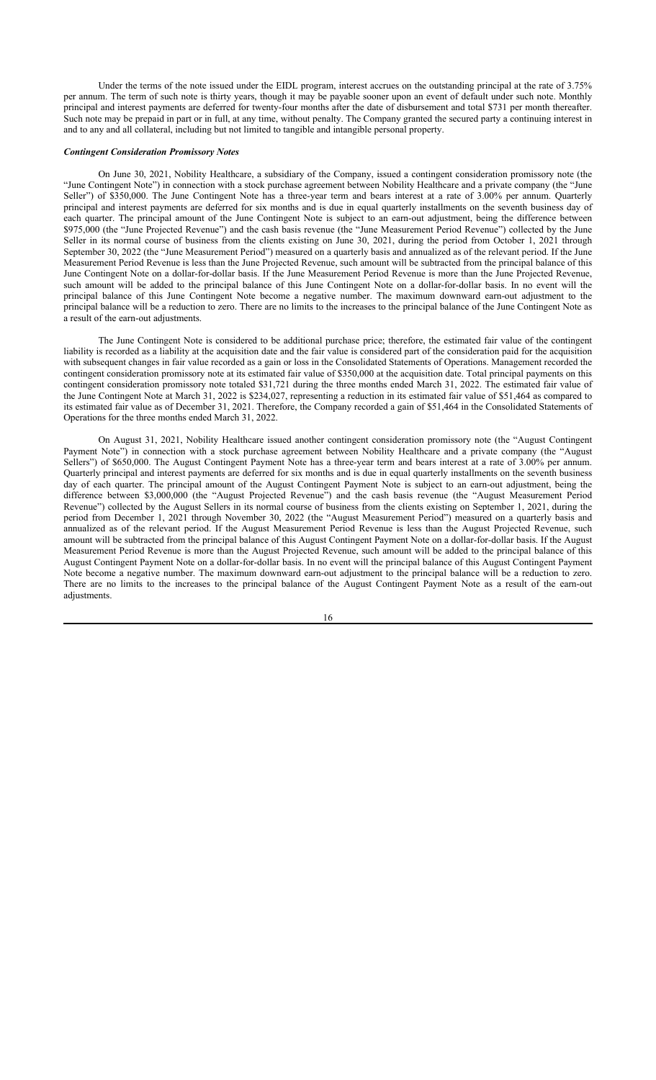Under the terms of the note issued under the EIDL program, interest accrues on the outstanding principal at the rate of 3.75% per annum. The term of such note is thirty years, though it may be payable sooner upon an event of default under such note. Monthly principal and interest payments are deferred for twenty-four months after the date of disbursement and total \$731 per month thereafter. Such note may be prepaid in part or in full, at any time, without penalty. The Company granted the secured party a continuing interest in and to any and all collateral, including but not limited to tangible and intangible personal property.

## *Contingent Consideration Promissory Notes*

On June 30, 2021, Nobility Healthcare, a subsidiary of the Company, issued a contingent consideration promissory note (the "June Contingent Note") in connection with a stock purchase agreement between Nobility Healthcare and a private company (the "June Seller") of \$350,000. The June Contingent Note has a three-year term and bears interest at a rate of 3.00% per annum. Quarterly principal and interest payments are deferred for six months and is due in equal quarterly installments on the seventh business day of each quarter. The principal amount of the June Contingent Note is subject to an earn-out adjustment, being the difference between \$975,000 (the "June Projected Revenue") and the cash basis revenue (the "June Measurement Period Revenue") collected by the June Seller in its normal course of business from the clients existing on June 30, 2021, during the period from October 1, 2021 through September 30, 2022 (the "June Measurement Period") measured on a quarterly basis and annualized as of the relevant period. If the June Measurement Period Revenue is less than the June Projected Revenue, such amount will be subtracted from the principal balance of this June Contingent Note on a dollar-for-dollar basis. If the June Measurement Period Revenue is more than the June Projected Revenue, such amount will be added to the principal balance of this June Contingent Note on a dollar-for-dollar basis. In no event will the principal balance of this June Contingent Note become a negative number. The maximum downward earn-out adjustment to the principal balance will be a reduction to zero. There are no limits to the increases to the principal balance of the June Contingent Note as a result of the earn-out adjustments.

The June Contingent Note is considered to be additional purchase price; therefore, the estimated fair value of the contingent liability is recorded as a liability at the acquisition date and the fair value is considered part of the consideration paid for the acquisition with subsequent changes in fair value recorded as a gain or loss in the Consolidated Statements of Operations. Management recorded the contingent consideration promissory note at its estimated fair value of \$350,000 at the acquisition date. Total principal payments on this contingent consideration promissory note totaled \$31,721 during the three months ended March 31, 2022. The estimated fair value of the June Contingent Note at March 31, 2022 is \$234,027, representing a reduction in its estimated fair value of \$51,464 as compared to its estimated fair value as of December 31, 2021. Therefore, the Company recorded a gain of \$51,464 in the Consolidated Statements of Operations for the three months ended March 31, 2022.

On August 31, 2021, Nobility Healthcare issued another contingent consideration promissory note (the "August Contingent Payment Note") in connection with a stock purchase agreement between Nobility Healthcare and a private company (the "August Sellers") of \$650,000. The August Contingent Payment Note has a three-year term and bears interest at a rate of 3.00% per annum. Quarterly principal and interest payments are deferred for six months and is due in equal quarterly installments on the seventh business day of each quarter. The principal amount of the August Contingent Payment Note is subject to an earn-out adjustment, being the difference between \$3,000,000 (the "August Projected Revenue") and the cash basis revenue (the "August Measurement Period Revenue") collected by the August Sellers in its normal course of business from the clients existing on September 1, 2021, during the period from December 1, 2021 through November 30, 2022 (the "August Measurement Period") measured on a quarterly basis and annualized as of the relevant period. If the August Measurement Period Revenue is less than the August Projected Revenue, such amount will be subtracted from the principal balance of this August Contingent Payment Note on a dollar-for-dollar basis. If the August Measurement Period Revenue is more than the August Projected Revenue, such amount will be added to the principal balance of this August Contingent Payment Note on a dollar-for-dollar basis. In no event will the principal balance of this August Contingent Payment Note become a negative number. The maximum downward earn-out adjustment to the principal balance will be a reduction to zero. There are no limits to the increases to the principal balance of the August Contingent Payment Note as a result of the earn-out adjustments.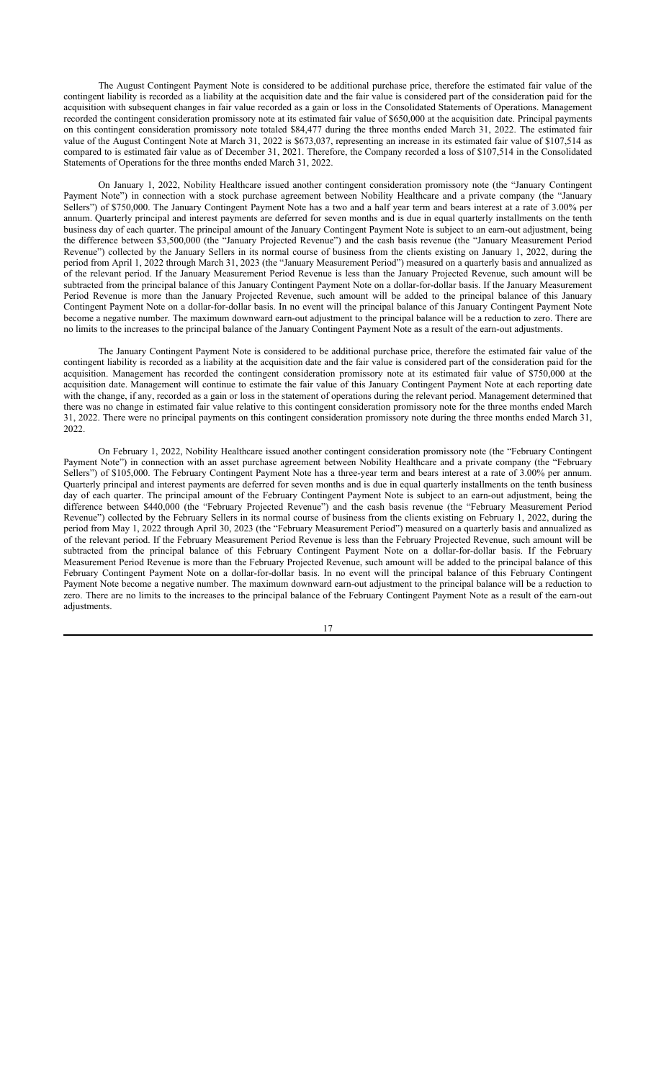The August Contingent Payment Note is considered to be additional purchase price, therefore the estimated fair value of the contingent liability is recorded as a liability at the acquisition date and the fair value is considered part of the consideration paid for the acquisition with subsequent changes in fair value recorded as a gain or loss in the Consolidated Statements of Operations. Management recorded the contingent consideration promissory note at its estimated fair value of \$650,000 at the acquisition date. Principal payments on this contingent consideration promissory note totaled \$84,477 during the three months ended March 31, 2022. The estimated fair value of the August Contingent Note at March 31, 2022 is \$673,037, representing an increase in its estimated fair value of \$107,514 as compared to is estimated fair value as of December 31, 2021. Therefore, the Company recorded a loss of \$107,514 in the Consolidated Statements of Operations for the three months ended March 31, 2022.

On January 1, 2022, Nobility Healthcare issued another contingent consideration promissory note (the "January Contingent Payment Note") in connection with a stock purchase agreement between Nobility Healthcare and a private company (the "January Sellers") of \$750,000. The January Contingent Payment Note has a two and a half year term and bears interest at a rate of 3.00% per annum. Quarterly principal and interest payments are deferred for seven months and is due in equal quarterly installments on the tenth business day of each quarter. The principal amount of the January Contingent Payment Note is subject to an earn-out adjustment, being the difference between \$3,500,000 (the "January Projected Revenue") and the cash basis revenue (the "January Measurement Period Revenue") collected by the January Sellers in its normal course of business from the clients existing on January 1, 2022, during the period from April 1, 2022 through March 31, 2023 (the "January Measurement Period") measured on a quarterly basis and annualized as of the relevant period. If the January Measurement Period Revenue is less than the January Projected Revenue, such amount will be subtracted from the principal balance of this January Contingent Payment Note on a dollar-for-dollar basis. If the January Measurement Period Revenue is more than the January Projected Revenue, such amount will be added to the principal balance of this January Contingent Payment Note on a dollar-for-dollar basis. In no event will the principal balance of this January Contingent Payment Note become a negative number. The maximum downward earn-out adjustment to the principal balance will be a reduction to zero. There are no limits to the increases to the principal balance of the January Contingent Payment Note as a result of the earn-out adjustments.

The January Contingent Payment Note is considered to be additional purchase price, therefore the estimated fair value of the contingent liability is recorded as a liability at the acquisition date and the fair value is considered part of the consideration paid for the acquisition. Management has recorded the contingent consideration promissory note at its estimated fair value of \$750,000 at the acquisition date. Management will continue to estimate the fair value of this January Contingent Payment Note at each reporting date with the change, if any, recorded as a gain or loss in the statement of operations during the relevant period. Management determined that there was no change in estimated fair value relative to this contingent consideration promissory note for the three months ended March 31, 2022. There were no principal payments on this contingent consideration promissory note during the three months ended March 31, 2022.

On February 1, 2022, Nobility Healthcare issued another contingent consideration promissory note (the "February Contingent Payment Note") in connection with an asset purchase agreement between Nobility Healthcare and a private company (the "February Sellers") of \$105,000. The February Contingent Payment Note has a three-year term and bears interest at a rate of 3.00% per annum. Quarterly principal and interest payments are deferred for seven months and is due in equal quarterly installments on the tenth business day of each quarter. The principal amount of the February Contingent Payment Note is subject to an earn-out adjustment, being the difference between \$440,000 (the "February Projected Revenue") and the cash basis revenue (the "February Measurement Period Revenue") collected by the February Sellers in its normal course of business from the clients existing on February 1, 2022, during the period from May 1, 2022 through April 30, 2023 (the "February Measurement Period") measured on a quarterly basis and annualized as of the relevant period. If the February Measurement Period Revenue is less than the February Projected Revenue, such amount will be subtracted from the principal balance of this February Contingent Payment Note on a dollar-for-dollar basis. If the February Measurement Period Revenue is more than the February Projected Revenue, such amount will be added to the principal balance of this February Contingent Payment Note on a dollar-for-dollar basis. In no event will the principal balance of this February Contingent Payment Note become a negative number. The maximum downward earn-out adjustment to the principal balance will be a reduction to zero. There are no limits to the increases to the principal balance of the February Contingent Payment Note as a result of the earn-out adjustments.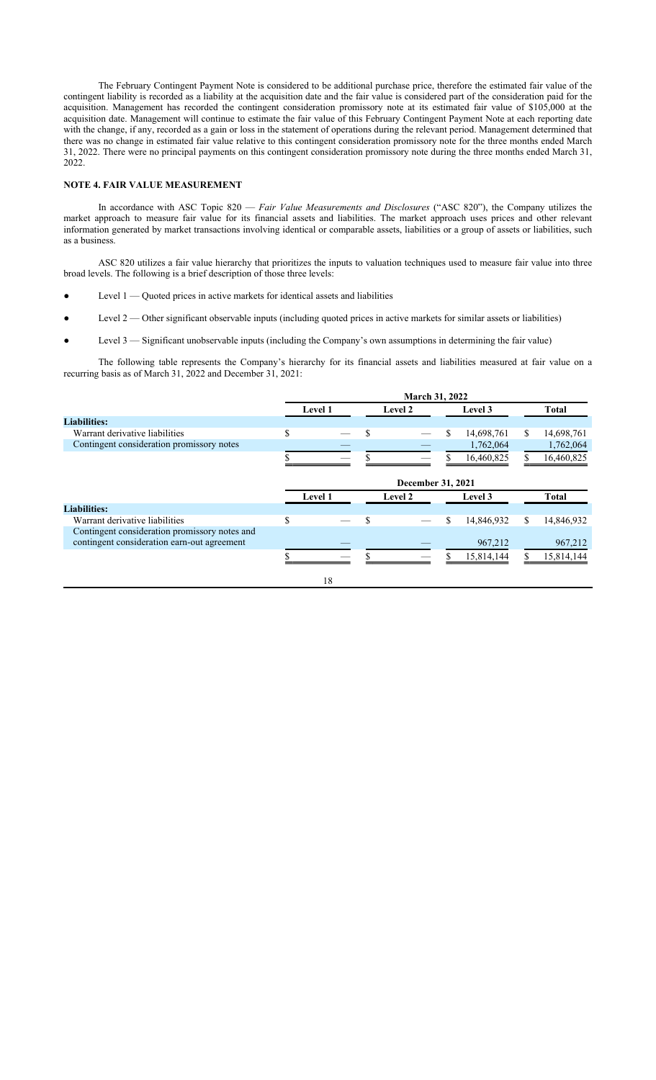The February Contingent Payment Note is considered to be additional purchase price, therefore the estimated fair value of the contingent liability is recorded as a liability at the acquisition date and the fair value is considered part of the consideration paid for the acquisition. Management has recorded the contingent consideration promissory note at its estimated fair value of \$105,000 at the acquisition date. Management will continue to estimate the fair value of this February Contingent Payment Note at each reporting date with the change, if any, recorded as a gain or loss in the statement of operations during the relevant period. Management determined that there was no change in estimated fair value relative to this contingent consideration promissory note for the three months ended March 31, 2022. There were no principal payments on this contingent consideration promissory note during the three months ended March 31, 2022.

# **NOTE 4. FAIR VALUE MEASUREMENT**

In accordance with ASC Topic 820 — *Fair Value Measurements and Disclosures* ("ASC 820"), the Company utilizes the market approach to measure fair value for its financial assets and liabilities. The market approach uses prices and other relevant information generated by market transactions involving identical or comparable assets, liabilities or a group of assets or liabilities, such as a business.

ASC 820 utilizes a fair value hierarchy that prioritizes the inputs to valuation techniques used to measure fair value into three broad levels. The following is a brief description of those three levels:

- Level 1 Quoted prices in active markets for identical assets and liabilities
- Level  $2$  Other significant observable inputs (including quoted prices in active markets for similar assets or liabilities)
- Level 3 Significant unobservable inputs (including the Company's own assumptions in determining the fair value)

The following table represents the Company's hierarchy for its financial assets and liabilities measured at fair value on a recurring basis as of March 31, 2022 and December 31, 2021:

|                                               | <b>March 31, 2022</b> |         |         |                   |          |            |    |              |
|-----------------------------------------------|-----------------------|---------|---------|-------------------|----------|------------|----|--------------|
|                                               |                       | Level 1 | Level 2 |                   | Level 3  |            |    | <b>Total</b> |
| <b>Liabilities:</b>                           |                       |         |         |                   |          |            |    |              |
| Warrant derivative liabilities                | \$                    |         |         |                   | \$       | 14,698,761 | \$ | 14,698,761   |
| Contingent consideration promissory notes     |                       |         |         |                   |          | 1,762,064  |    | 1,762,064    |
|                                               |                       |         |         |                   |          | 16,460,825 |    | 16,460,825   |
|                                               |                       |         |         |                   |          |            |    |              |
|                                               |                       |         |         | December 31, 2021 |          |            |    |              |
|                                               |                       | Level 1 |         | <b>Level 2</b>    |          | Level 3    |    | <b>Total</b> |
| <b>Liabilities:</b>                           |                       |         |         |                   |          |            |    |              |
| Warrant derivative liabilities                | \$                    |         | ה.      |                   | \$       | 14,846,932 | S  | 14,846,932   |
| Contingent consideration promissory notes and |                       |         |         |                   |          |            |    |              |
| contingent consideration earn-out agreement   |                       |         |         |                   |          | 967,212    |    | 967,212      |
|                                               |                       |         |         |                   | <b>Φ</b> | 15,814,144 |    | 15,814,144   |
|                                               |                       |         |         |                   |          |            |    |              |
|                                               |                       | 18      |         |                   |          |            |    |              |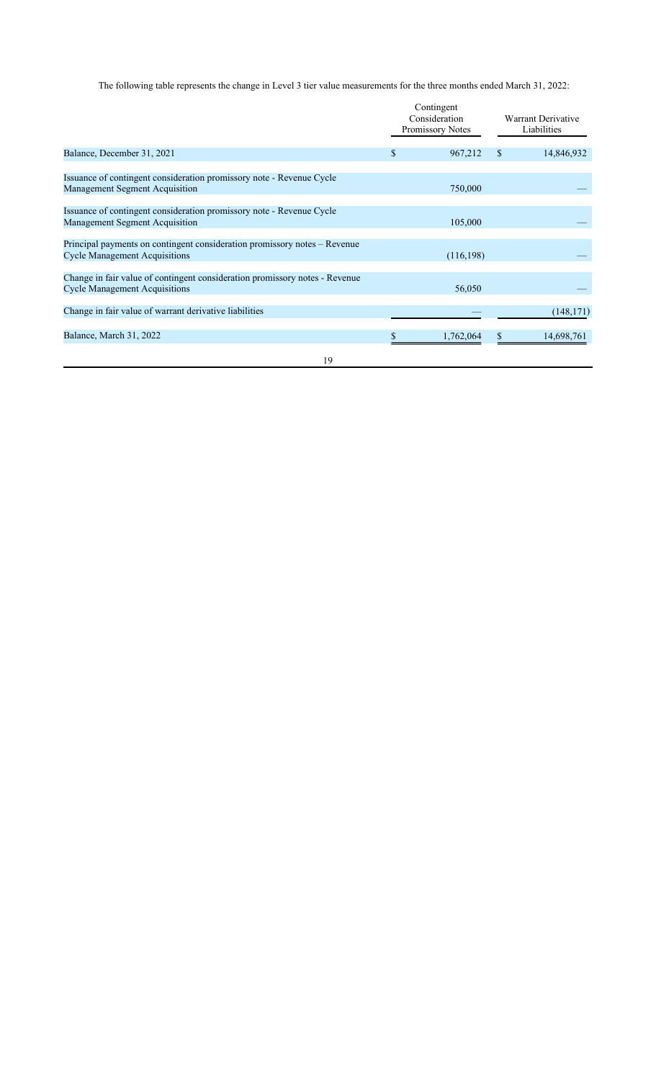The following table represents the change in Level 3 tier value measurements for the three months ended March 31, 2022:

|                                                                                                                     | Contingent<br>Consideration<br>Promissory Notes |            | <b>Warrant Derivative</b><br>Liabilities |            |
|---------------------------------------------------------------------------------------------------------------------|-------------------------------------------------|------------|------------------------------------------|------------|
| Balance, December 31, 2021                                                                                          | \$                                              | 967,212    | \$.                                      | 14,846,932 |
| Issuance of contingent consideration promissory note - Revenue Cycle<br>Management Segment Acquisition              |                                                 | 750,000    |                                          |            |
| Issuance of contingent consideration promissory note - Revenue Cycle<br>Management Segment Acquisition              |                                                 | 105,000    |                                          |            |
| Principal payments on contingent consideration promissory notes - Revenue<br><b>Cycle Management Acquisitions</b>   |                                                 | (116, 198) |                                          |            |
| Change in fair value of contingent consideration promissory notes - Revenue<br><b>Cycle Management Acquisitions</b> |                                                 | 56,050     |                                          |            |
| Change in fair value of warrant derivative liabilities                                                              |                                                 |            |                                          | (148, 171) |
| Balance, March 31, 2022                                                                                             |                                                 | 1,762,064  |                                          | 14,698,761 |
| 19                                                                                                                  |                                                 |            |                                          |            |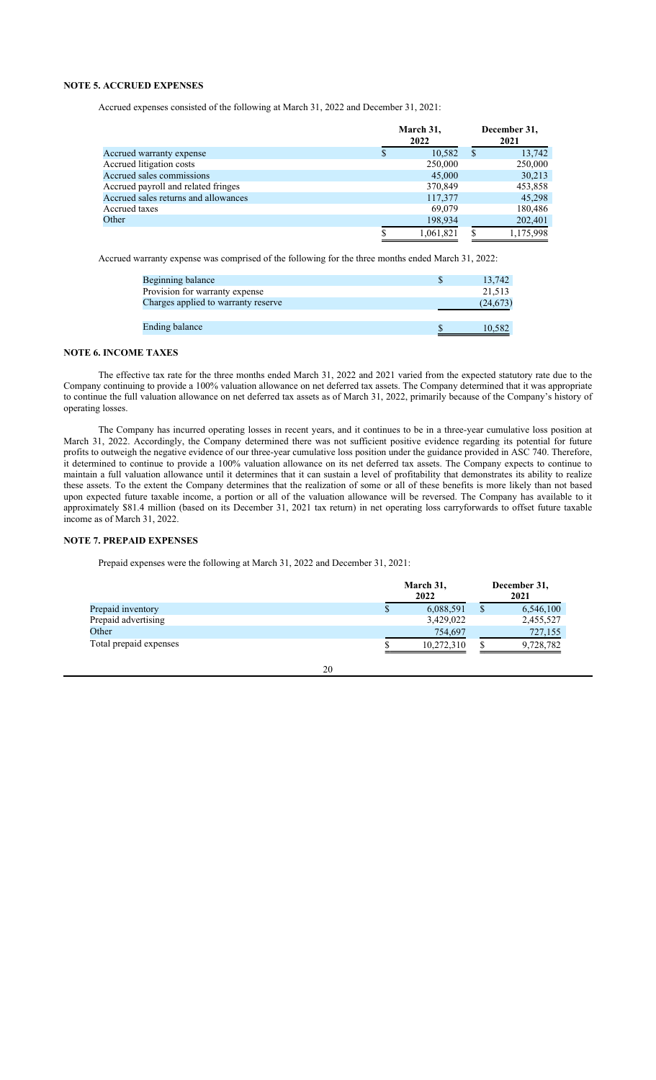## **NOTE 5. ACCRUED EXPENSES**

Accrued expenses consisted of the following at March 31, 2022 and December 31, 2021:

|                                      | March 31,<br>2022 | December 31,<br>2021 |           |  |
|--------------------------------------|-------------------|----------------------|-----------|--|
| Accrued warranty expense             | 10.582            | S                    | 13,742    |  |
| Accrued litigation costs             | 250,000           |                      | 250,000   |  |
| Accrued sales commissions            | 45,000            |                      | 30,213    |  |
| Accrued payroll and related fringes  | 370,849           |                      | 453,858   |  |
| Accrued sales returns and allowances | 117,377           |                      | 45.298    |  |
| Accrued taxes                        | 69,079            |                      | 180,486   |  |
| Other                                | 198,934           |                      | 202,401   |  |
|                                      | 1.061.821         |                      | 1.175.998 |  |

Accrued warranty expense was comprised of the following for the three months ended March 31, 2022:

| Beginning balance                   | 13,742    |
|-------------------------------------|-----------|
| Provision for warranty expense      | 21,513    |
| Charges applied to warranty reserve | (24, 673) |
|                                     |           |
| <b>Ending balance</b>               | 10.582    |

## **NOTE 6. INCOME TAXES**

The effective tax rate for the three months ended March 31, 2022 and 2021 varied from the expected statutory rate due to the Company continuing to provide a 100% valuation allowance on net deferred tax assets. The Company determined that it was appropriate to continue the full valuation allowance on net deferred tax assets as of March 31, 2022, primarily because of the Company's history of operating losses.

The Company has incurred operating losses in recent years, and it continues to be in a three-year cumulative loss position at March 31, 2022. Accordingly, the Company determined there was not sufficient positive evidence regarding its potential for future profits to outweigh the negative evidence of our three-year cumulative loss position under the guidance provided in ASC 740. Therefore, it determined to continue to provide a 100% valuation allowance on its net deferred tax assets. The Company expects to continue to maintain a full valuation allowance until it determines that it can sustain a level of profitability that demonstrates its ability to realize these assets. To the extent the Company determines that the realization of some or all of these benefits is more likely than not based upon expected future taxable income, a portion or all of the valuation allowance will be reversed. The Company has available to it approximately \$81.4 million (based on its December 31, 2021 tax return) in net operating loss carryforwards to offset future taxable income as of March 31, 2022.

## **NOTE 7. PREPAID EXPENSES**

Prepaid expenses were the following at March 31, 2022 and December 31, 2021:

| 2022       | December 31,<br>2021 |           |  |
|------------|----------------------|-----------|--|
| 6,088,591  | <sup>\$</sup>        | 6,546,100 |  |
| 3,429,022  |                      | 2,455,527 |  |
| 754,697    |                      | 727,155   |  |
| 10,272,310 |                      | 9,728,782 |  |
|            | March 31,            |           |  |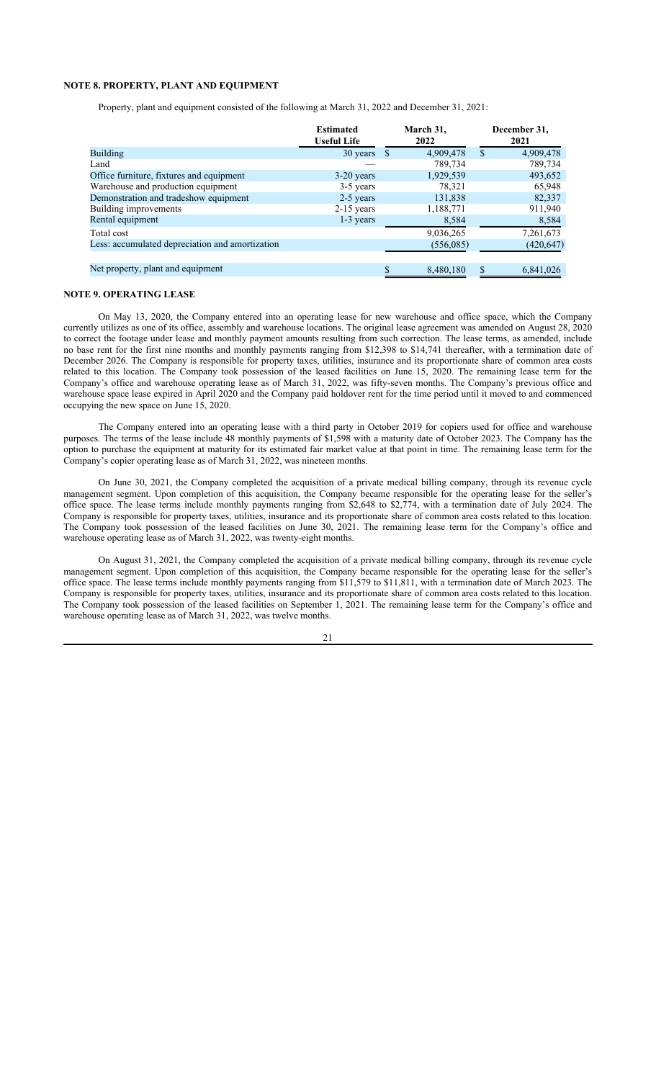## **NOTE 8. PROPERTY, PLANT AND EQUIPMENT**

Property, plant and equipment consisted of the following at March 31, 2022 and December 31, 2021:

|                                                 | <b>Estimated</b><br><b>Useful Life</b> | March 31,<br>2022 |           |               | December 31,<br>2021 |
|-------------------------------------------------|----------------------------------------|-------------------|-----------|---------------|----------------------|
| <b>Building</b>                                 | 30 years \$                            |                   | 4,909,478 | <sup>\$</sup> | 4,909,478            |
| Land                                            |                                        |                   | 789,734   |               | 789,734              |
| Office furniture, fixtures and equipment        | $3-20$ years                           |                   | 1,929,539 |               | 493,652              |
| Warehouse and production equipment              | 3-5 years                              |                   | 78,321    |               | 65,948               |
| Demonstration and tradeshow equipment           | 2-5 years                              |                   | 131,838   |               | 82,337               |
| Building improvements                           | $2-15$ years                           |                   | 1,188,771 |               | 911,940              |
| Rental equipment                                | $1-3$ years                            |                   | 8,584     |               | 8,584                |
| Total cost                                      |                                        |                   | 9,036,265 |               | 7,261,673            |
| Less: accumulated depreciation and amortization |                                        |                   | (556,085) |               | (420, 647)           |
|                                                 |                                        |                   |           |               |                      |
| Net property, plant and equipment               |                                        |                   | 8,480,180 | \$            | 6,841,026            |

## **NOTE 9. OPERATING LEASE**

On May 13, 2020, the Company entered into an operating lease for new warehouse and office space, which the Company currently utilizes as one of its office, assembly and warehouse locations. The original lease agreement was amended on August 28, 2020 to correct the footage under lease and monthly payment amounts resulting from such correction. The lease terms, as amended, include no base rent for the first nine months and monthly payments ranging from \$12,398 to \$14,741 thereafter, with a termination date of December 2026. The Company is responsible for property taxes, utilities, insurance and its proportionate share of common area costs related to this location. The Company took possession of the leased facilities on June 15, 2020. The remaining lease term for the Company's office and warehouse operating lease as of March 31, 2022, was fifty-seven months. The Company's previous office and warehouse space lease expired in April 2020 and the Company paid holdover rent for the time period until it moved to and commenced occupying the new space on June 15, 2020.

The Company entered into an operating lease with a third party in October 2019 for copiers used for office and warehouse purposes. The terms of the lease include 48 monthly payments of \$1,598 with a maturity date of October 2023. The Company has the option to purchase the equipment at maturity for its estimated fair market value at that point in time. The remaining lease term for the Company's copier operating lease as of March 31, 2022, was nineteen months.

On June 30, 2021, the Company completed the acquisition of a private medical billing company, through its revenue cycle management segment. Upon completion of this acquisition, the Company became responsible for the operating lease for the seller's office space. The lease terms include monthly payments ranging from \$2,648 to \$2,774, with a termination date of July 2024. The Company is responsible for property taxes, utilities, insurance and its proportionate share of common area costs related to this location. The Company took possession of the leased facilities on June 30, 2021. The remaining lease term for the Company's office and warehouse operating lease as of March 31, 2022, was twenty-eight months.

On August 31, 2021, the Company completed the acquisition of a private medical billing company, through its revenue cycle management segment. Upon completion of this acquisition, the Company became responsible for the operating lease for the seller's office space. The lease terms include monthly payments ranging from \$11,579 to \$11,811, with a termination date of March 2023. The Company is responsible for property taxes, utilities, insurance and its proportionate share of common area costs related to this location. The Company took possession of the leased facilities on September 1, 2021. The remaining lease term for the Company's office and warehouse operating lease as of March 31, 2022, was twelve months.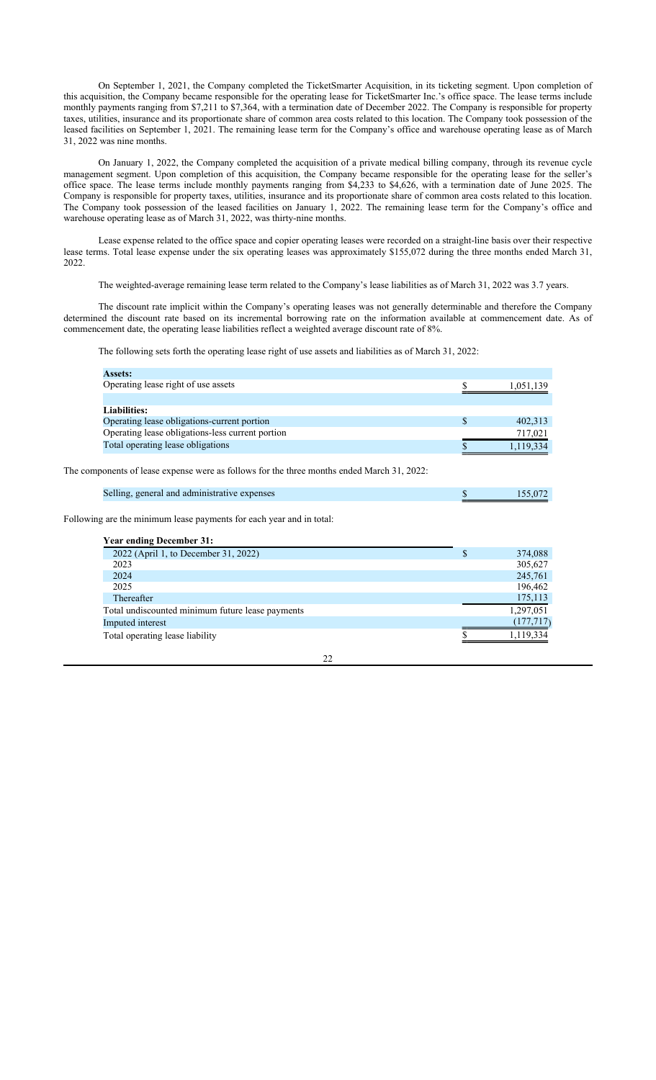On September 1, 2021, the Company completed the TicketSmarter Acquisition, in its ticketing segment. Upon completion of this acquisition, the Company became responsible for the operating lease for TicketSmarter Inc.'s office space. The lease terms include monthly payments ranging from \$7,211 to \$7,364, with a termination date of December 2022. The Company is responsible for property taxes, utilities, insurance and its proportionate share of common area costs related to this location. The Company took possession of the leased facilities on September 1, 2021. The remaining lease term for the Company's office and warehouse operating lease as of March 31, 2022 was nine months.

On January 1, 2022, the Company completed the acquisition of a private medical billing company, through its revenue cycle management segment. Upon completion of this acquisition, the Company became responsible for the operating lease for the seller's office space. The lease terms include monthly payments ranging from \$4,233 to \$4,626, with a termination date of June 2025. The Company is responsible for property taxes, utilities, insurance and its proportionate share of common area costs related to this location. The Company took possession of the leased facilities on January 1, 2022. The remaining lease term for the Company's office and warehouse operating lease as of March 31, 2022, was thirty-nine months.

Lease expense related to the office space and copier operating leases were recorded on a straight-line basis over their respective lease terms. Total lease expense under the six operating leases was approximately \$155,072 during the three months ended March 31, 2022.

The weighted-average remaining lease term related to the Company's lease liabilities as of March 31, 2022 was 3.7 years.

The discount rate implicit within the Company's operating leases was not generally determinable and therefore the Company determined the discount rate based on its incremental borrowing rate on the information available at commencement date. As of commencement date, the operating lease liabilities reflect a weighted average discount rate of 8%.

The following sets forth the operating lease right of use assets and liabilities as of March 31, 2022:

| <b>Assets:</b>                                                                             |               |
|--------------------------------------------------------------------------------------------|---------------|
| Operating lease right of use assets                                                        | 1,051,139     |
|                                                                                            |               |
| Liabilities:                                                                               |               |
| Operating lease obligations-current portion                                                | \$<br>402,313 |
| Operating lease obligations-less current portion                                           | 717,021       |
| Total operating lease obligations                                                          | 1,119,334     |
| The components of lease expense were as follows for the three months ended March 31, 2022: |               |
| Selling, general and administrative expenses                                               | 155,072       |
| Following are the minimum lease payments for each year and in total:                       |               |
| <b>Year ending December 31:</b>                                                            |               |

| r car channel Decennocr Ur:                      |   |            |
|--------------------------------------------------|---|------------|
| 2022 (April 1, to December 31, 2022)             | S | 374,088    |
| 2023                                             |   | 305,627    |
| 2024                                             |   | 245,761    |
| 2025                                             |   | 196,462    |
| Thereafter                                       |   | 175,113    |
| Total undiscounted minimum future lease payments |   | 1,297,051  |
| Imputed interest                                 |   | (177, 717) |
| Total operating lease liability                  |   | 1,119,334  |
|                                                  |   |            |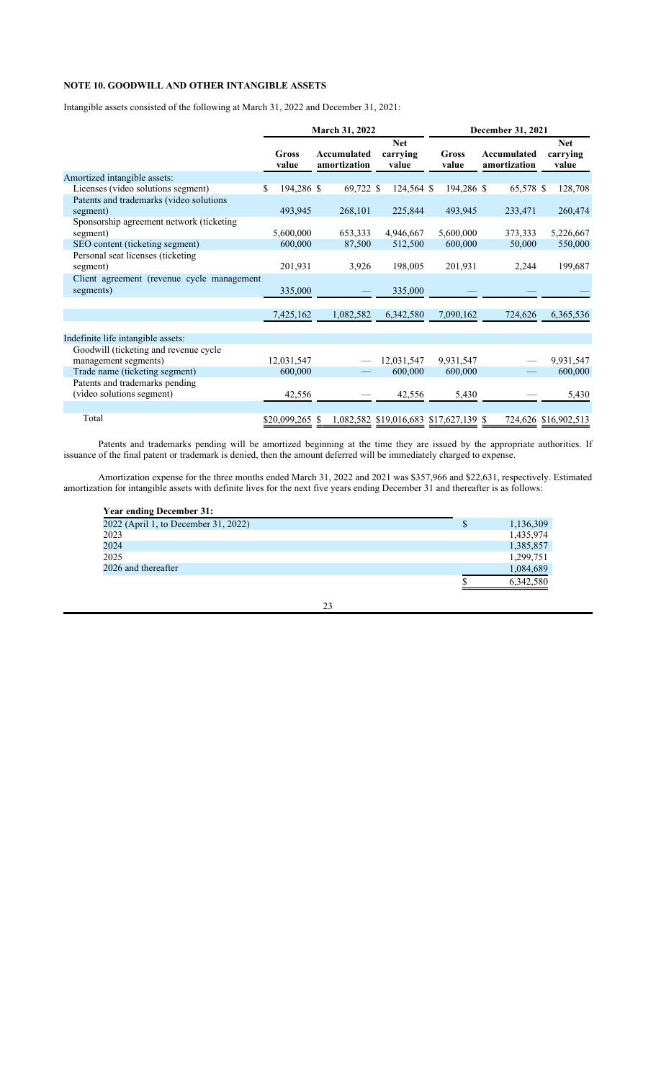# **NOTE 10. GOODWILL AND OTHER INTANGIBLE ASSETS**

Intangible assets consisted of the following at March 31, 2022 and December 31, 2021:

|                                                                             |                  | March 31, 2022              |                                 | December 31, 2021                      |                             |                                 |  |  |
|-----------------------------------------------------------------------------|------------------|-----------------------------|---------------------------------|----------------------------------------|-----------------------------|---------------------------------|--|--|
|                                                                             | Gross<br>value   | Accumulated<br>amortization | <b>Net</b><br>carrying<br>value | Gross<br>value                         | Accumulated<br>amortization | <b>Net</b><br>carrying<br>value |  |  |
| Amortized intangible assets:                                                |                  |                             |                                 |                                        |                             |                                 |  |  |
| Licenses (video solutions segment)                                          | 194,286 \$<br>S. | 69,722 \$                   | 124,564 \$                      | 194,286 \$                             | 65,578 \$                   | 128,708                         |  |  |
| Patents and trademarks (video solutions                                     |                  |                             |                                 |                                        |                             |                                 |  |  |
| segment)                                                                    | 493,945          | 268,101                     | 225,844                         | 493,945                                | 233,471                     | 260,474                         |  |  |
| Sponsorship agreement network (ticketing)                                   | 5,600,000        |                             |                                 | 5,600,000                              |                             |                                 |  |  |
| segment)                                                                    |                  | 653,333                     | 4,946,667                       |                                        | 373,333                     | 5,226,667                       |  |  |
| SEO content (ticketing segment)                                             | 600,000          | 87,500                      | 512,500                         | 600,000                                | 50,000                      | 550,000                         |  |  |
| Personal seat licenses (ticketing<br>segment)                               | 201,931          | 3,926                       | 198,005                         | 201,931                                | 2,244                       | 199,687                         |  |  |
| Client agreement (revenue cycle management                                  |                  |                             |                                 |                                        |                             |                                 |  |  |
| segments)                                                                   | 335,000          |                             | 335,000                         |                                        |                             |                                 |  |  |
|                                                                             |                  |                             |                                 |                                        |                             |                                 |  |  |
|                                                                             | 7,425,162        | 1,082,582                   | 6,342,580                       | 7,090,162                              | 724,626                     | 6,365,536                       |  |  |
|                                                                             |                  |                             |                                 |                                        |                             |                                 |  |  |
| Indefinite life intangible assets:<br>Goodwill (ticketing and revenue cycle |                  |                             |                                 |                                        |                             |                                 |  |  |
| management segments)                                                        | 12,031,547       |                             | 12,031,547                      | 9,931,547                              |                             | 9,931,547                       |  |  |
| Trade name (ticketing segment)                                              | 600,000          |                             | 600,000                         | 600,000                                |                             | 600,000                         |  |  |
| Patents and trademarks pending                                              |                  |                             |                                 |                                        |                             |                                 |  |  |
| (video solutions segment)                                                   | 42,556           |                             | 42,556                          | 5,430                                  |                             | 5,430                           |  |  |
|                                                                             |                  |                             |                                 |                                        |                             |                                 |  |  |
| Total                                                                       | $$20,099,265$ \$ |                             |                                 | 1,082,582 \$19,016,683 \$17,627,139 \$ |                             | 724,626 \$16,902,513            |  |  |

Patents and trademarks pending will be amortized beginning at the time they are issued by the appropriate authorities. If issuance of the final patent or trademark is denied, then the amount deferred will be immediately charged to expense.

Amortization expense for the three months ended March 31, 2022 and 2021 was \$357,966 and \$22,631, respectively. Estimated amortization for intangible assets with definite lives for the next five years ending December 31 and thereafter is as follows:

| <b>Year ending December 31:</b>      |           |
|--------------------------------------|-----------|
| 2022 (April 1, to December 31, 2022) | 1,136,309 |
| 2023                                 | 1,435,974 |
| 2024                                 | 1,385,857 |
| 2025                                 | 1,299,751 |
| 2026 and thereafter                  | 1,084,689 |
|                                      | 6,342,580 |
|                                      |           |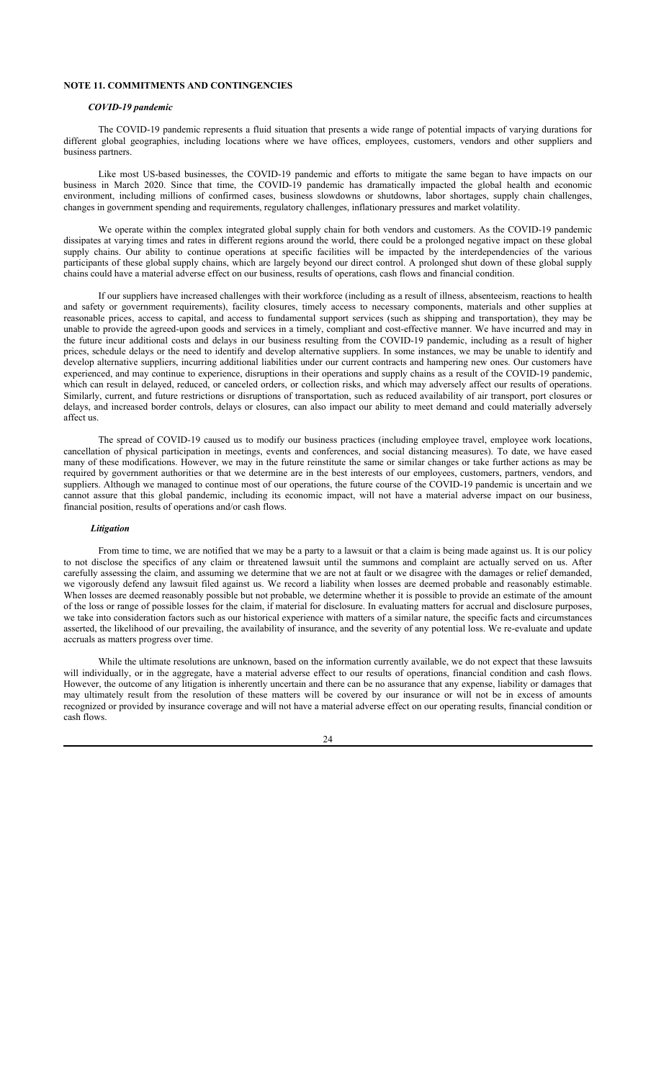## **NOTE 11. COMMITMENTS AND CONTINGENCIES**

## *COVID-19 pandemic*

The COVID-19 pandemic represents a fluid situation that presents a wide range of potential impacts of varying durations for different global geographies, including locations where we have offices, employees, customers, vendors and other suppliers and business partners.

Like most US-based businesses, the COVID-19 pandemic and efforts to mitigate the same began to have impacts on our business in March 2020. Since that time, the COVID-19 pandemic has dramatically impacted the global health and economic environment, including millions of confirmed cases, business slowdowns or shutdowns, labor shortages, supply chain challenges, changes in government spending and requirements, regulatory challenges, inflationary pressures and market volatility.

We operate within the complex integrated global supply chain for both vendors and customers. As the COVID-19 pandemic dissipates at varying times and rates in different regions around the world, there could be a prolonged negative impact on these global supply chains. Our ability to continue operations at specific facilities will be impacted by the interdependencies of the various participants of these global supply chains, which are largely beyond our direct control. A prolonged shut down of these global supply chains could have a material adverse effect on our business, results of operations, cash flows and financial condition.

If our suppliers have increased challenges with their workforce (including as a result of illness, absenteeism, reactions to health and safety or government requirements), facility closures, timely access to necessary components, materials and other supplies at reasonable prices, access to capital, and access to fundamental support services (such as shipping and transportation), they may be unable to provide the agreed-upon goods and services in a timely, compliant and cost-effective manner. We have incurred and may in the future incur additional costs and delays in our business resulting from the COVID-19 pandemic, including as a result of higher prices, schedule delays or the need to identify and develop alternative suppliers. In some instances, we may be unable to identify and develop alternative suppliers, incurring additional liabilities under our current contracts and hampering new ones. Our customers have experienced, and may continue to experience, disruptions in their operations and supply chains as a result of the COVID-19 pandemic, which can result in delayed, reduced, or canceled orders, or collection risks, and which may adversely affect our results of operations. Similarly, current, and future restrictions or disruptions of transportation, such as reduced availability of air transport, port closures or delays, and increased border controls, delays or closures, can also impact our ability to meet demand and could materially adversely affect us.

The spread of COVID-19 caused us to modify our business practices (including employee travel, employee work locations, cancellation of physical participation in meetings, events and conferences, and social distancing measures). To date, we have eased many of these modifications. However, we may in the future reinstitute the same or similar changes or take further actions as may be required by government authorities or that we determine are in the best interests of our employees, customers, partners, vendors, and suppliers. Although we managed to continue most of our operations, the future course of the COVID-19 pandemic is uncertain and we cannot assure that this global pandemic, including its economic impact, will not have a material adverse impact on our business, financial position, results of operations and/or cash flows.

## *Litigation*

From time to time, we are notified that we may be a party to a lawsuit or that a claim is being made against us. It is our policy to not disclose the specifics of any claim or threatened lawsuit until the summons and complaint are actually served on us. After carefully assessing the claim, and assuming we determine that we are not at fault or we disagree with the damages or relief demanded, we vigorously defend any lawsuit filed against us. We record a liability when losses are deemed probable and reasonably estimable. When losses are deemed reasonably possible but not probable, we determine whether it is possible to provide an estimate of the amount of the loss or range of possible losses for the claim, if material for disclosure. In evaluating matters for accrual and disclosure purposes, we take into consideration factors such as our historical experience with matters of a similar nature, the specific facts and circumstances asserted, the likelihood of our prevailing, the availability of insurance, and the severity of any potential loss. We re-evaluate and update accruals as matters progress over time.

While the ultimate resolutions are unknown, based on the information currently available, we do not expect that these lawsuits will individually, or in the aggregate, have a material adverse effect to our results of operations, financial condition and cash flows. However, the outcome of any litigation is inherently uncertain and there can be no assurance that any expense, liability or damages that may ultimately result from the resolution of these matters will be covered by our insurance or will not be in excess of amounts recognized or provided by insurance coverage and will not have a material adverse effect on our operating results, financial condition or cash flows.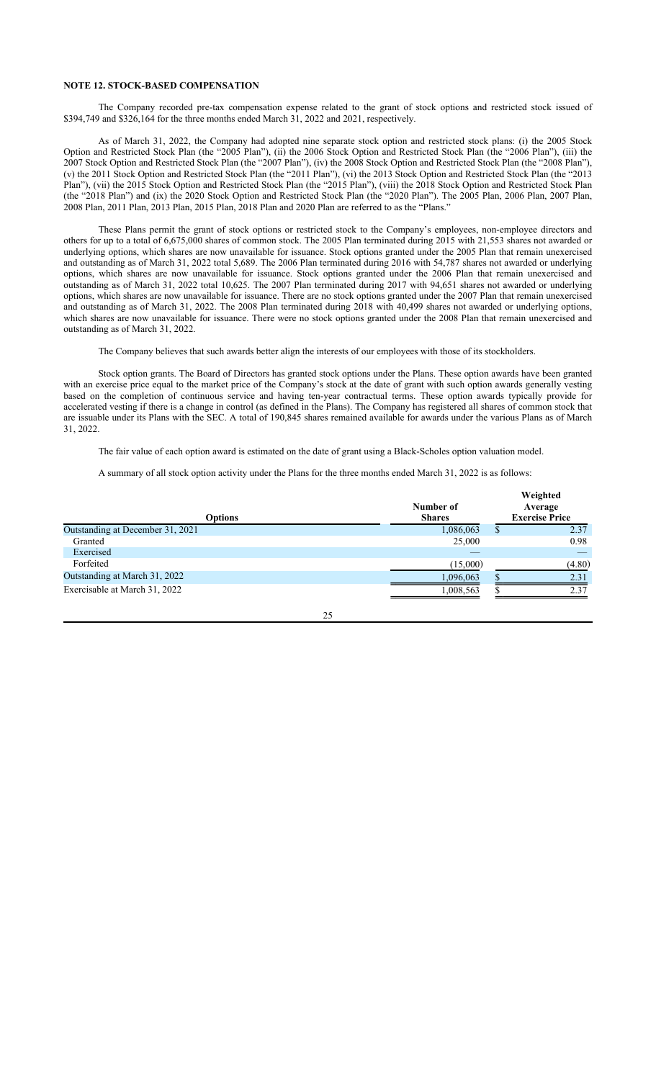#### **NOTE 12. STOCK-BASED COMPENSATION**

The Company recorded pre-tax compensation expense related to the grant of stock options and restricted stock issued of \$394,749 and \$326,164 for the three months ended March 31, 2022 and 2021, respectively.

As of March 31, 2022, the Company had adopted nine separate stock option and restricted stock plans: (i) the 2005 Stock Option and Restricted Stock Plan (the "2005 Plan"), (ii) the 2006 Stock Option and Restricted Stock Plan (the "2006 Plan"), (iii) the 2007 Stock Option and Restricted Stock Plan (the "2007 Plan"), (iv) the 2008 Stock Option and Restricted Stock Plan (the "2008 Plan"), (v) the 2011 Stock Option and Restricted Stock Plan (the "2011 Plan"), (vi) the 2013 Stock Option and Restricted Stock Plan (the "2013 Plan"), (vii) the 2015 Stock Option and Restricted Stock Plan (the "2015 Plan"), (viii) the 2018 Stock Option and Restricted Stock Plan (the "2018 Plan") and (ix) the 2020 Stock Option and Restricted Stock Plan (the "2020 Plan"). The 2005 Plan, 2006 Plan, 2007 Plan, 2008 Plan, 2011 Plan, 2013 Plan, 2015 Plan, 2018 Plan and 2020 Plan are referred to as the "Plans."

These Plans permit the grant of stock options or restricted stock to the Company's employees, non-employee directors and others for up to a total of 6,675,000 shares of common stock. The 2005 Plan terminated during 2015 with 21,553 shares not awarded or underlying options, which shares are now unavailable for issuance. Stock options granted under the 2005 Plan that remain unexercised and outstanding as of March 31, 2022 total 5,689. The 2006 Plan terminated during 2016 with 54,787 shares not awarded or underlying options, which shares are now unavailable for issuance. Stock options granted under the 2006 Plan that remain unexercised and outstanding as of March 31, 2022 total 10,625. The 2007 Plan terminated during 2017 with 94,651 shares not awarded or underlying options, which shares are now unavailable for issuance. There are no stock options granted under the 2007 Plan that remain unexercised and outstanding as of March 31, 2022. The 2008 Plan terminated during 2018 with 40,499 shares not awarded or underlying options, which shares are now unavailable for issuance. There were no stock options granted under the 2008 Plan that remain unexercised and outstanding as of March 31, 2022.

The Company believes that such awards better align the interests of our employees with those of its stockholders.

Stock option grants. The Board of Directors has granted stock options under the Plans. These option awards have been granted with an exercise price equal to the market price of the Company's stock at the date of grant with such option awards generally vesting based on the completion of continuous service and having ten-year contractual terms. These option awards typically provide for accelerated vesting if there is a change in control (as defined in the Plans). The Company has registered all shares of common stock that are issuable under its Plans with the SEC. A total of 190,845 shares remained available for awards under the various Plans as of March 31, 2022.

The fair value of each option award is estimated on the date of grant using a Black-Scholes option valuation model.

A summary of all stock option activity under the Plans for the three months ended March 31, 2022 is as follows:

| <b>Options</b>                   | Number of<br><b>Shares</b> |   | Weighted<br>Average<br><b>Exercise Price</b> |
|----------------------------------|----------------------------|---|----------------------------------------------|
| Outstanding at December 31, 2021 | 1,086,063                  | S | 2.37                                         |
| Granted                          | 25,000                     |   | 0.98                                         |
| Exercised                        |                            |   |                                              |
| Forfeited                        | (15,000)                   |   | (4.80)                                       |
| Outstanding at March 31, 2022    | 1,096,063                  |   | 2.31                                         |
| Exercisable at March 31, 2022    | 1,008,563                  |   | 2.37                                         |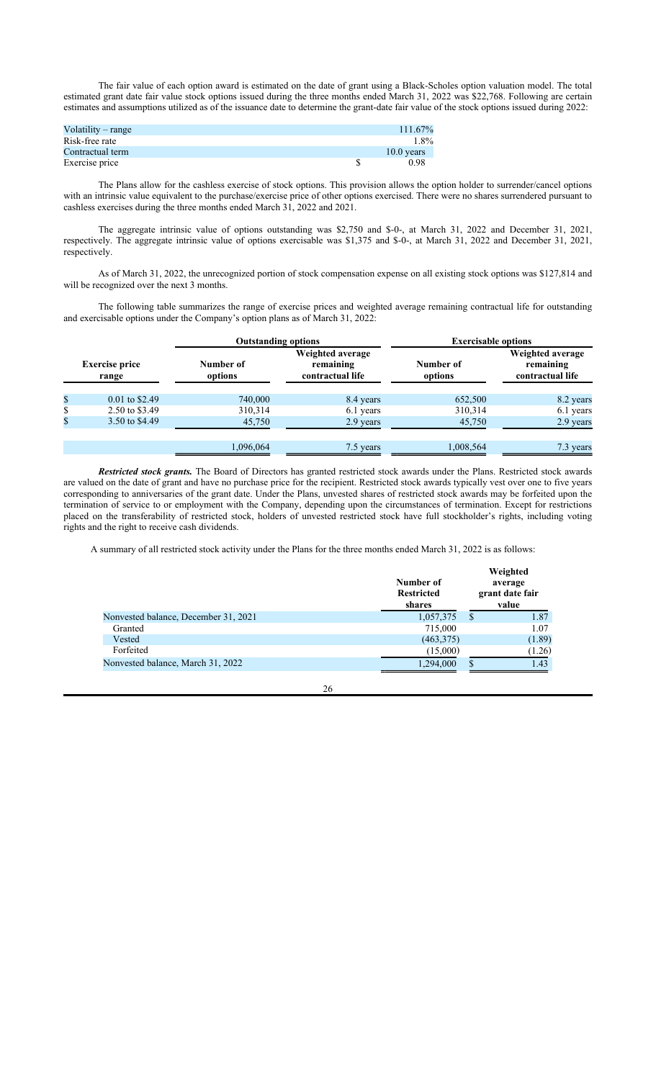The fair value of each option award is estimated on the date of grant using a Black-Scholes option valuation model. The total estimated grant date fair value stock options issued during the three months ended March 31, 2022 was \$22,768. Following are certain estimates and assumptions utilized as of the issuance date to determine the grant-date fair value of the stock options issued during 2022:

| Volatility $-$ range | 111.67%      |
|----------------------|--------------|
| Risk-free rate       | 1.8%         |
| Contractual term     | $10.0$ years |
| Exercise price       | 0.98         |

The Plans allow for the cashless exercise of stock options. This provision allows the option holder to surrender/cancel options with an intrinsic value equivalent to the purchase/exercise price of other options exercised. There were no shares surrendered pursuant to cashless exercises during the three months ended March 31, 2022 and 2021.

The aggregate intrinsic value of options outstanding was \$2,750 and \$-0-, at March 31, 2022 and December 31, 2021, respectively. The aggregate intrinsic value of options exercisable was \$1,375 and \$-0-, at March 31, 2022 and December 31, 2021, respectively.

As of March 31, 2022, the unrecognized portion of stock compensation expense on all existing stock options was \$127,814 and will be recognized over the next 3 months.

The following table summarizes the range of exercise prices and weighted average remaining contractual life for outstanding and exercisable options under the Company's option plans as of March 31, 2022:

|                                |                  | <b>Outstanding options</b> |                                                   |                      | <b>Exercisable options</b>                        |  |  |
|--------------------------------|------------------|----------------------------|---------------------------------------------------|----------------------|---------------------------------------------------|--|--|
| <b>Exercise price</b><br>range |                  | Number of<br>options       | Weighted average<br>remaining<br>contractual life | Number of<br>options | Weighted average<br>remaining<br>contractual life |  |  |
| \$                             | $0.01$ to \$2.49 | 740,000                    | 8.4 years                                         | 652,500              | 8.2 years                                         |  |  |
| \$                             | 2.50 to \$3.49   | 310,314                    | 6.1 years                                         | 310,314              | 6.1 years                                         |  |  |
| \$                             | 3.50 to \$4.49   | 45,750                     | 2.9 years                                         | 45,750               | 2.9 years                                         |  |  |
|                                |                  | 1,096,064                  | 7.5 years                                         | 1,008,564            | 7.3 years                                         |  |  |

*Restricted stock grants.* The Board of Directors has granted restricted stock awards under the Plans. Restricted stock awards are valued on the date of grant and have no purchase price for the recipient. Restricted stock awards typically vest over one to five years corresponding to anniversaries of the grant date. Under the Plans, unvested shares of restricted stock awards may be forfeited upon the termination of service to or employment with the Company, depending upon the circumstances of termination. Except for restrictions placed on the transferability of restricted stock, holders of unvested restricted stock have full stockholder's rights, including voting rights and the right to receive cash dividends.

A summary of all restricted stock activity under the Plans for the three months ended March 31, 2022 is as follows:

|                                      | Number of<br><b>Restricted</b><br>shares | Weighted<br>average<br>grant date fair<br>value |        |
|--------------------------------------|------------------------------------------|-------------------------------------------------|--------|
| Nonvested balance, December 31, 2021 | 1,057,375                                | S                                               | 1.87   |
| Granted                              | 715,000                                  |                                                 | 1.07   |
| Vested                               | (463,375)                                |                                                 | (1.89) |
| Forfeited                            | (15,000)                                 |                                                 | (1.26) |
| Nonvested balance, March 31, 2022    | 1,294,000                                |                                                 | 1.43   |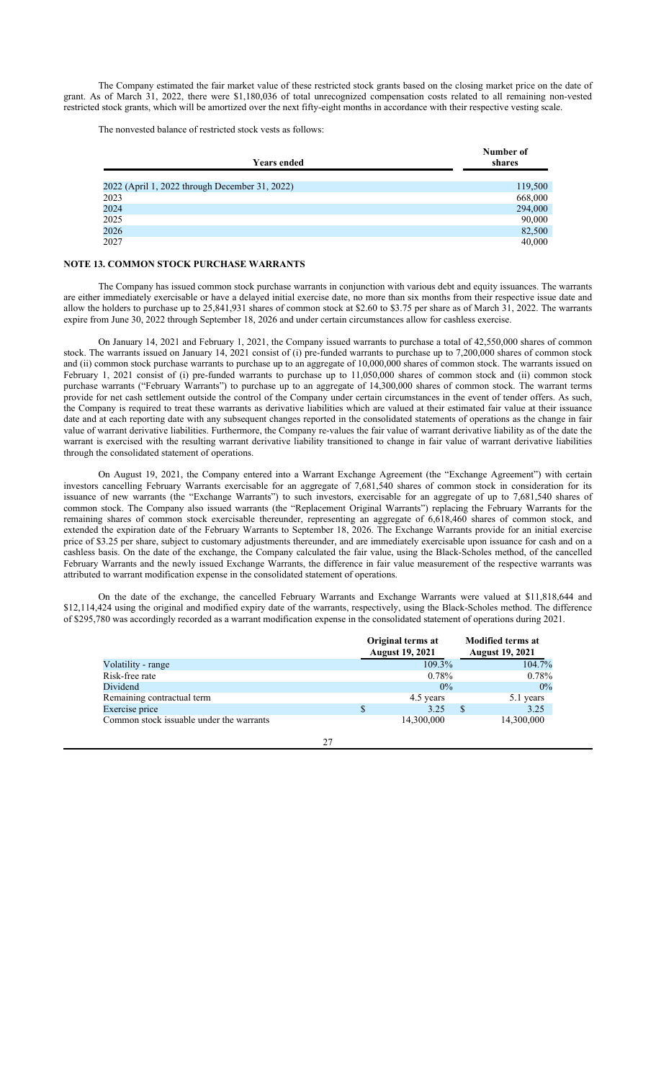The Company estimated the fair market value of these restricted stock grants based on the closing market price on the date of grant. As of March 31, 2022, there were \$1,180,036 of total unrecognized compensation costs related to all remaining non-vested restricted stock grants, which will be amortized over the next fifty-eight months in accordance with their respective vesting scale.

**Number of**

The nonvested balance of restricted stock vests as follows:

| <b>Years ended</b>                             | Number of<br>shares |
|------------------------------------------------|---------------------|
|                                                |                     |
| 2022 (April 1, 2022 through December 31, 2022) | 119,500             |
| 2023                                           | 668,000             |
| 2024                                           | 294,000             |
| 2025                                           | 90,000              |
| 2026                                           | 82,500              |
| 2027                                           | 40,000              |

## **NOTE 13. COMMON STOCK PURCHASE WARRANTS**

The Company has issued common stock purchase warrants in conjunction with various debt and equity issuances. The warrants are either immediately exercisable or have a delayed initial exercise date, no more than six months from their respective issue date and allow the holders to purchase up to 25,841,931 shares of common stock at \$2.60 to \$3.75 per share as of March 31, 2022. The warrants expire from June 30, 2022 through September 18, 2026 and under certain circumstances allow for cashless exercise.

On January 14, 2021 and February 1, 2021, the Company issued warrants to purchase a total of 42,550,000 shares of common stock. The warrants issued on January 14, 2021 consist of (i) pre-funded warrants to purchase up to 7,200,000 shares of common stock and (ii) common stock purchase warrants to purchase up to an aggregate of 10,000,000 shares of common stock. The warrants issued on February 1, 2021 consist of (i) pre-funded warrants to purchase up to 11,050,000 shares of common stock and (ii) common stock purchase warrants ("February Warrants") to purchase up to an aggregate of 14,300,000 shares of common stock. The warrant terms provide for net cash settlement outside the control of the Company under certain circumstances in the event of tender offers. As such, the Company is required to treat these warrants as derivative liabilities which are valued at their estimated fair value at their issuance date and at each reporting date with any subsequent changes reported in the consolidated statements of operations as the change in fair value of warrant derivative liabilities. Furthermore, the Company re-values the fair value of warrant derivative liability as of the date the warrant is exercised with the resulting warrant derivative liability transitioned to change in fair value of warrant derivative liabilities through the consolidated statement of operations.

On August 19, 2021, the Company entered into a Warrant Exchange Agreement (the "Exchange Agreement") with certain investors cancelling February Warrants exercisable for an aggregate of 7,681,540 shares of common stock in consideration for its issuance of new warrants (the "Exchange Warrants") to such investors, exercisable for an aggregate of up to 7,681,540 shares of common stock. The Company also issued warrants (the "Replacement Original Warrants") replacing the February Warrants for the remaining shares of common stock exercisable thereunder, representing an aggregate of 6,618,460 shares of common stock, and extended the expiration date of the February Warrants to September 18, 2026. The Exchange Warrants provide for an initial exercise price of \$3.25 per share, subject to customary adjustments thereunder, and are immediately exercisable upon issuance for cash and on a cashless basis. On the date of the exchange, the Company calculated the fair value, using the Black-Scholes method, of the cancelled February Warrants and the newly issued Exchange Warrants, the difference in fair value measurement of the respective warrants was attributed to warrant modification expense in the consolidated statement of operations.

On the date of the exchange, the cancelled February Warrants and Exchange Warrants were valued at \$11,818,644 and \$12,114,424 using the original and modified expiry date of the warrants, respectively, using the Black-Scholes method. The difference of \$295,780 was accordingly recorded as a warrant modification expense in the consolidated statement of operations during 2021.

|                                          |    | Original terms at<br><b>August 19, 2021</b> |   | <b>Modified terms at</b><br><b>August 19, 2021</b> |
|------------------------------------------|----|---------------------------------------------|---|----------------------------------------------------|
| Volatility - range                       |    | 109.3%                                      |   | 104.7%                                             |
| Risk-free rate                           |    | $0.78\%$                                    |   | 0.78%                                              |
| Dividend                                 |    | $0\%$                                       |   | 0%                                                 |
| Remaining contractual term               |    | 4.5 years                                   |   | 5.1 years                                          |
| Exercise price                           | \$ | 3.25                                        | S | 3.25                                               |
| Common stock issuable under the warrants |    | 14,300,000                                  |   | 14,300,000                                         |
|                                          |    |                                             |   |                                                    |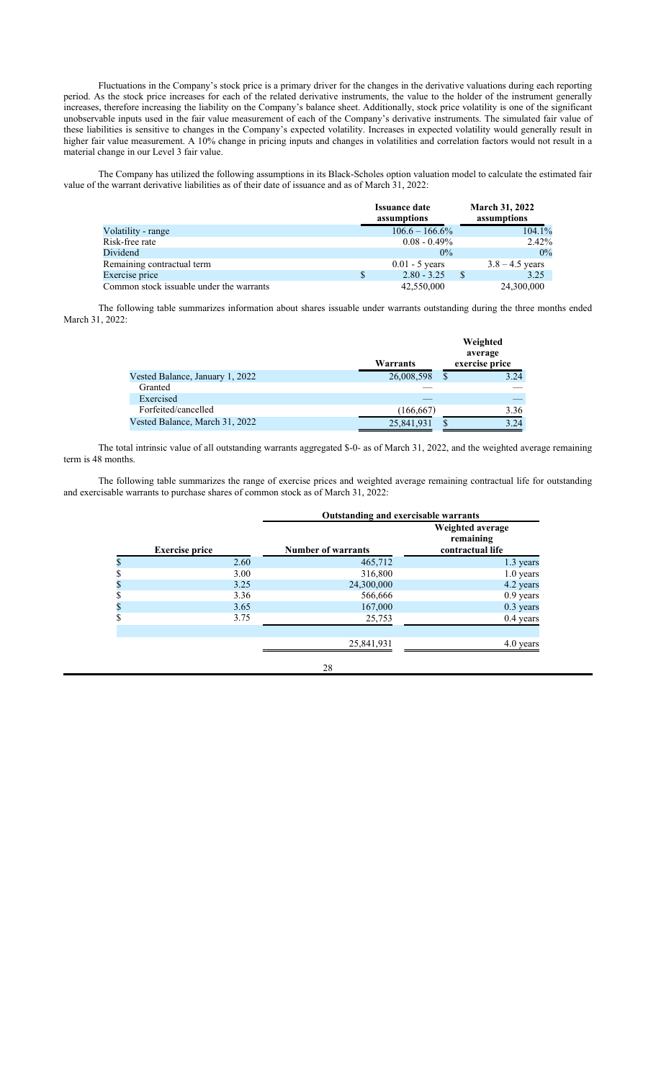Fluctuations in the Company's stock price is a primary driver for the changes in the derivative valuations during each reporting period. As the stock price increases for each of the related derivative instruments, the value to the holder of the instrument generally increases, therefore increasing the liability on the Company's balance sheet. Additionally, stock price volatility is one of the significant unobservable inputs used in the fair value measurement of each of the Company's derivative instruments. The simulated fair value of these liabilities is sensitive to changes in the Company's expected volatility. Increases in expected volatility would generally result in higher fair value measurement. A 10% change in pricing inputs and changes in volatilities and correlation factors would not result in a material change in our Level 3 fair value.

The Company has utilized the following assumptions in its Black-Scholes option valuation model to calculate the estimated fair value of the warrant derivative liabilities as of their date of issuance and as of March 31, 2022:

|                                           | <b>Issuance date</b><br>assumptions | <b>March 31, 2022</b><br>assumptions |
|-------------------------------------------|-------------------------------------|--------------------------------------|
| Volatility - range                        | $106.6 - 166.6\%$                   | 104.1%                               |
| Risk-free rate                            | $0.08 - 0.49\%$                     | 2.42%                                |
| Dividend                                  | $0\%$                               | $0\%$                                |
| Remaining contractual term                | $0.01 - 5$ years                    | $3.8 - 4.5$ years                    |
| Exercise price                            | $2.80 - 3.25$                       | 3.25                                 |
| Common stock is suable under the warrants | 42,550,000                          | 24,300,000                           |

The following table summarizes information about shares issuable under warrants outstanding during the three months ended March 31, 2022:

|                                 | Warrants   | Weighted<br>average<br>exercise price |  |
|---------------------------------|------------|---------------------------------------|--|
| Vested Balance, January 1, 2022 | 26,008,598 | 3.24<br><sup>\$</sup>                 |  |
| Granted                         |            |                                       |  |
| Exercised                       |            |                                       |  |
| Forfeited/cancelled             | (166, 667) | 3.36                                  |  |
| Vested Balance, March 31, 2022  | 25,841,931 | 3.24                                  |  |

The total intrinsic value of all outstanding warrants aggregated \$-0- as of March 31, 2022, and the weighted average remaining term is 48 months.

The following table summarizes the range of exercise prices and weighted average remaining contractual life for outstanding and exercisable warrants to purchase shares of common stock as of March 31, 2022:

|                       | Outstanding and exercisable warrants |                                                   |  |  |  |
|-----------------------|--------------------------------------|---------------------------------------------------|--|--|--|
| <b>Exercise price</b> | <b>Number of warrants</b>            | Weighted average<br>remaining<br>contractual life |  |  |  |
| \$<br>2.60            | 465,712                              | 1.3 years                                         |  |  |  |
| \$<br>3.00            | 316,800                              | 1.0 years                                         |  |  |  |
| \$<br>3.25            | 24,300,000                           | 4.2 years                                         |  |  |  |
| \$<br>3.36            | 566,666                              | 0.9 years                                         |  |  |  |
| \$<br>3.65            | 167,000                              | $0.3$ years                                       |  |  |  |
| \$<br>3.75            | 25,753                               | 0.4 years                                         |  |  |  |
|                       |                                      |                                                   |  |  |  |
|                       | 25,841,931                           | 4.0 years                                         |  |  |  |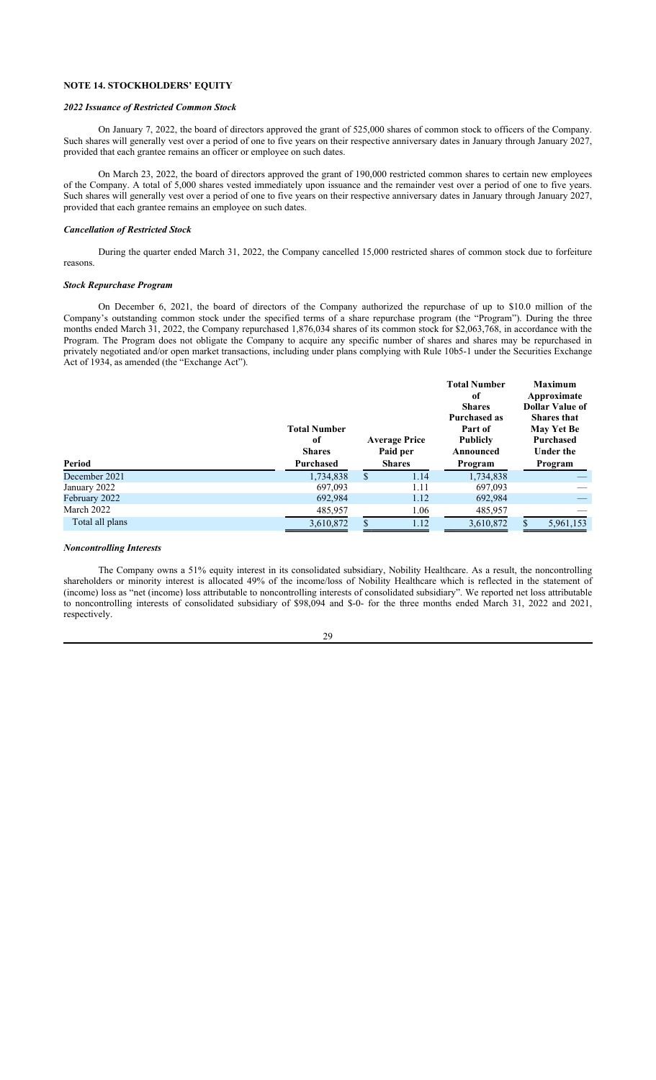## **NOTE 14. STOCKHOLDERS' EQUITY**

## *2022 Issuance of Restricted Common Stock*

On January 7, 2022, the board of directors approved the grant of 525,000 shares of common stock to officers of the Company. Such shares will generally vest over a period of one to five years on their respective anniversary dates in January through January 2027, provided that each grantee remains an officer or employee on such dates.

On March 23, 2022, the board of directors approved the grant of 190,000 restricted common shares to certain new employees of the Company. A total of 5,000 shares vested immediately upon issuance and the remainder vest over a period of one to five years. Such shares will generally vest over a period of one to five years on their respective anniversary dates in January through January 2027, provided that each grantee remains an employee on such dates.

#### *Cancellation of Restricted Stock*

During the quarter ended March 31, 2022, the Company cancelled 15,000 restricted shares of common stock due to forfeiture reasons.

#### *Stock Repurchase Program*

On December 6, 2021, the board of directors of the Company authorized the repurchase of up to \$10.0 million of the Company's outstanding common stock under the specified terms of a share repurchase program (the "Program"). During the three months ended March 31, 2022, the Company repurchased 1,876,034 shares of its common stock for \$2,063,768, in accordance with the Program. The Program does not obligate the Company to acquire any specific number of shares and shares may be repurchased in privately negotiated and/or open market transactions, including under plans complying with Rule 10b5-1 under the Securities Exchange Act of 1934, as amended (the "Exchange Act").

|                 | <b>Total Number</b><br>of<br><b>Shares</b> |     | <b>Average Price</b><br>Paid per | <b>Total Number</b><br>of<br><b>Shares</b><br><b>Purchased as</b><br>Part of<br><b>Publicly</b><br>Announced | <b>Maximum</b><br>Approximate<br><b>Dollar Value of</b><br><b>Shares that</b><br><b>May Yet Be</b><br>Purchased<br>Under the |
|-----------------|--------------------------------------------|-----|----------------------------------|--------------------------------------------------------------------------------------------------------------|------------------------------------------------------------------------------------------------------------------------------|
| Period          | <b>Purchased</b>                           |     | <b>Shares</b>                    | Program                                                                                                      | Program                                                                                                                      |
| December 2021   | 1,734,838                                  | \$. | 1.14                             | 1,734,838                                                                                                    |                                                                                                                              |
| January 2022    | 697,093                                    |     | 1.11                             | 697,093                                                                                                      |                                                                                                                              |
| February 2022   | 692,984                                    |     | 1.12                             | 692,984                                                                                                      |                                                                                                                              |
| March 2022      | 485,957                                    |     | 1.06                             | 485,957                                                                                                      |                                                                                                                              |
| Total all plans | 3,610,872                                  |     | 1.12                             | 3,610,872                                                                                                    | 5,961,153                                                                                                                    |

# *Noncontrolling Interests*

The Company owns a 51% equity interest in its consolidated subsidiary, Nobility Healthcare. As a result, the noncontrolling shareholders or minority interest is allocated 49% of the income/loss of Nobility Healthcare which is reflected in the statement of (income) loss as "net (income) loss attributable to noncontrolling interests of consolidated subsidiary". We reported net loss attributable to noncontrolling interests of consolidated subsidiary of \$98,094 and \$-0- for the three months ended March 31, 2022 and 2021, respectively.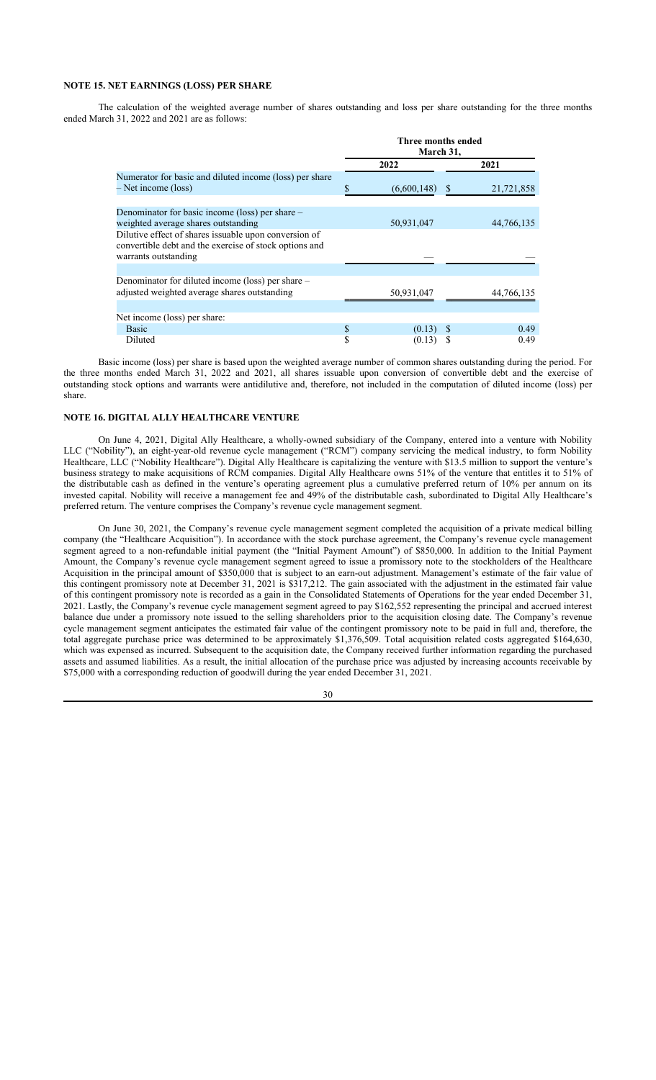## **NOTE 15. NET EARNINGS (LOSS) PER SHARE**

The calculation of the weighted average number of shares outstanding and loss per share outstanding for the three months ended March 31, 2022 and 2021 are as follows:

|                                                         | Three months ended<br>March 31, |             |              |            |
|---------------------------------------------------------|---------------------------------|-------------|--------------|------------|
|                                                         |                                 | 2022        |              | 2021       |
| Numerator for basic and diluted income (loss) per share |                                 |             |              |            |
| - Net income (loss)                                     |                                 | (6,600,148) | <sup>S</sup> | 21,721,858 |
|                                                         |                                 |             |              |            |
| Denominator for basic income (loss) per share –         |                                 |             |              |            |
| weighted average shares outstanding                     |                                 | 50,931,047  |              | 44,766,135 |
| Dilutive effect of shares issuable upon conversion of   |                                 |             |              |            |
| convertible debt and the exercise of stock options and  |                                 |             |              |            |
| warrants outstanding                                    |                                 |             |              |            |
|                                                         |                                 |             |              |            |
| Denominator for diluted income (loss) per share –       |                                 |             |              |            |
| adjusted weighted average shares outstanding            |                                 | 50,931,047  |              | 44,766,135 |
|                                                         |                                 |             |              |            |
| Net income (loss) per share:                            |                                 |             |              |            |
| Basic                                                   | \$                              | (0.13)      | -S           | 0.49       |
| Diluted                                                 | \$                              | (0.13)      |              | 0.49       |

Basic income (loss) per share is based upon the weighted average number of common shares outstanding during the period. For the three months ended March 31, 2022 and 2021, all shares issuable upon conversion of convertible debt and the exercise of outstanding stock options and warrants were antidilutive and, therefore, not included in the computation of diluted income (loss) per share.

# **NOTE 16. DIGITAL ALLY HEALTHCARE VENTURE**

On June 4, 2021, Digital Ally Healthcare, a wholly-owned subsidiary of the Company, entered into a venture with Nobility LLC ("Nobility"), an eight-year-old revenue cycle management ("RCM") company servicing the medical industry, to form Nobility Healthcare, LLC ("Nobility Healthcare"). Digital Ally Healthcare is capitalizing the venture with \$13.5 million to support the venture's business strategy to make acquisitions of RCM companies. Digital Ally Healthcare owns 51% of the venture that entitles it to 51% of the distributable cash as defined in the venture's operating agreement plus a cumulative preferred return of 10% per annum on its invested capital. Nobility will receive a management fee and 49% of the distributable cash, subordinated to Digital Ally Healthcare's preferred return. The venture comprises the Company's revenue cycle management segment.

On June 30, 2021, the Company's revenue cycle management segment completed the acquisition of a private medical billing company (the "Healthcare Acquisition"). In accordance with the stock purchase agreement, the Company's revenue cycle management segment agreed to a non-refundable initial payment (the "Initial Payment Amount") of \$850,000. In addition to the Initial Payment Amount, the Company's revenue cycle management segment agreed to issue a promissory note to the stockholders of the Healthcare Acquisition in the principal amount of \$350,000 that is subject to an earn-out adjustment. Management's estimate of the fair value of this contingent promissory note at December 31, 2021 is \$317,212. The gain associated with the adjustment in the estimated fair value of this contingent promissory note is recorded as a gain in the Consolidated Statements of Operations for the year ended December 31, 2021. Lastly, the Company's revenue cycle management segment agreed to pay \$162,552 representing the principal and accrued interest balance due under a promissory note issued to the selling shareholders prior to the acquisition closing date. The Company's revenue cycle management segment anticipates the estimated fair value of the contingent promissory note to be paid in full and, therefore, the total aggregate purchase price was determined to be approximately \$1,376,509. Total acquisition related costs aggregated \$164,630, which was expensed as incurred. Subsequent to the acquisition date, the Company received further information regarding the purchased assets and assumed liabilities. As a result, the initial allocation of the purchase price was adjusted by increasing accounts receivable by \$75,000 with a corresponding reduction of goodwill during the year ended December 31, 2021.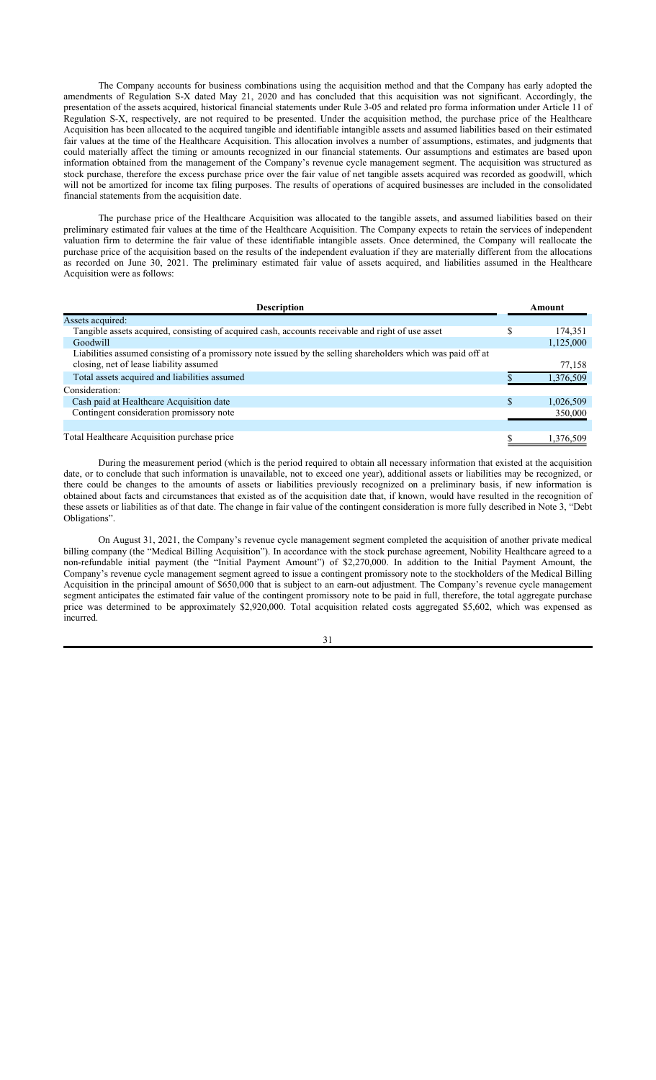The Company accounts for business combinations using the acquisition method and that the Company has early adopted the amendments of Regulation S-X dated May 21, 2020 and has concluded that this acquisition was not significant. Accordingly, the presentation of the assets acquired, historical financial statements under Rule 3-05 and related pro forma information under Article 11 of Regulation S-X, respectively, are not required to be presented. Under the acquisition method, the purchase price of the Healthcare Acquisition has been allocated to the acquired tangible and identifiable intangible assets and assumed liabilities based on their estimated fair values at the time of the Healthcare Acquisition. This allocation involves a number of assumptions, estimates, and judgments that could materially affect the timing or amounts recognized in our financial statements. Our assumptions and estimates are based upon information obtained from the management of the Company's revenue cycle management segment. The acquisition was structured as stock purchase, therefore the excess purchase price over the fair value of net tangible assets acquired was recorded as goodwill, which will not be amortized for income tax filing purposes. The results of operations of acquired businesses are included in the consolidated financial statements from the acquisition date.

The purchase price of the Healthcare Acquisition was allocated to the tangible assets, and assumed liabilities based on their preliminary estimated fair values at the time of the Healthcare Acquisition. The Company expects to retain the services of independent valuation firm to determine the fair value of these identifiable intangible assets. Once determined, the Company will reallocate the purchase price of the acquisition based on the results of the independent evaluation if they are materially different from the allocations as recorded on June 30, 2021. The preliminary estimated fair value of assets acquired, and liabilities assumed in the Healthcare Acquisition were as follows:

| <b>Description</b>                                                                                           |   | Amount    |
|--------------------------------------------------------------------------------------------------------------|---|-----------|
| Assets acquired:                                                                                             |   |           |
| Tangible assets acquired, consisting of acquired cash, accounts receivable and right of use asset            |   | 174,351   |
| Goodwill                                                                                                     |   | 1,125,000 |
| Liabilities assumed consisting of a promissory note issued by the selling shareholders which was paid off at |   |           |
| closing, net of lease liability assumed                                                                      |   | 77,158    |
| Total assets acquired and liabilities assumed                                                                |   | 1,376,509 |
| Consideration:                                                                                               |   |           |
| Cash paid at Healthcare Acquisition date                                                                     | S | 1,026,509 |
| Contingent consideration promissory note                                                                     |   | 350,000   |
|                                                                                                              |   |           |
| Total Healthcare Acquisition purchase price                                                                  |   | 1,376,509 |

During the measurement period (which is the period required to obtain all necessary information that existed at the acquisition date, or to conclude that such information is unavailable, not to exceed one year), additional assets or liabilities may be recognized, or there could be changes to the amounts of assets or liabilities previously recognized on a preliminary basis, if new information is obtained about facts and circumstances that existed as of the acquisition date that, if known, would have resulted in the recognition of these assets or liabilities as of that date. The change in fair value of the contingent consideration is more fully described in Note 3, "Debt Obligations".

On August 31, 2021, the Company's revenue cycle management segment completed the acquisition of another private medical billing company (the "Medical Billing Acquisition"). In accordance with the stock purchase agreement, Nobility Healthcare agreed to a non-refundable initial payment (the "Initial Payment Amount") of \$2,270,000. In addition to the Initial Payment Amount, the Company's revenue cycle management segment agreed to issue a contingent promissory note to the stockholders of the Medical Billing Acquisition in the principal amount of \$650,000 that is subject to an earn-out adjustment. The Company's revenue cycle management segment anticipates the estimated fair value of the contingent promissory note to be paid in full, therefore, the total aggregate purchase price was determined to be approximately \$2,920,000. Total acquisition related costs aggregated \$5,602, which was expensed as incurred.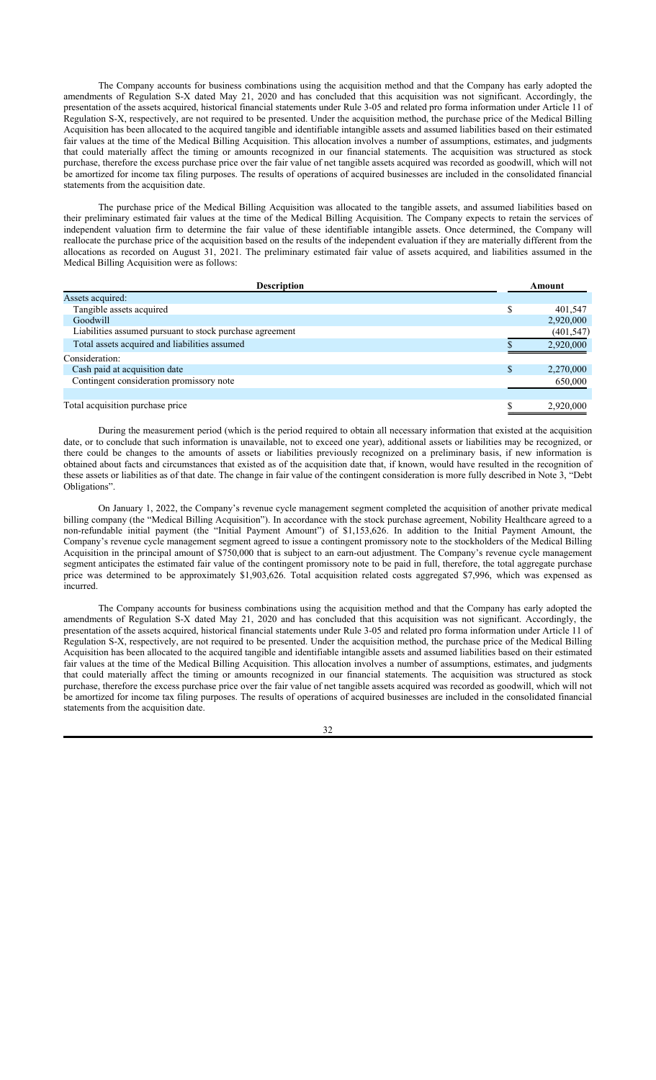The Company accounts for business combinations using the acquisition method and that the Company has early adopted the amendments of Regulation S-X dated May 21, 2020 and has concluded that this acquisition was not significant. Accordingly, the presentation of the assets acquired, historical financial statements under Rule 3-05 and related pro forma information under Article 11 of Regulation S-X, respectively, are not required to be presented. Under the acquisition method, the purchase price of the Medical Billing Acquisition has been allocated to the acquired tangible and identifiable intangible assets and assumed liabilities based on their estimated fair values at the time of the Medical Billing Acquisition. This allocation involves a number of assumptions, estimates, and judgments that could materially affect the timing or amounts recognized in our financial statements. The acquisition was structured as stock purchase, therefore the excess purchase price over the fair value of net tangible assets acquired was recorded as goodwill, which will not be amortized for income tax filing purposes. The results of operations of acquired businesses are included in the consolidated financial statements from the acquisition date.

The purchase price of the Medical Billing Acquisition was allocated to the tangible assets, and assumed liabilities based on their preliminary estimated fair values at the time of the Medical Billing Acquisition. The Company expects to retain the services of independent valuation firm to determine the fair value of these identifiable intangible assets. Once determined, the Company will reallocate the purchase price of the acquisition based on the results of the independent evaluation if they are materially different from the allocations as recorded on August 31, 2021. The preliminary estimated fair value of assets acquired, and liabilities assumed in the Medical Billing Acquisition were as follows:

| <b>Description</b>                                       | Amount          |
|----------------------------------------------------------|-----------------|
| Assets acquired:                                         |                 |
| Tangible assets acquired                                 | 401.547         |
| Goodwill                                                 | 2,920,000       |
| Liabilities assumed pursuant to stock purchase agreement | (401, 547)      |
| Total assets acquired and liabilities assumed            | 2,920,000       |
| Consideration:                                           |                 |
| Cash paid at acquisition date                            | \$<br>2,270,000 |
| Contingent consideration promissory note                 | 650,000         |
|                                                          |                 |
| Total acquisition purchase price                         | 2,920,000       |

During the measurement period (which is the period required to obtain all necessary information that existed at the acquisition date, or to conclude that such information is unavailable, not to exceed one year), additional assets or liabilities may be recognized, or there could be changes to the amounts of assets or liabilities previously recognized on a preliminary basis, if new information is obtained about facts and circumstances that existed as of the acquisition date that, if known, would have resulted in the recognition of these assets or liabilities as of that date. The change in fair value of the contingent consideration is more fully described in Note 3, "Debt Obligations".

On January 1, 2022, the Company's revenue cycle management segment completed the acquisition of another private medical billing company (the "Medical Billing Acquisition"). In accordance with the stock purchase agreement, Nobility Healthcare agreed to a non-refundable initial payment (the "Initial Payment Amount") of \$1,153,626. In addition to the Initial Payment Amount, the Company's revenue cycle management segment agreed to issue a contingent promissory note to the stockholders of the Medical Billing Acquisition in the principal amount of \$750,000 that is subject to an earn-out adjustment. The Company's revenue cycle management segment anticipates the estimated fair value of the contingent promissory note to be paid in full, therefore, the total aggregate purchase price was determined to be approximately \$1,903,626. Total acquisition related costs aggregated \$7,996, which was expensed as incurred.

The Company accounts for business combinations using the acquisition method and that the Company has early adopted the amendments of Regulation S-X dated May 21, 2020 and has concluded that this acquisition was not significant. Accordingly, the presentation of the assets acquired, historical financial statements under Rule 3-05 and related pro forma information under Article 11 of Regulation S-X, respectively, are not required to be presented. Under the acquisition method, the purchase price of the Medical Billing Acquisition has been allocated to the acquired tangible and identifiable intangible assets and assumed liabilities based on their estimated fair values at the time of the Medical Billing Acquisition. This allocation involves a number of assumptions, estimates, and judgments that could materially affect the timing or amounts recognized in our financial statements. The acquisition was structured as stock purchase, therefore the excess purchase price over the fair value of net tangible assets acquired was recorded as goodwill, which will not be amortized for income tax filing purposes. The results of operations of acquired businesses are included in the consolidated financial statements from the acquisition date.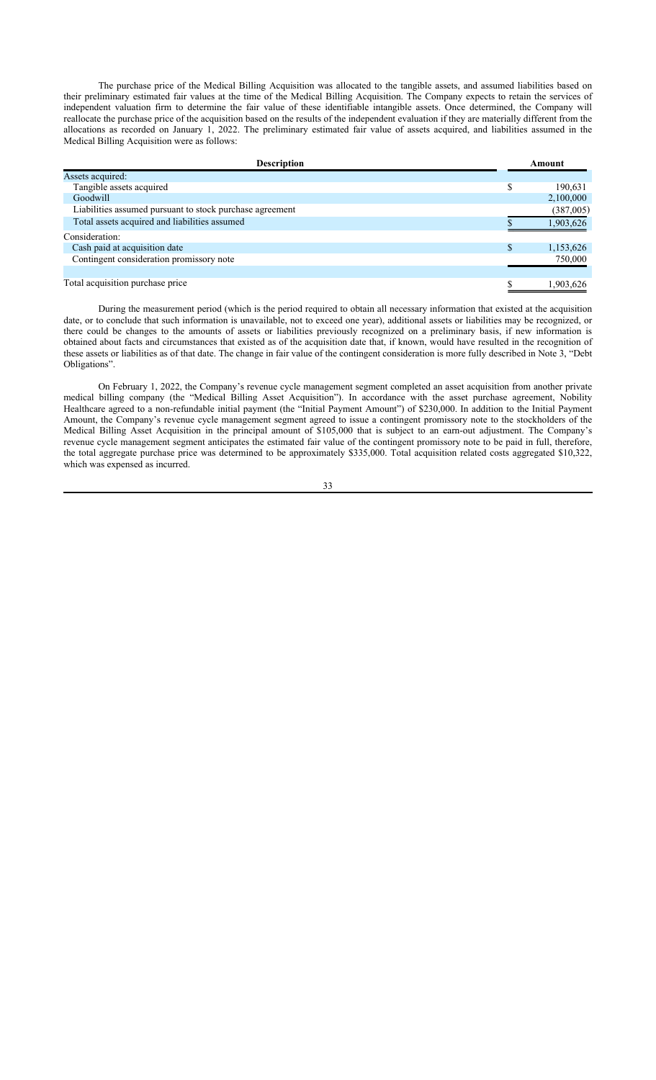The purchase price of the Medical Billing Acquisition was allocated to the tangible assets, and assumed liabilities based on their preliminary estimated fair values at the time of the Medical Billing Acquisition. The Company expects to retain the services of independent valuation firm to determine the fair value of these identifiable intangible assets. Once determined, the Company will reallocate the purchase price of the acquisition based on the results of the independent evaluation if they are materially different from the allocations as recorded on January 1, 2022. The preliminary estimated fair value of assets acquired, and liabilities assumed in the Medical Billing Acquisition were as follows:

| <b>Description</b>                                       |    | Amount    |
|----------------------------------------------------------|----|-----------|
| Assets acquired:                                         |    |           |
| Tangible assets acquired                                 | \$ | 190,631   |
| Goodwill                                                 |    | 2,100,000 |
| Liabilities assumed pursuant to stock purchase agreement |    | (387,005) |
| Total assets acquired and liabilities assumed            |    | 1,903,626 |
| Consideration:                                           |    |           |
| Cash paid at acquisition date                            | S  | 1,153,626 |
| Contingent consideration promissory note                 |    | 750,000   |
|                                                          |    |           |
| Total acquisition purchase price                         |    | 1.903.626 |

During the measurement period (which is the period required to obtain all necessary information that existed at the acquisition date, or to conclude that such information is unavailable, not to exceed one year), additional assets or liabilities may be recognized, or there could be changes to the amounts of assets or liabilities previously recognized on a preliminary basis, if new information is obtained about facts and circumstances that existed as of the acquisition date that, if known, would have resulted in the recognition of these assets or liabilities as of that date. The change in fair value of the contingent consideration is more fully described in Note 3, "Debt Obligations".

On February 1, 2022, the Company's revenue cycle management segment completed an asset acquisition from another private medical billing company (the "Medical Billing Asset Acquisition"). In accordance with the asset purchase agreement, Nobility Healthcare agreed to a non-refundable initial payment (the "Initial Payment Amount") of \$230,000. In addition to the Initial Payment Amount, the Company's revenue cycle management segment agreed to issue a contingent promissory note to the stockholders of the Medical Billing Asset Acquisition in the principal amount of \$105,000 that is subject to an earn-out adjustment. The Company's revenue cycle management segment anticipates the estimated fair value of the contingent promissory note to be paid in full, therefore, the total aggregate purchase price was determined to be approximately \$335,000. Total acquisition related costs aggregated \$10,322, which was expensed as incurred.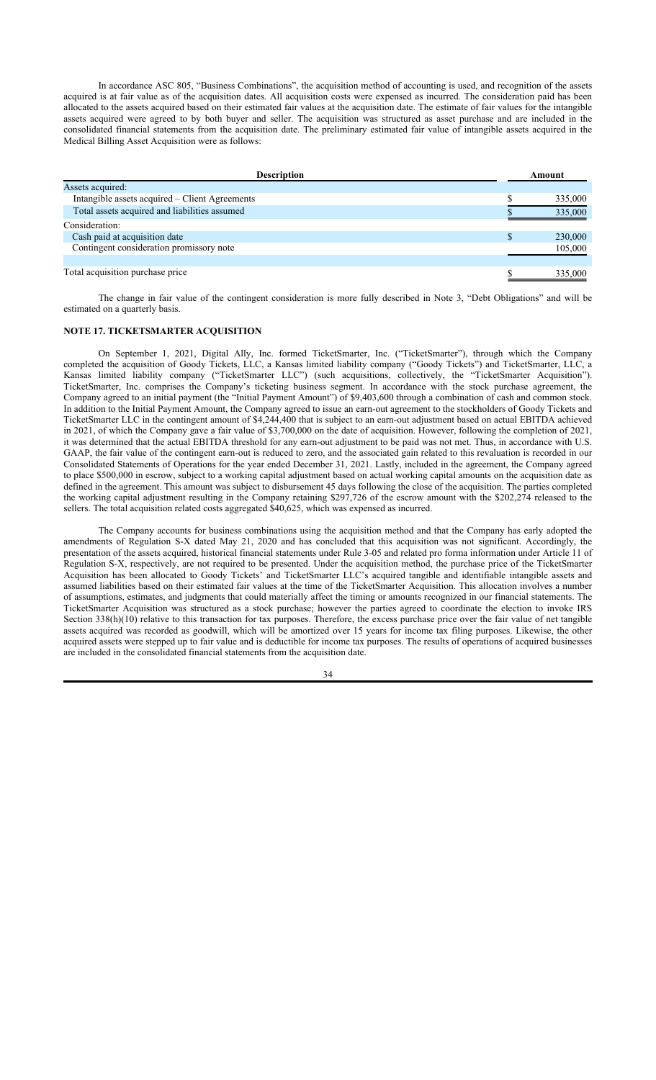In accordance ASC 805, "Business Combinations", the acquisition method of accounting is used, and recognition of the assets acquired is at fair value as of the acquisition dates. All acquisition costs were expensed as incurred. The consideration paid has been allocated to the assets acquired based on their estimated fair values at the acquisition date. The estimate of fair values for the intangible assets acquired were agreed to by both buyer and seller. The acquisition was structured as asset purchase and are included in the consolidated financial statements from the acquisition date. The preliminary estimated fair value of intangible assets acquired in the Medical Billing Asset Acquisition were as follows:

| <b>Description</b>                             | Amount  |
|------------------------------------------------|---------|
| Assets acquired:                               |         |
| Intangible assets acquired – Client Agreements | 335,000 |
| Total assets acquired and liabilities assumed  | 335,000 |
| Consideration:                                 |         |
| Cash paid at acquisition date                  | 230,000 |
| Contingent consideration promissory note       | 105,000 |
|                                                |         |
| Total acquisition purchase price               | 335,000 |

The change in fair value of the contingent consideration is more fully described in Note 3, "Debt Obligations" and will be estimated on a quarterly basis.

## **NOTE 17. TICKETSMARTER ACQUISITION**

On September 1, 2021, Digital Ally, Inc. formed TicketSmarter, Inc. ("TicketSmarter"), through which the Company completed the acquisition of Goody Tickets, LLC, a Kansas limited liability company ("Goody Tickets") and TicketSmarter, LLC, a Kansas limited liability company ("TicketSmarter LLC") (such acquisitions, collectively, the "TicketSmarter Acquisition"). TicketSmarter, Inc. comprises the Company's ticketing business segment. In accordance with the stock purchase agreement, the Company agreed to an initial payment (the "Initial Payment Amount") of \$9,403,600 through a combination of cash and common stock. In addition to the Initial Payment Amount, the Company agreed to issue an earn-out agreement to the stockholders of Goody Tickets and TicketSmarter LLC in the contingent amount of \$4,244,400 that is subject to an earn-out adjustment based on actual EBITDA achieved in 2021, of which the Company gave a fair value of \$3,700,000 on the date of acquisition. However, following the completion of 2021, it was determined that the actual EBITDA threshold for any earn-out adjustment to be paid was not met. Thus, in accordance with U.S. GAAP, the fair value of the contingent earn-out is reduced to zero, and the associated gain related to this revaluation is recorded in our Consolidated Statements of Operations for the year ended December 31, 2021. Lastly, included in the agreement, the Company agreed to place \$500,000 in escrow, subject to a working capital adjustment based on actual working capital amounts on the acquisition date as defined in the agreement. This amount was subject to disbursement 45 days following the close of the acquisition. The parties completed the working capital adjustment resulting in the Company retaining \$297,726 of the escrow amount with the \$202,274 released to the sellers. The total acquisition related costs aggregated \$40,625, which was expensed as incurred.

The Company accounts for business combinations using the acquisition method and that the Company has early adopted the amendments of Regulation S-X dated May 21, 2020 and has concluded that this acquisition was not significant. Accordingly, the presentation of the assets acquired, historical financial statements under Rule 3-05 and related pro forma information under Article 11 of Regulation S-X, respectively, are not required to be presented. Under the acquisition method, the purchase price of the TicketSmarter Acquisition has been allocated to Goody Tickets' and TicketSmarter LLC's acquired tangible and identifiable intangible assets and assumed liabilities based on their estimated fair values at the time of the TicketSmarter Acquisition. This allocation involves a number of assumptions, estimates, and judgments that could materially affect the timing or amounts recognized in our financial statements. The TicketSmarter Acquisition was structured as a stock purchase; however the parties agreed to coordinate the election to invoke IRS Section 338(h)(10) relative to this transaction for tax purposes. Therefore, the excess purchase price over the fair value of net tangible assets acquired was recorded as goodwill, which will be amortized over 15 years for income tax filing purposes. Likewise, the other acquired assets were stepped up to fair value and is deductible for income tax purposes. The results of operations of acquired businesses are included in the consolidated financial statements from the acquisition date.

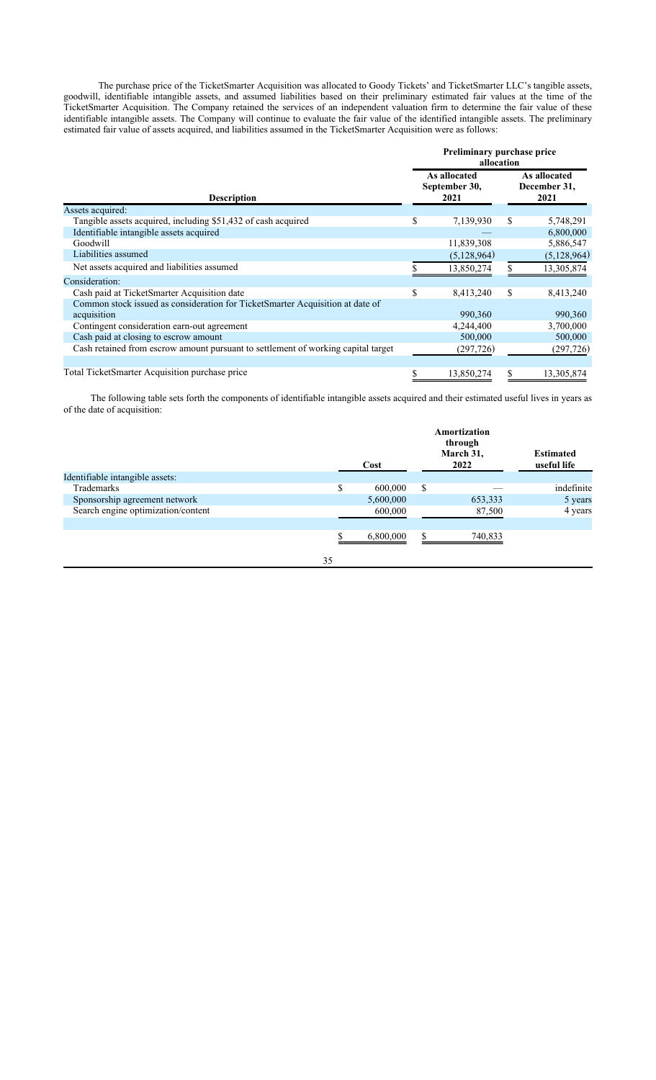The purchase price of the TicketSmarter Acquisition was allocated to Goody Tickets' and TicketSmarter LLC's tangible assets, goodwill, identifiable intangible assets, and assumed liabilities based on their preliminary estimated fair values at the time of the TicketSmarter Acquisition. The Company retained the services of an independent valuation firm to determine the fair value of these identifiable intangible assets. The Company will continue to evaluate the fair value of the identified intangible assets. The preliminary estimated fair value of assets acquired, and liabilities assumed in the TicketSmarter Acquisition were as follows:

|                                                                                   | Preliminary purchase price<br>allocation |                                       |    |                                      |  |
|-----------------------------------------------------------------------------------|------------------------------------------|---------------------------------------|----|--------------------------------------|--|
| <b>Description</b>                                                                |                                          | As allocated<br>September 30,<br>2021 |    | As allocated<br>December 31,<br>2021 |  |
| Assets acquired:                                                                  |                                          |                                       |    |                                      |  |
| Tangible assets acquired, including \$51,432 of cash acquired                     | \$                                       | 7,139,930                             | S  | 5,748,291                            |  |
| Identifiable intangible assets acquired                                           |                                          |                                       |    | 6,800,000                            |  |
| Goodwill                                                                          |                                          | 11,839,308                            |    | 5,886,547                            |  |
| Liabilities assumed                                                               |                                          | (5,128,964)                           |    | (5,128,964)                          |  |
| Net assets acquired and liabilities assumed                                       |                                          | 13,850,274                            |    | 13,305,874                           |  |
| Consideration:                                                                    |                                          |                                       |    |                                      |  |
| Cash paid at TicketSmarter Acquisition date                                       | \$                                       | 8,413,240                             | \$ | 8,413,240                            |  |
| Common stock issued as consideration for TicketSmarter Acquisition at date of     |                                          |                                       |    |                                      |  |
| acquisition                                                                       |                                          | 990,360                               |    | 990,360                              |  |
| Contingent consideration earn-out agreement                                       |                                          | 4,244,400                             |    | 3,700,000                            |  |
| Cash paid at closing to escrow amount                                             |                                          | 500,000                               |    | 500,000                              |  |
| Cash retained from escrow amount pursuant to settlement of working capital target |                                          | (297, 726)                            |    | (297, 726)                           |  |
|                                                                                   |                                          |                                       |    |                                      |  |
| Total TicketSmarter Acquisition purchase price                                    | \$                                       | 13,850,274                            | S  | 13,305,874                           |  |

The following table sets forth the components of identifiable intangible assets acquired and their estimated useful lives in years as of the date of acquisition:

|                                    |    | Cost      |   | Amortization<br>through<br>March 31,<br>2022 | <b>Estimated</b><br>useful life |
|------------------------------------|----|-----------|---|----------------------------------------------|---------------------------------|
| Identifiable intangible assets:    |    |           |   |                                              |                                 |
| Trademarks                         | ¢  | 600,000   | S |                                              | indefinite                      |
| Sponsorship agreement network      |    | 5,600,000 |   | 653,333                                      | 5 years                         |
| Search engine optimization/content |    | 600,000   |   | 87,500                                       | 4 years                         |
|                                    |    |           |   |                                              |                                 |
|                                    |    | 6,800,000 |   | 740,833                                      |                                 |
|                                    | 35 |           |   |                                              |                                 |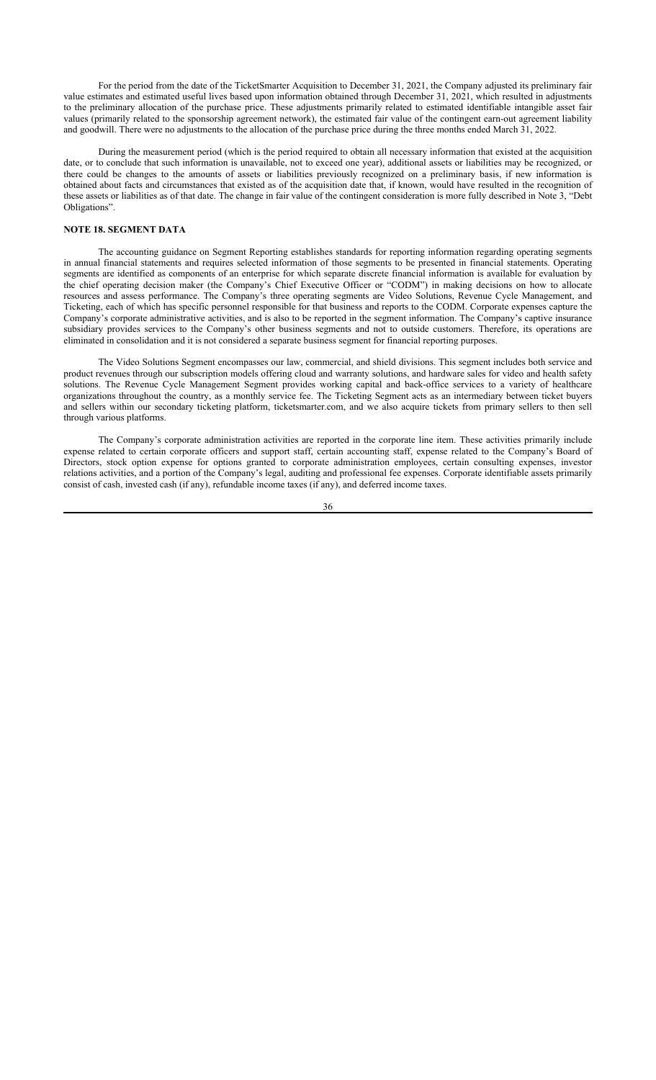For the period from the date of the TicketSmarter Acquisition to December 31, 2021, the Company adjusted its preliminary fair value estimates and estimated useful lives based upon information obtained through December 31, 2021, which resulted in adjustments to the preliminary allocation of the purchase price. These adjustments primarily related to estimated identifiable intangible asset fair values (primarily related to the sponsorship agreement network), the estimated fair value of the contingent earn-out agreement liability and goodwill. There were no adjustments to the allocation of the purchase price during the three months ended March 31, 2022.

During the measurement period (which is the period required to obtain all necessary information that existed at the acquisition date, or to conclude that such information is unavailable, not to exceed one year), additional assets or liabilities may be recognized, or there could be changes to the amounts of assets or liabilities previously recognized on a preliminary basis, if new information is obtained about facts and circumstances that existed as of the acquisition date that, if known, would have resulted in the recognition of these assets or liabilities as of that date. The change in fair value of the contingent consideration is more fully described in Note 3, "Debt Obligations".

## **NOTE 18. SEGMENT DATA**

The accounting guidance on Segment Reporting establishes standards for reporting information regarding operating segments in annual financial statements and requires selected information of those segments to be presented in financial statements. Operating segments are identified as components of an enterprise for which separate discrete financial information is available for evaluation by the chief operating decision maker (the Company's Chief Executive Officer or "CODM") in making decisions on how to allocate resources and assess performance. The Company's three operating segments are Video Solutions, Revenue Cycle Management, and Ticketing, each of which has specific personnel responsible for that business and reports to the CODM. Corporate expenses capture the Company's corporate administrative activities, and is also to be reported in the segment information. The Company's captive insurance subsidiary provides services to the Company's other business segments and not to outside customers. Therefore, its operations are eliminated in consolidation and it is not considered a separate business segment for financial reporting purposes.

The Video Solutions Segment encompasses our law, commercial, and shield divisions. This segment includes both service and product revenues through our subscription models offering cloud and warranty solutions, and hardware sales for video and health safety solutions. The Revenue Cycle Management Segment provides working capital and back-office services to a variety of healthcare organizations throughout the country, as a monthly service fee. The Ticketing Segment acts as an intermediary between ticket buyers and sellers within our secondary ticketing platform, ticketsmarter.com, and we also acquire tickets from primary sellers to then sell through various platforms.

The Company's corporate administration activities are reported in the corporate line item. These activities primarily include expense related to certain corporate officers and support staff, certain accounting staff, expense related to the Company's Board of Directors, stock option expense for options granted to corporate administration employees, certain consulting expenses, investor relations activities, and a portion of the Company's legal, auditing and professional fee expenses. Corporate identifiable assets primarily consist of cash, invested cash (if any), refundable income taxes (if any), and deferred income taxes.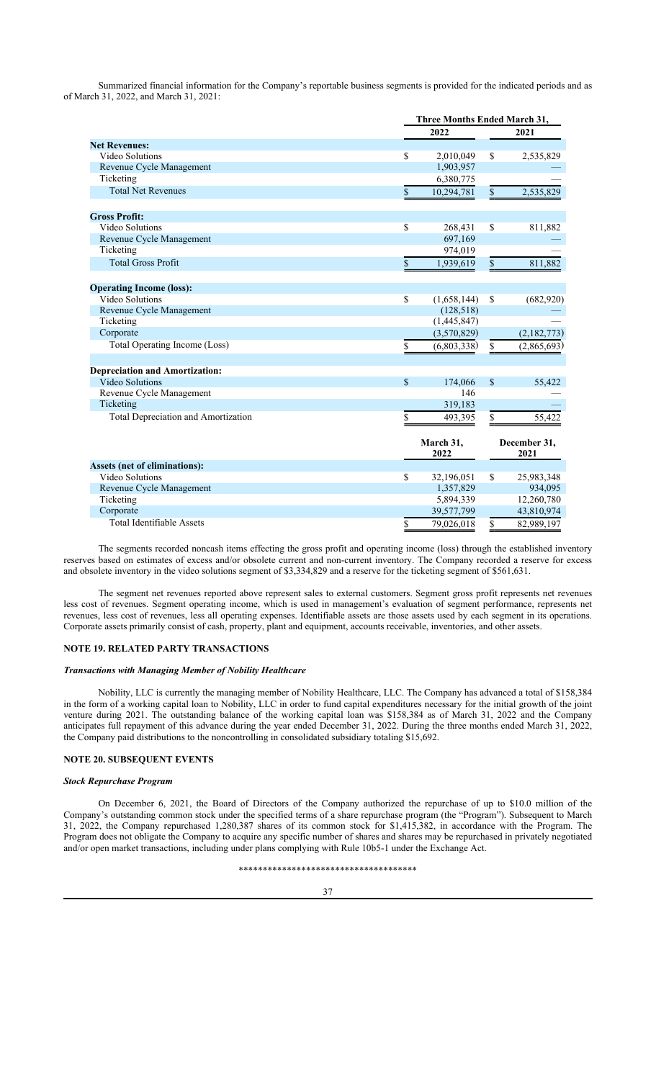Summarized financial information for the Company's reportable business segments is provided for the indicated periods and as of March 31, 2022, and March 31, 2021:

|                                       |               | <b>Three Months Ended March 31,</b> |                 |                      |  |
|---------------------------------------|---------------|-------------------------------------|-----------------|----------------------|--|
|                                       |               | 2022                                |                 | 2021                 |  |
| <b>Net Revenues:</b>                  |               |                                     |                 |                      |  |
| Video Solutions                       | \$            | 2,010,049                           | \$              | 2,535,829            |  |
| Revenue Cycle Management              |               | 1,903,957                           |                 |                      |  |
| Ticketing                             |               | 6,380,775                           |                 |                      |  |
| <b>Total Net Revenues</b>             | \$            | 10,294,781                          | $\$$            | 2,535,829            |  |
| <b>Gross Profit:</b>                  |               |                                     |                 |                      |  |
| Video Solutions                       | \$            | 268,431                             | $\mathbf S$     | 811,882              |  |
| Revenue Cycle Management              |               | 697,169                             |                 |                      |  |
| Ticketing                             |               | 974,019                             |                 |                      |  |
| <b>Total Gross Profit</b>             | $\$$          | 1,939,619                           | $\$$            | 811,882              |  |
| <b>Operating Income (loss):</b>       |               |                                     |                 |                      |  |
| Video Solutions                       | \$            | (1,658,144)                         | <sup>\$</sup>   | (682, 920)           |  |
| Revenue Cycle Management              |               | (128, 518)                          |                 |                      |  |
| Ticketing                             |               | (1,445,847)                         |                 |                      |  |
| Corporate                             |               | (3,570,829)                         |                 | (2,182,773)          |  |
| Total Operating Income (Loss)         | \$            | (6,803,338)                         | $\overline{\$}$ | (2,865,693)          |  |
| <b>Depreciation and Amortization:</b> |               |                                     |                 |                      |  |
| Video Solutions                       | $\mathcal{S}$ | 174,066                             | $\mathbf S$     | 55,422               |  |
| Revenue Cycle Management              |               | 146                                 |                 |                      |  |
| Ticketing                             |               | 319,183                             |                 |                      |  |
| Total Depreciation and Amortization   | \$            | 493,395                             | \$              | 55,422               |  |
|                                       |               | March 31,<br>2022                   |                 | December 31,<br>2021 |  |
| <b>Assets (net of eliminations):</b>  |               |                                     |                 |                      |  |
| Video Solutions                       | \$            | 32,196,051                          | \$              | 25,983,348           |  |
| Revenue Cycle Management              |               | 1,357,829                           |                 | 934,095              |  |
| Ticketing                             |               | 5,894,339                           |                 | 12,260,780           |  |
| Corporate                             |               | 39,577,799                          |                 | 43,810,974           |  |
| <b>Total Identifiable Assets</b>      | \$            | 79,026,018                          | \$              | 82,989,197           |  |

The segments recorded noncash items effecting the gross profit and operating income (loss) through the established inventory reserves based on estimates of excess and/or obsolete current and non-current inventory. The Company recorded a reserve for excess and obsolete inventory in the video solutions segment of \$3,334,829 and a reserve for the ticketing segment of \$561,631.

The segment net revenues reported above represent sales to external customers. Segment gross profit represents net revenues less cost of revenues. Segment operating income, which is used in management's evaluation of segment performance, represents net revenues, less cost of revenues, less all operating expenses. Identifiable assets are those assets used by each segment in its operations. Corporate assets primarily consist of cash, property, plant and equipment, accounts receivable, inventories, and other assets.

## **NOTE 19. RELATED PARTY TRANSACTIONS**

## *Transactions with Managing Member of Nobility Healthcare*

Nobility, LLC is currently the managing member of Nobility Healthcare, LLC. The Company has advanced a total of \$158,384 in the form of a working capital loan to Nobility, LLC in order to fund capital expenditures necessary for the initial growth of the joint venture during 2021. The outstanding balance of the working capital loan was \$158,384 as of March 31, 2022 and the Company anticipates full repayment of this advance during the year ended December 31, 2022. During the three months ended March 31, 2022, the Company paid distributions to the noncontrolling in consolidated subsidiary totaling \$15,692.

### **NOTE 20. SUBSEQUENT EVENTS**

#### *Stock Repurchase Program*

On December 6, 2021, the Board of Directors of the Company authorized the repurchase of up to \$10.0 million of the Company's outstanding common stock under the specified terms of a share repurchase program (the "Program"). Subsequent to March 31, 2022, the Company repurchased 1,280,387 shares of its common stock for \$1,415,382, in accordance with the Program. The Program does not obligate the Company to acquire any specific number of shares and shares may be repurchased in privately negotiated and/or open market transactions, including under plans complying with Rule 10b5-1 under the Exchange Act.

## \*\*\*\*\*\*\*\*\*\*\*\*\*\*\*\*\*\*\*\*\*\*\*\*\*\*\*\*\*\*\*\*\*\*\*\*\*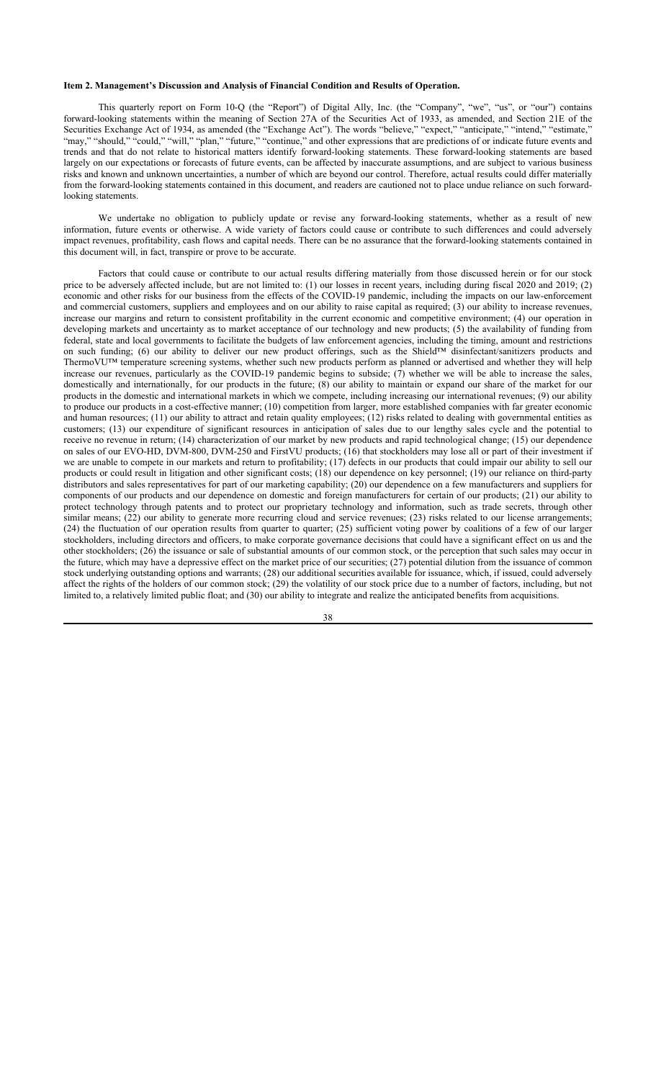## **Item 2. Management's Discussion and Analysis of Financial Condition and Results of Operation.**

This quarterly report on Form 10-Q (the "Report") of Digital Ally, Inc. (the "Company", "we", "us", or "our") contains forward-looking statements within the meaning of Section 27A of the Securities Act of 1933, as amended, and Section 21E of the Securities Exchange Act of 1934, as amended (the "Exchange Act"). The words "believe," "expect," "anticipate," "intend," "estimate," "may," "should," "could," "will," "plan," "future," "continue," and other expressions that are predictions of or indicate future events and trends and that do not relate to historical matters identify forward-looking statements. These forward-looking statements are based largely on our expectations or forecasts of future events, can be affected by inaccurate assumptions, and are subject to various business risks and known and unknown uncertainties, a number of which are beyond our control. Therefore, actual results could differ materially from the forward-looking statements contained in this document, and readers are cautioned not to place undue reliance on such forwardlooking statements.

We undertake no obligation to publicly update or revise any forward-looking statements, whether as a result of new information, future events or otherwise. A wide variety of factors could cause or contribute to such differences and could adversely impact revenues, profitability, cash flows and capital needs. There can be no assurance that the forward-looking statements contained in this document will, in fact, transpire or prove to be accurate.

Factors that could cause or contribute to our actual results differing materially from those discussed herein or for our stock price to be adversely affected include, but are not limited to: (1) our losses in recent years, including during fiscal 2020 and 2019; (2) economic and other risks for our business from the effects of the COVID-19 pandemic, including the impacts on our law-enforcement and commercial customers, suppliers and employees and on our ability to raise capital as required; (3) our ability to increase revenues, increase our margins and return to consistent profitability in the current economic and competitive environment; (4) our operation in developing markets and uncertainty as to market acceptance of our technology and new products; (5) the availability of funding from federal, state and local governments to facilitate the budgets of law enforcement agencies, including the timing, amount and restrictions on such funding; (6) our ability to deliver our new product offerings, such as the Shield™ disinfectant/sanitizers products and ThermoVU™ temperature screening systems, whether such new products perform as planned or advertised and whether they will help increase our revenues, particularly as the COVID-19 pandemic begins to subside; (7) whether we will be able to increase the sales, domestically and internationally, for our products in the future; (8) our ability to maintain or expand our share of the market for our products in the domestic and international markets in which we compete, including increasing our international revenues; (9) our ability to produce our products in a cost-effective manner; (10) competition from larger, more established companies with far greater economic and human resources; (11) our ability to attract and retain quality employees; (12) risks related to dealing with governmental entities as customers; (13) our expenditure of significant resources in anticipation of sales due to our lengthy sales cycle and the potential to receive no revenue in return; (14) characterization of our market by new products and rapid technological change; (15) our dependence on sales of our EVO-HD, DVM-800, DVM-250 and FirstVU products; (16) that stockholders may lose all or part of their investment if we are unable to compete in our markets and return to profitability; (17) defects in our products that could impair our ability to sell our products or could result in litigation and other significant costs; (18) our dependence on key personnel; (19) our reliance on third-party distributors and sales representatives for part of our marketing capability; (20) our dependence on a few manufacturers and suppliers for components of our products and our dependence on domestic and foreign manufacturers for certain of our products; (21) our ability to protect technology through patents and to protect our proprietary technology and information, such as trade secrets, through other similar means; (22) our ability to generate more recurring cloud and service revenues; (23) risks related to our license arrangements; (24) the fluctuation of our operation results from quarter to quarter; (25) sufficient voting power by coalitions of a few of our larger stockholders, including directors and officers, to make corporate governance decisions that could have a significant effect on us and the other stockholders;  $(26)$  the issuance or sale of substantial amounts of our common stock, or the perception that such sales may occur in the future, which may have a depressive effect on the market price of our securities; (27) potential dilution from the issuance of common stock underlying outstanding options and warrants; (28) our additional securities available for issuance, which, if issued, could adversely affect the rights of the holders of our common stock; (29) the volatility of our stock price due to a number of factors, including, but not limited to, a relatively limited public float; and (30) our ability to integrate and realize the anticipated benefits from acquisitions.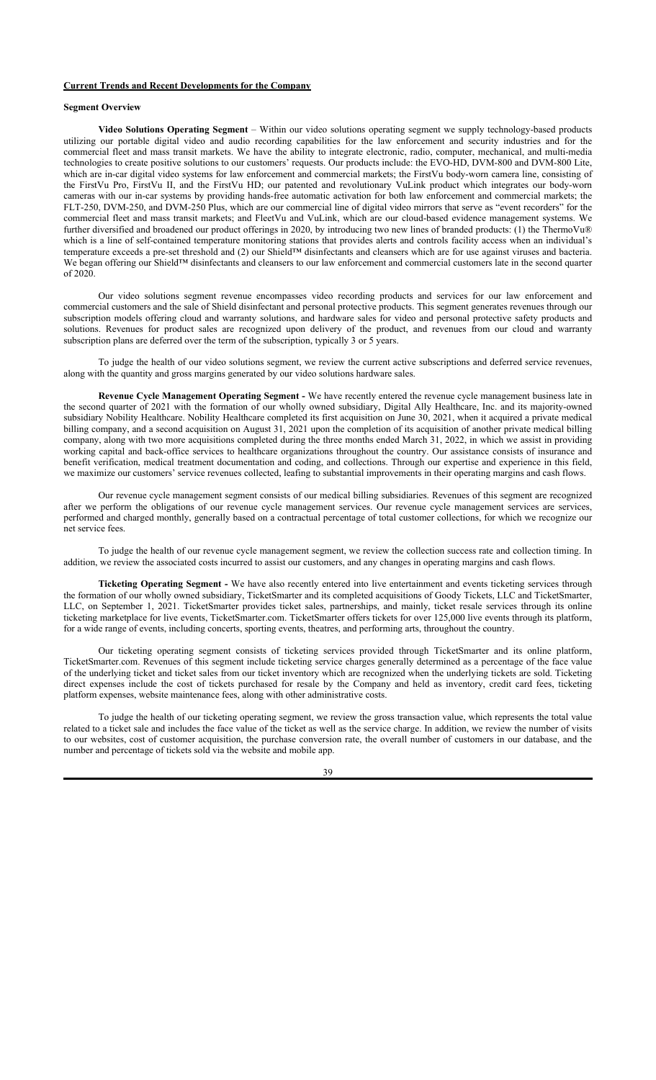## **Current Trends and Recent Developments for the Company**

### **Segment Overview**

**Video Solutions Operating Segment** – Within our video solutions operating segment we supply technology-based products utilizing our portable digital video and audio recording capabilities for the law enforcement and security industries and for the commercial fleet and mass transit markets. We have the ability to integrate electronic, radio, computer, mechanical, and multi-media technologies to create positive solutions to our customers' requests. Our products include: the EVO-HD, DVM-800 and DVM-800 Lite, which are in-car digital video systems for law enforcement and commercial markets; the FirstVu body-worn camera line, consisting of the FirstVu Pro, FirstVu II, and the FirstVu HD; our patented and revolutionary VuLink product which integrates our body-worn cameras with our in-car systems by providing hands-free automatic activation for both law enforcement and commercial markets; the FLT-250, DVM-250, and DVM-250 Plus, which are our commercial line of digital video mirrors that serve as "event recorders" for the commercial fleet and mass transit markets; and FleetVu and VuLink, which are our cloud-based evidence management systems. We further diversified and broadened our product offerings in 2020, by introducing two new lines of branded products: (1) the ThermoVu® which is a line of self-contained temperature monitoring stations that provides alerts and controls facility access when an individual's temperature exceeds a pre-set threshold and (2) our Shield™ disinfectants and cleansers which are for use against viruses and bacteria. We began offering our Shield™ disinfectants and cleansers to our law enforcement and commercial customers late in the second quarter of 2020.

Our video solutions segment revenue encompasses video recording products and services for our law enforcement and commercial customers and the sale of Shield disinfectant and personal protective products. This segment generates revenues through our subscription models offering cloud and warranty solutions, and hardware sales for video and personal protective safety products and solutions. Revenues for product sales are recognized upon delivery of the product, and revenues from our cloud and warranty subscription plans are deferred over the term of the subscription, typically 3 or 5 years.

To judge the health of our video solutions segment, we review the current active subscriptions and deferred service revenues, along with the quantity and gross margins generated by our video solutions hardware sales.

**Revenue Cycle Management Operating Segment -** We have recently entered the revenue cycle management business late in the second quarter of 2021 with the formation of our wholly owned subsidiary, Digital Ally Healthcare, Inc. and its majority-owned subsidiary Nobility Healthcare. Nobility Healthcare completed its first acquisition on June 30, 2021, when it acquired a private medical billing company, and a second acquisition on August 31, 2021 upon the completion of its acquisition of another private medical billing company, along with two more acquisitions completed during the three months ended March 31, 2022, in which we assist in providing working capital and back-office services to healthcare organizations throughout the country. Our assistance consists of insurance and benefit verification, medical treatment documentation and coding, and collections. Through our expertise and experience in this field, we maximize our customers' service revenues collected, leafing to substantial improvements in their operating margins and cash flows.

Our revenue cycle management segment consists of our medical billing subsidiaries. Revenues of this segment are recognized after we perform the obligations of our revenue cycle management services. Our revenue cycle management services are services, performed and charged monthly, generally based on a contractual percentage of total customer collections, for which we recognize our net service fees.

To judge the health of our revenue cycle management segment, we review the collection success rate and collection timing. In addition, we review the associated costs incurred to assist our customers, and any changes in operating margins and cash flows.

**Ticketing Operating Segment -** We have also recently entered into live entertainment and events ticketing services through the formation of our wholly owned subsidiary, TicketSmarter and its completed acquisitions of Goody Tickets, LLC and TicketSmarter, LLC, on September 1, 2021. TicketSmarter provides ticket sales, partnerships, and mainly, ticket resale services through its online ticketing marketplace for live events, TicketSmarter.com. TicketSmarter offers tickets for over 125,000 live events through its platform, for a wide range of events, including concerts, sporting events, theatres, and performing arts, throughout the country.

Our ticketing operating segment consists of ticketing services provided through TicketSmarter and its online platform, TicketSmarter.com. Revenues of this segment include ticketing service charges generally determined as a percentage of the face value of the underlying ticket and ticket sales from our ticket inventory which are recognized when the underlying tickets are sold. Ticketing direct expenses include the cost of tickets purchased for resale by the Company and held as inventory, credit card fees, ticketing platform expenses, website maintenance fees, along with other administrative costs.

To judge the health of our ticketing operating segment, we review the gross transaction value, which represents the total value related to a ticket sale and includes the face value of the ticket as well as the service charge. In addition, we review the number of visits to our websites, cost of customer acquisition, the purchase conversion rate, the overall number of customers in our database, and the number and percentage of tickets sold via the website and mobile app.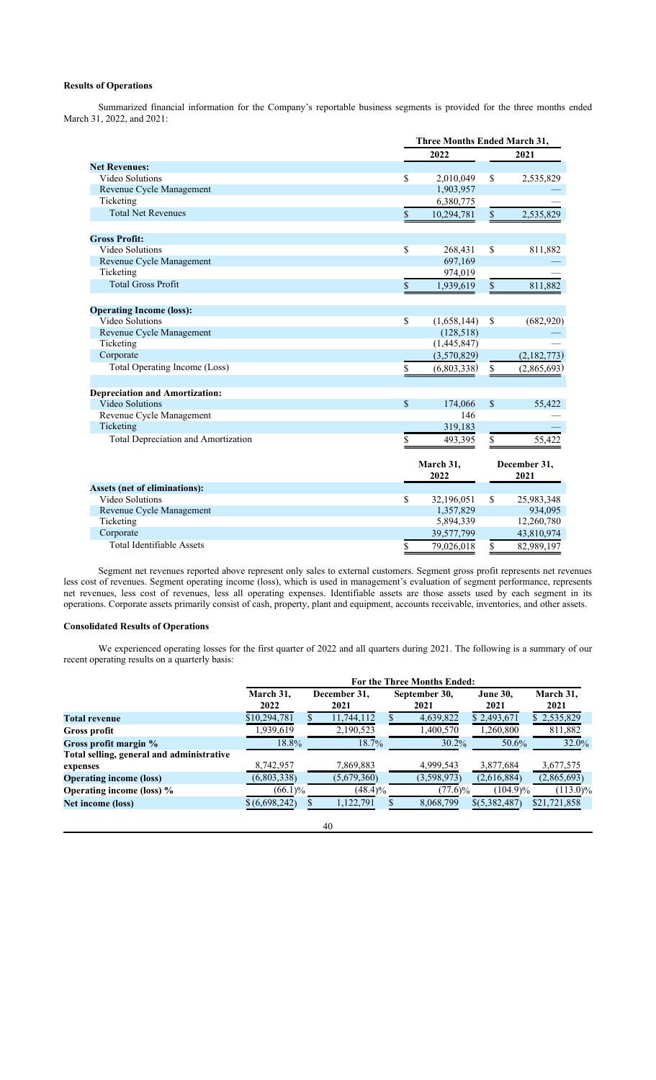# **Results of Operations**

Summarized financial information for the Company's reportable business segments is provided for the three months ended March 31, 2022, and 2021:

|                                       | Three Months Ended March 31, |                           |                      |  |
|---------------------------------------|------------------------------|---------------------------|----------------------|--|
|                                       | 2022                         |                           | 2021                 |  |
| <b>Net Revenues:</b>                  |                              |                           |                      |  |
| Video Solutions                       | \$<br>2,010,049              | \$                        | 2,535,829            |  |
| Revenue Cycle Management              | 1,903,957                    |                           |                      |  |
| Ticketing                             | 6,380,775                    |                           |                      |  |
| <b>Total Net Revenues</b>             | \$<br>10,294,781             | $\boldsymbol{\mathsf{S}}$ | 2,535,829            |  |
| <b>Gross Profit:</b>                  |                              |                           |                      |  |
| Video Solutions                       | \$<br>268,431                | \$                        | 811,882              |  |
| Revenue Cycle Management              | 697,169                      |                           |                      |  |
| Ticketing                             | 974,019                      |                           |                      |  |
| <b>Total Gross Profit</b>             | \$<br>1,939,619              | $\mathsf{\$}$             | 811,882              |  |
| <b>Operating Income (loss):</b>       |                              |                           |                      |  |
| Video Solutions                       | \$<br>(1,658,144)            | \$                        | (682, 920)           |  |
| Revenue Cycle Management              | (128, 518)                   |                           |                      |  |
| Ticketing                             | (1,445,847)                  |                           |                      |  |
| Corporate                             | (3,570,829)                  |                           | (2,182,773)          |  |
| Total Operating Income (Loss)         | \$<br>(6,803,338)            | \$                        | (2,865,693)          |  |
| <b>Depreciation and Amortization:</b> |                              |                           |                      |  |
| Video Solutions                       | \$<br>174,066                | $\mathbf S$               | 55,422               |  |
| Revenue Cycle Management              | 146                          |                           |                      |  |
| Ticketing                             | 319,183                      |                           |                      |  |
| Total Depreciation and Amortization   | \$<br>493,395                | \$                        | 55,422               |  |
|                                       | March 31,<br>2022            |                           | December 31,<br>2021 |  |
| <b>Assets (net of eliminations):</b>  |                              |                           |                      |  |
| Video Solutions                       | \$<br>32,196,051             | \$                        | 25,983,348           |  |
| Revenue Cycle Management              | 1,357,829                    |                           | 934,095              |  |
| Ticketing                             | 5,894,339                    |                           | 12,260,780           |  |
| Corporate                             | 39,577,799                   |                           | 43,810,974           |  |
| <b>Total Identifiable Assets</b>      | \$<br>79,026,018             | \$                        | 82,989,197           |  |

Segment net revenues reported above represent only sales to external customers. Segment gross profit represents net revenues less cost of revenues. Segment operating income (loss), which is used in management's evaluation of segment performance, represents net revenues, less cost of revenues, less all operating expenses. Identifiable assets are those assets used by each segment in its operations. Corporate assets primarily consist of cash, property, plant and equipment, accounts receivable, inventories, and other assets.

## **Consolidated Results of Operations**

We experienced operating losses for the first quarter of 2022 and all quarters during 2021. The following is a summary of our recent operating results on a quarterly basis:

|                                                       | For the Three Months Ended: |                      |                       |                         |                   |  |
|-------------------------------------------------------|-----------------------------|----------------------|-----------------------|-------------------------|-------------------|--|
|                                                       | March 31,<br>2022           | December 31,<br>2021 | September 30,<br>2021 | <b>June 30,</b><br>2021 | March 31,<br>2021 |  |
| <b>Total revenue</b>                                  | \$10,294,781                | 11,744,112           | 4,639,822             | \$2,493,671             | \$2,535,829       |  |
| Gross profit                                          | 1,939,619                   | 2,190,523            | 1,400,570             | 1,260,800               | 811,882           |  |
| Gross profit margin %                                 | 18.8%                       | 18.7%                | $30.2\%$              | $50.6\%$                | $32.0\%$          |  |
| Total selling, general and administrative<br>expenses | 8,742,957                   | 7,869,883            | 4,999,543             | 3,877,684               | 3,677,575         |  |
| <b>Operating income (loss)</b>                        | (6,803,338)                 | (5,679,360)          | (3,598,973)           | (2,616,884)             | (2,865,693)       |  |
| <b>Operating income (loss)</b> %                      | $(66.1)\%$                  | $(48.4)\%$           | $(77.6)\%$            | $(104.9)\%$             | $(113.0)\%$       |  |
| <b>Net income (loss)</b>                              | \$(6,698,242)               | 1,122,791            | 8,068,799             | \$(5,382,487)           | \$21,721,858      |  |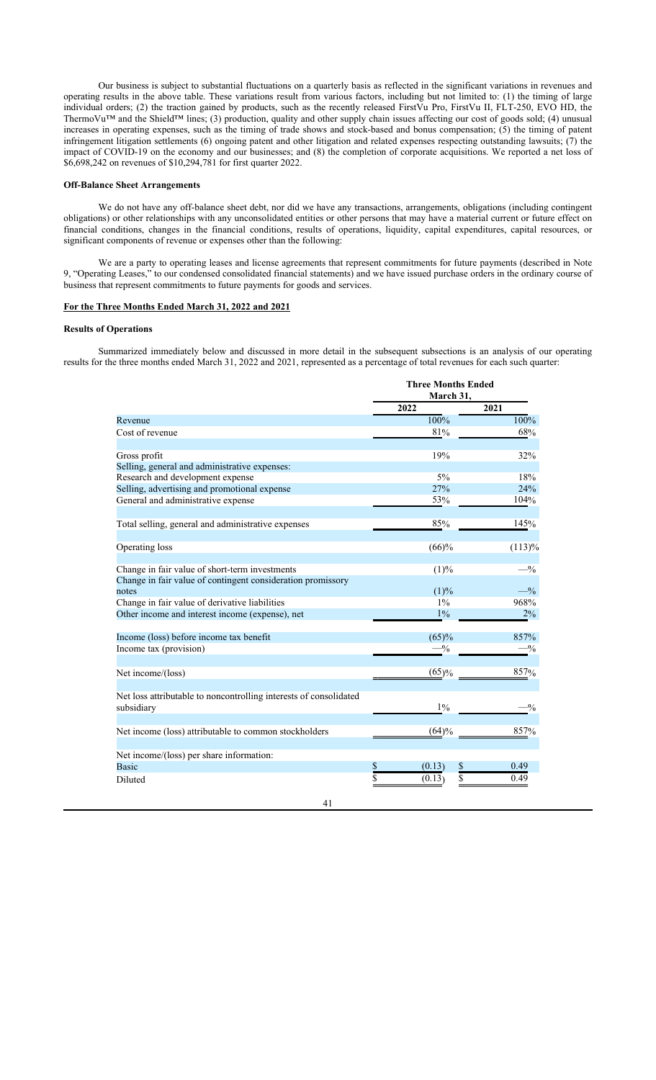Our business is subject to substantial fluctuations on a quarterly basis as reflected in the significant variations in revenues and operating results in the above table. These variations result from various factors, including but not limited to: (1) the timing of large individual orders; (2) the traction gained by products, such as the recently released FirstVu Pro, FirstVu II, FLT-250, EVO HD, the ThermoVu™ and the Shield™ lines; (3) production, quality and other supply chain issues affecting our cost of goods sold; (4) unusual increases in operating expenses, such as the timing of trade shows and stock-based and bonus compensation; (5) the timing of patent infringement litigation settlements (6) ongoing patent and other litigation and related expenses respecting outstanding lawsuits; (7) the impact of COVID-19 on the economy and our businesses; and (8) the completion of corporate acquisitions. We reported a net loss of \$6,698,242 on revenues of \$10,294,781 for first quarter 2022.

## **Off-Balance Sheet Arrangements**

We do not have any off-balance sheet debt, nor did we have any transactions, arrangements, obligations (including contingent obligations) or other relationships with any unconsolidated entities or other persons that may have a material current or future effect on financial conditions, changes in the financial conditions, results of operations, liquidity, capital expenditures, capital resources, or significant components of revenue or expenses other than the following:

We are a party to operating leases and license agreements that represent commitments for future payments (described in Note 9, "Operating Leases," to our condensed consolidated financial statements) and we have issued purchase orders in the ordinary course of business that represent commitments to future payments for goods and services.

# **For the Three Months Ended March 31, 2022 and 2021**

# **Results of Operations**

Summarized immediately below and discussed in more detail in the subsequent subsections is an analysis of our operating results for the three months ended March 31, 2022 and 2021, represented as a percentage of total revenues for each such quarter:

|                                                                                 | <b>Three Months Ended</b><br>March 31, |                  |  |  |
|---------------------------------------------------------------------------------|----------------------------------------|------------------|--|--|
|                                                                                 | 2022                                   | 2021             |  |  |
| Revenue                                                                         | 100%                                   | 100%             |  |  |
| Cost of revenue                                                                 | 81%                                    | 68%              |  |  |
| Gross profit                                                                    | 19%                                    | 32%              |  |  |
| Selling, general and administrative expenses:                                   |                                        |                  |  |  |
| Research and development expense                                                | $5\%$                                  | 18%              |  |  |
| Selling, advertising and promotional expense                                    | 27%                                    | 24%              |  |  |
| General and administrative expense                                              | 53%                                    | 104%             |  |  |
| Total selling, general and administrative expenses                              | 85%                                    | 145%             |  |  |
| Operating loss                                                                  | (66)%                                  | $(113)\%$        |  |  |
| Change in fair value of short-term investments                                  | (1)%                                   | $-$ %            |  |  |
| Change in fair value of contingent consideration promissory                     |                                        |                  |  |  |
| notes                                                                           | (1)%                                   | $-$ %            |  |  |
| Change in fair value of derivative liabilities                                  | $1\%$                                  | 968%             |  |  |
| Other income and interest income (expense), net                                 | $1\%$                                  | 2%               |  |  |
| Income (loss) before income tax benefit                                         | (65)%                                  | 857%             |  |  |
| Income tax (provision)                                                          | $-$ %                                  | $-$ %            |  |  |
| Net income/(loss)                                                               | (65)%                                  | 857%             |  |  |
| Net loss attributable to noncontrolling interests of consolidated<br>subsidiary | 1%                                     | $-^{0}\!\!/_{0}$ |  |  |
| Net income (loss) attributable to common stockholders                           | (64)%                                  | 857%             |  |  |
|                                                                                 |                                        |                  |  |  |
| Net income/(loss) per share information:                                        |                                        |                  |  |  |
| <b>Basic</b>                                                                    | \$<br>\$<br>(0.13)                     | 0.49             |  |  |
| Diluted                                                                         | \$<br>\$<br>(0.13)                     | 0.49             |  |  |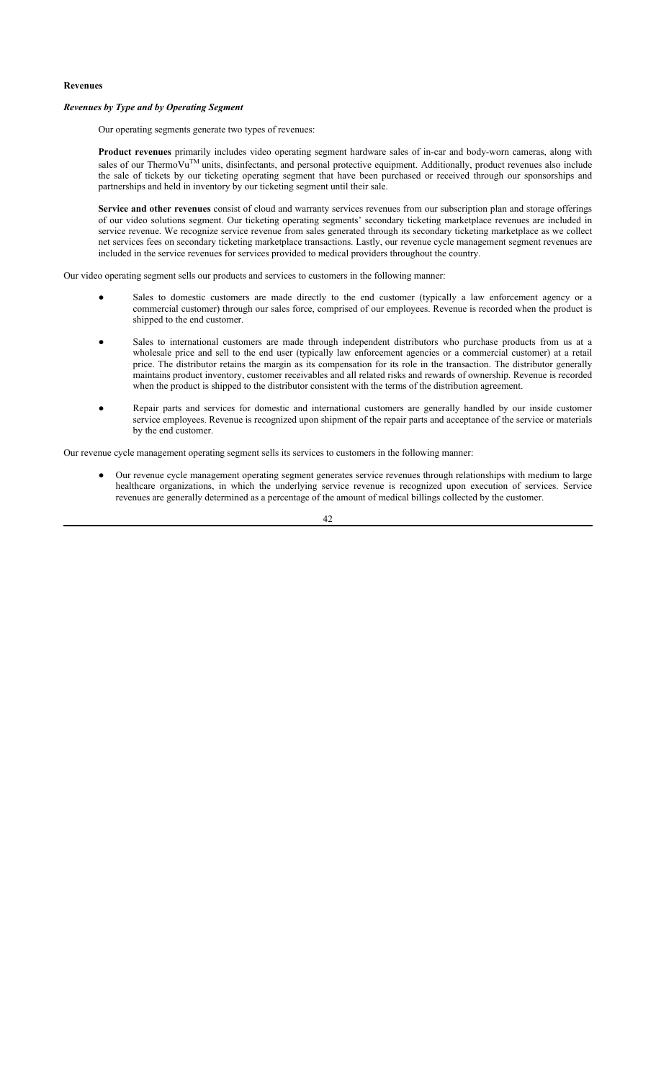#### **Revenues**

## *Revenues by Type and by Operating Segment*

Our operating segments generate two types of revenues:

**Product revenues** primarily includes video operating segment hardware sales of in-car and body-worn cameras, along with sales of our ThermoVu<sup>TM</sup> units, disinfectants, and personal protective equipment. Additionally, product revenues also include the sale of tickets by our ticketing operating segment that have been purchased or received through our sponsorships and partnerships and held in inventory by our ticketing segment until their sale.

**Service and other revenues** consist of cloud and warranty services revenues from our subscription plan and storage offerings of our video solutions segment. Our ticketing operating segments' secondary ticketing marketplace revenues are included in service revenue. We recognize service revenue from sales generated through its secondary ticketing marketplace as we collect net services fees on secondary ticketing marketplace transactions. Lastly, our revenue cycle management segment revenues are included in the service revenues for services provided to medical providers throughout the country.

Our video operating segment sells our products and services to customers in the following manner:

- Sales to domestic customers are made directly to the end customer (typically a law enforcement agency or a commercial customer) through our sales force, comprised of our employees. Revenue is recorded when the product is shipped to the end customer.
- Sales to international customers are made through independent distributors who purchase products from us at a wholesale price and sell to the end user (typically law enforcement agencies or a commercial customer) at a retail price. The distributor retains the margin as its compensation for its role in the transaction. The distributor generally maintains product inventory, customer receivables and all related risks and rewards of ownership. Revenue is recorded when the product is shipped to the distributor consistent with the terms of the distribution agreement.
- Repair parts and services for domestic and international customers are generally handled by our inside customer service employees. Revenue is recognized upon shipment of the repair parts and acceptance of the service or materials by the end customer.

Our revenue cycle management operating segment sells its services to customers in the following manner:

Our revenue cycle management operating segment generates service revenues through relationships with medium to large healthcare organizations, in which the underlying service revenue is recognized upon execution of services. Service revenues are generally determined as a percentage of the amount of medical billings collected by the customer.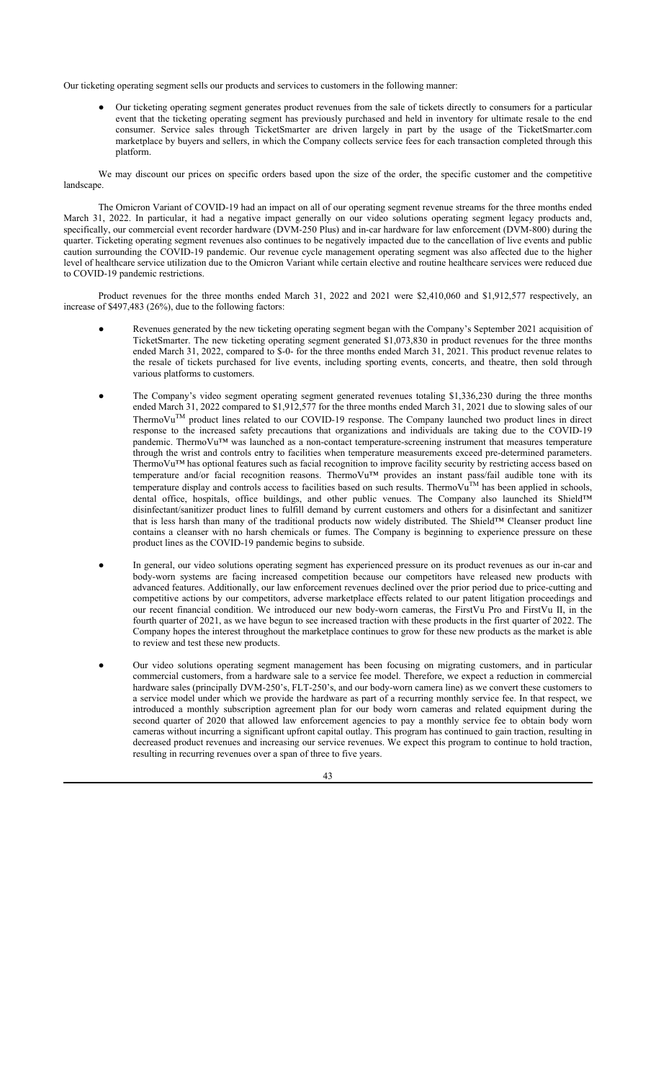Our ticketing operating segment sells our products and services to customers in the following manner:

Our ticketing operating segment generates product revenues from the sale of tickets directly to consumers for a particular event that the ticketing operating segment has previously purchased and held in inventory for ultimate resale to the end consumer. Service sales through TicketSmarter are driven largely in part by the usage of the TicketSmarter.com marketplace by buyers and sellers, in which the Company collects service fees for each transaction completed through this platform.

We may discount our prices on specific orders based upon the size of the order, the specific customer and the competitive landscape.

The Omicron Variant of COVID-19 had an impact on all of our operating segment revenue streams for the three months ended March 31, 2022. In particular, it had a negative impact generally on our video solutions operating segment legacy products and, specifically, our commercial event recorder hardware (DVM-250 Plus) and in-car hardware for law enforcement (DVM-800) during the quarter. Ticketing operating segment revenues also continues to be negatively impacted due to the cancellation of live events and public caution surrounding the COVID-19 pandemic. Our revenue cycle management operating segment was also affected due to the higher level of healthcare service utilization due to the Omicron Variant while certain elective and routine healthcare services were reduced due to COVID-19 pandemic restrictions.

Product revenues for the three months ended March 31, 2022 and 2021 were \$2,410,060 and \$1,912,577 respectively, an increase of \$497,483 (26%), due to the following factors:

- Revenues generated by the new ticketing operating segment began with the Company's September 2021 acquisition of TicketSmarter. The new ticketing operating segment generated \$1,073,830 in product revenues for the three months ended March 31, 2022, compared to \$-0- for the three months ended March 31, 2021. This product revenue relates to the resale of tickets purchased for live events, including sporting events, concerts, and theatre, then sold through various platforms to customers.
- The Company's video segment operating segment generated revenues totaling \$1,336,230 during the three months ended March 31, 2022 compared to \$1,912,577 for the three months ended March 31, 2021 due to slowing sales of our ThermoVuTM product lines related to our COVID-19 response. The Company launched two product lines in direct response to the increased safety precautions that organizations and individuals are taking due to the COVID-19 pandemic. ThermoVu™ was launched as a non-contact temperature-screening instrument that measures temperature through the wrist and controls entry to facilities when temperature measurements exceed pre-determined parameters. ThermoVu™ has optional features such as facial recognition to improve facility security by restricting access based on temperature and/or facial recognition reasons. ThermoVu™ provides an instant pass/fail audible tone with its temperature display and controls access to facilities based on such results. ThermoVu<sup>TM</sup> has been applied in schools, dental office, hospitals, office buildings, and other public venues. The Company also launched its Shield™ disinfectant/sanitizer product lines to fulfill demand by current customers and others for a disinfectant and sanitizer that is less harsh than many of the traditional products now widely distributed. The Shield™ Cleanser product line contains a cleanser with no harsh chemicals or fumes. The Company is beginning to experience pressure on these product lines as the COVID-19 pandemic begins to subside.
- In general, our video solutions operating segment has experienced pressure on its product revenues as our in-car and body-worn systems are facing increased competition because our competitors have released new products with advanced features. Additionally, our law enforcement revenues declined over the prior period due to price-cutting and competitive actions by our competitors, adverse marketplace effects related to our patent litigation proceedings and our recent financial condition. We introduced our new body-worn cameras, the FirstVu Pro and FirstVu II, in the fourth quarter of 2021, as we have begun to see increased traction with these products in the first quarter of 2022. The Company hopes the interest throughout the marketplace continues to grow for these new products as the market is able to review and test these new products.
- Our video solutions operating segment management has been focusing on migrating customers, and in particular commercial customers, from a hardware sale to a service fee model. Therefore, we expect a reduction in commercial hardware sales (principally DVM-250's, FLT-250's, and our body-worn camera line) as we convert these customers to a service model under which we provide the hardware as part of a recurring monthly service fee. In that respect, we introduced a monthly subscription agreement plan for our body worn cameras and related equipment during the second quarter of 2020 that allowed law enforcement agencies to pay a monthly service fee to obtain body worn cameras without incurring a significant upfront capital outlay. This program has continued to gain traction, resulting in decreased product revenues and increasing our service revenues. We expect this program to continue to hold traction, resulting in recurring revenues over a span of three to five years.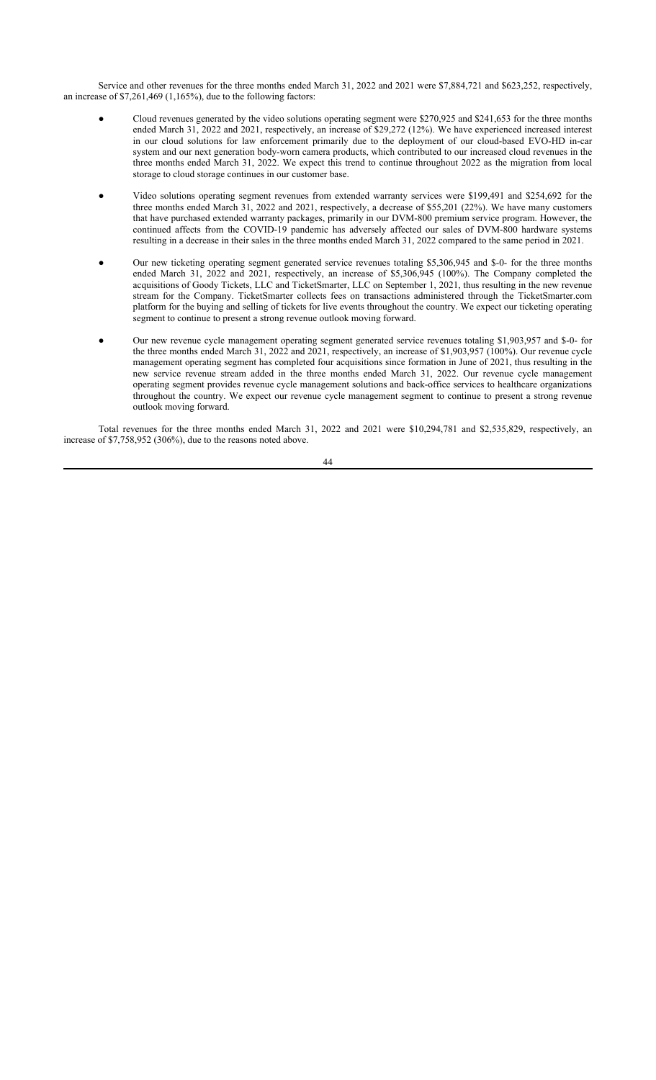Service and other revenues for the three months ended March 31, 2022 and 2021 were \$7,884,721 and \$623,252, respectively, an increase of \$7,261,469 (1,165%), due to the following factors:

- Cloud revenues generated by the video solutions operating segment were \$270,925 and \$241,653 for the three months ended March 31, 2022 and 2021, respectively, an increase of \$29,272 (12%). We have experienced increased interest in our cloud solutions for law enforcement primarily due to the deployment of our cloud-based EVO-HD in-car system and our next generation body-worn camera products, which contributed to our increased cloud revenues in the three months ended March 31, 2022. We expect this trend to continue throughout 2022 as the migration from local storage to cloud storage continues in our customer base.
- Video solutions operating segment revenues from extended warranty services were \$199,491 and \$254,692 for the three months ended March 31, 2022 and 2021, respectively, a decrease of \$55,201 (22%). We have many customers that have purchased extended warranty packages, primarily in our DVM-800 premium service program. However, the continued affects from the COVID-19 pandemic has adversely affected our sales of DVM-800 hardware systems resulting in a decrease in their sales in the three months ended March 31, 2022 compared to the same period in 2021.
- Our new ticketing operating segment generated service revenues totaling \$5,306,945 and \$-0- for the three months ended March 31, 2022 and 2021, respectively, an increase of \$5,306,945 (100%). The Company completed the acquisitions of Goody Tickets, LLC and TicketSmarter, LLC on September 1, 2021, thus resulting in the new revenue stream for the Company. TicketSmarter collects fees on transactions administered through the TicketSmarter.com platform for the buying and selling of tickets for live events throughout the country. We expect our ticketing operating segment to continue to present a strong revenue outlook moving forward.
- Our new revenue cycle management operating segment generated service revenues totaling \$1,903,957 and \$-0- for the three months ended March 31, 2022 and 2021, respectively, an increase of \$1,903,957 (100%). Our revenue cycle management operating segment has completed four acquisitions since formation in June of 2021, thus resulting in the new service revenue stream added in the three months ended March 31, 2022. Our revenue cycle management operating segment provides revenue cycle management solutions and back-office services to healthcare organizations throughout the country. We expect our revenue cycle management segment to continue to present a strong revenue outlook moving forward.

Total revenues for the three months ended March 31, 2022 and 2021 were \$10,294,781 and \$2,535,829, respectively, an increase of \$7,758,952 (306%), due to the reasons noted above.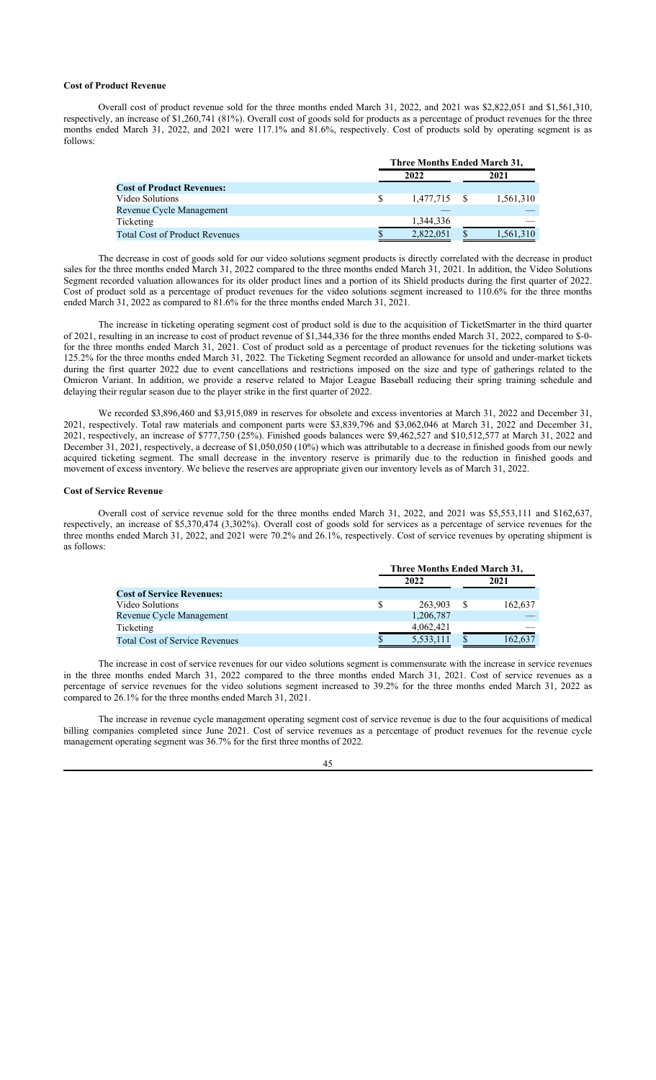#### **Cost of Product Revenue**

Overall cost of product revenue sold for the three months ended March 31, 2022, and 2021 was \$2,822,051 and \$1,561,310, respectively, an increase of \$1,260,741 (81%). Overall cost of goods sold for products as a percentage of product revenues for the three months ended March 31, 2022, and 2021 were 117.1% and 81.6%, respectively. Cost of products sold by operating segment is as follows:

|                                       | Three Months Ended March 31, |  |           |  |
|---------------------------------------|------------------------------|--|-----------|--|
|                                       | 2022                         |  | 2021      |  |
| <b>Cost of Product Revenues:</b>      |                              |  |           |  |
| Video Solutions                       | 1,477,715 \$                 |  | 1,561,310 |  |
| Revenue Cycle Management              |                              |  |           |  |
| Ticketing                             | 1,344,336                    |  |           |  |
| <b>Total Cost of Product Revenues</b> | 2.822.051                    |  | 1.561.310 |  |

The decrease in cost of goods sold for our video solutions segment products is directly correlated with the decrease in product sales for the three months ended March 31, 2022 compared to the three months ended March 31, 2021. In addition, the Video Solutions Segment recorded valuation allowances for its older product lines and a portion of its Shield products during the first quarter of 2022. Cost of product sold as a percentage of product revenues for the video solutions segment increased to 110.6% for the three months ended March 31, 2022 as compared to 81.6% for the three months ended March 31, 2021.

The increase in ticketing operating segment cost of product sold is due to the acquisition of TicketSmarter in the third quarter of 2021, resulting in an increase to cost of product revenue of \$1,344,336 for the three months ended March 31, 2022, compared to \$-0 for the three months ended March 31, 2021. Cost of product sold as a percentage of product revenues for the ticketing solutions was 125.2% for the three months ended March 31, 2022. The Ticketing Segment recorded an allowance for unsold and under-market tickets during the first quarter 2022 due to event cancellations and restrictions imposed on the size and type of gatherings related to the Omicron Variant. In addition, we provide a reserve related to Major League Baseball reducing their spring training schedule and delaying their regular season due to the player strike in the first quarter of 2022.

We recorded \$3,896,460 and \$3,915,089 in reserves for obsolete and excess inventories at March 31, 2022 and December 31, 2021, respectively. Total raw materials and component parts were \$3,839,796 and \$3,062,046 at March 31, 2022 and December 31, 2021, respectively, an increase of \$777,750 (25%). Finished goods balances were \$9,462,527 and \$10,512,577 at March 31, 2022 and December 31, 2021, respectively, a decrease of \$1,050,050 (10%) which was attributable to a decrease in finished goods from our newly acquired ticketing segment. The small decrease in the inventory reserve is primarily due to the reduction in finished goods and movement of excess inventory. We believe the reserves are appropriate given our inventory levels as of March 31, 2022.

#### **Cost of Service Revenue**

Overall cost of service revenue sold for the three months ended March 31, 2022, and 2021 was \$5,553,111 and \$162,637, respectively, an increase of \$5,370,474 (3,302%). Overall cost of goods sold for services as a percentage of service revenues for the three months ended March 31, 2022, and 2021 were 70.2% and 26.1%, respectively. Cost of service revenues by operating shipment is as follows:

|                                       | Three Months Ended March 31, |  |         |  |
|---------------------------------------|------------------------------|--|---------|--|
|                                       | 2022                         |  | 2021    |  |
| <b>Cost of Service Revenues:</b>      |                              |  |         |  |
| Video Solutions                       | 263,903                      |  | 162,637 |  |
| Revenue Cycle Management              | 1,206,787                    |  |         |  |
| Ticketing                             | 4,062,421                    |  |         |  |
| <b>Total Cost of Service Revenues</b> | 5,533,111                    |  | 162.637 |  |

The increase in cost of service revenues for our video solutions segment is commensurate with the increase in service revenues in the three months ended March 31, 2022 compared to the three months ended March 31, 2021. Cost of service revenues as a percentage of service revenues for the video solutions segment increased to 39.2% for the three months ended March 31, 2022 as compared to 26.1% for the three months ended March 31, 2021.

The increase in revenue cycle management operating segment cost of service revenue is due to the four acquisitions of medical billing companies completed since June 2021. Cost of service revenues as a percentage of product revenues for the revenue cycle management operating segment was 36.7% for the first three months of 2022.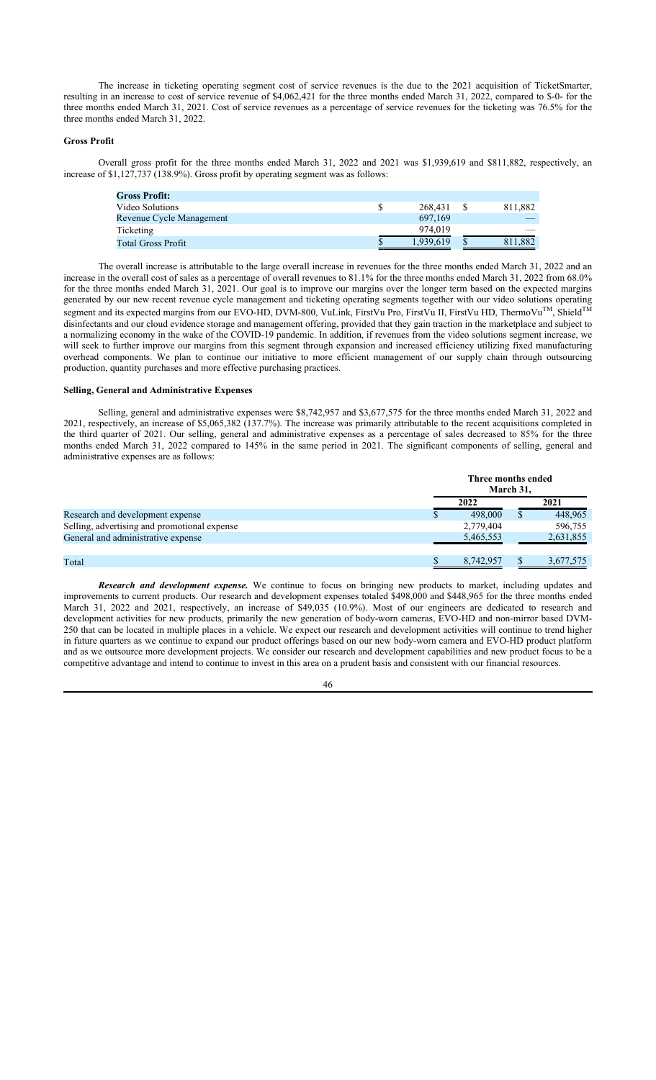The increase in ticketing operating segment cost of service revenues is the due to the 2021 acquisition of TicketSmarter, resulting in an increase to cost of service revenue of \$4,062,421 for the three months ended March 31, 2022, compared to \$-0- for the three months ended March 31, 2021. Cost of service revenues as a percentage of service revenues for the ticketing was 76.5% for the three months ended March 31, 2022.

## **Gross Profit**

Overall gross profit for the three months ended March 31, 2022 and 2021 was \$1,939,619 and \$811,882, respectively, an increase of \$1,127,737 (138.9%). Gross profit by operating segment was as follows:

| <b>Gross Profit:</b>      |           |         |
|---------------------------|-----------|---------|
| Video Solutions           | 268.431   | 811,882 |
| Revenue Cycle Management  | 697.169   |         |
| Ticketing                 | 974.019   |         |
| <b>Total Gross Profit</b> | 1,939,619 | 811,882 |

The overall increase is attributable to the large overall increase in revenues for the three months ended March 31, 2022 and an increase in the overall cost of sales as a percentage of overall revenues to 81.1% for the three months ended March 31, 2022 from 68.0% for the three months ended March 31, 2021. Our goal is to improve our margins over the longer term based on the expected margins generated by our new recent revenue cycle management and ticketing operating segments together with our video solutions operating segment and its expected margins from our EVO-HD, DVM-800, VuLink, FirstVu Pro, FirstVu II, FirstVu HD, ThermoVu<sup>TM</sup>, Shield<sup>TM</sup> disinfectants and our cloud evidence storage and management offering, provided that they gain traction in the marketplace and subject to a normalizing economy in the wake of the COVID-19 pandemic. In addition, if revenues from the video solutions segment increase, we will seek to further improve our margins from this segment through expansion and increased efficiency utilizing fixed manufacturing overhead components. We plan to continue our initiative to more efficient management of our supply chain through outsourcing production, quantity purchases and more effective purchasing practices.

#### **Selling, General and Administrative Expenses**

Selling, general and administrative expenses were \$8,742,957 and \$3,677,575 for the three months ended March 31, 2022 and 2021, respectively, an increase of \$5,065,382 (137.7%). The increase was primarily attributable to the recent acquisitions completed in the third quarter of 2021. Our selling, general and administrative expenses as a percentage of sales decreased to 85% for the three months ended March 31, 2022 compared to 145% in the same period in 2021. The significant components of selling, general and administrative expenses are as follows:

|                                              | Three months ended<br>March 31, |  |           |  |
|----------------------------------------------|---------------------------------|--|-----------|--|
|                                              | 2022                            |  | 2021      |  |
| Research and development expense             | 498,000                         |  | 448,965   |  |
| Selling, advertising and promotional expense | 2,779,404                       |  | 596,755   |  |
| General and administrative expense           | 5,465,553                       |  | 2,631,855 |  |
|                                              |                                 |  |           |  |
| Total                                        | 8.742.957                       |  | 3,677,575 |  |

*Research and development expense.* We continue to focus on bringing new products to market, including updates and improvements to current products. Our research and development expenses totaled \$498,000 and \$448,965 for the three months ended March 31, 2022 and 2021, respectively, an increase of \$49,035 (10.9%). Most of our engineers are dedicated to research and development activities for new products, primarily the new generation of body-worn cameras, EVO-HD and non-mirror based DVM-250 that can be located in multiple places in a vehicle. We expect our research and development activities will continue to trend higher in future quarters as we continue to expand our product offerings based on our new body-worn camera and EVO-HD product platform and as we outsource more development projects. We consider our research and development capabilities and new product focus to be a competitive advantage and intend to continue to invest in this area on a prudent basis and consistent with our financial resources.

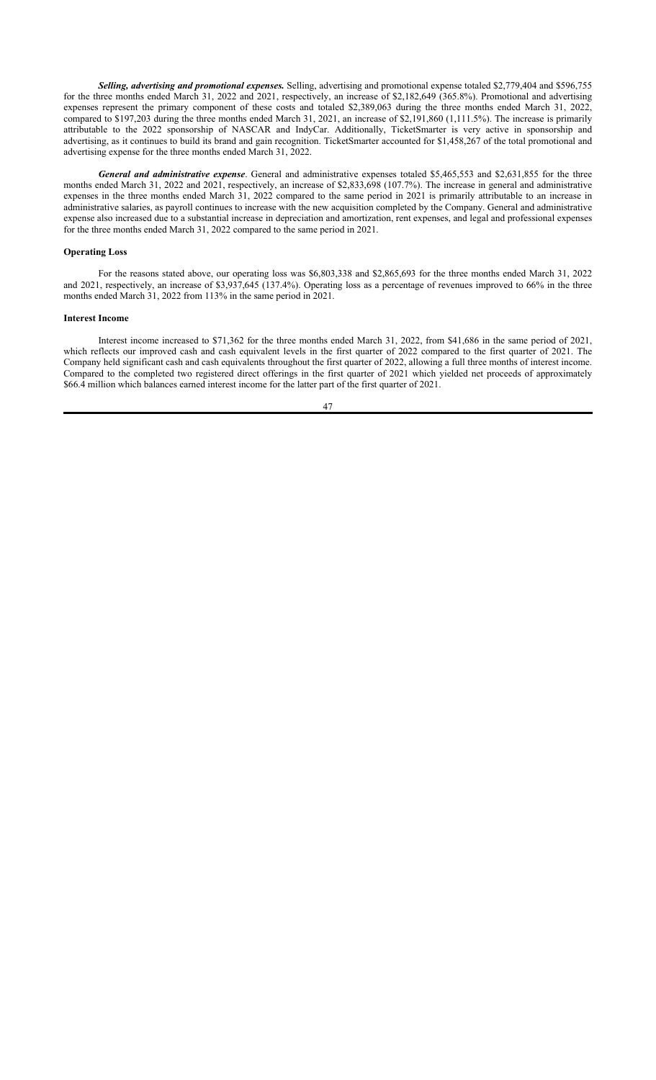*Selling, advertising and promotional expenses.* Selling, advertising and promotional expense totaled \$2,779,404 and \$596,755 for the three months ended March 31, 2022 and 2021, respectively, an increase of \$2,182,649 (365.8%). Promotional and advertising expenses represent the primary component of these costs and totaled \$2,389,063 during the three months ended March 31, 2022, compared to \$197,203 during the three months ended March 31, 2021, an increase of \$2,191,860 (1,111.5%). The increase is primarily attributable to the 2022 sponsorship of NASCAR and IndyCar. Additionally, TicketSmarter is very active in sponsorship and advertising, as it continues to build its brand and gain recognition. TicketSmarter accounted for \$1,458,267 of the total promotional and advertising expense for the three months ended March 31, 2022.

*General and administrative expense*. General and administrative expenses totaled \$5,465,553 and \$2,631,855 for the three months ended March 31, 2022 and 2021, respectively, an increase of \$2,833,698 (107.7%). The increase in general and administrative expenses in the three months ended March 31, 2022 compared to the same period in 2021 is primarily attributable to an increase in administrative salaries, as payroll continues to increase with the new acquisition completed by the Company. General and administrative expense also increased due to a substantial increase in depreciation and amortization, rent expenses, and legal and professional expenses for the three months ended March 31, 2022 compared to the same period in 2021.

## **Operating Loss**

For the reasons stated above, our operating loss was \$6,803,338 and \$2,865,693 for the three months ended March 31, 2022 and 2021, respectively, an increase of \$3,937,645 (137.4%). Operating loss as a percentage of revenues improved to 66% in the three months ended March 31, 2022 from 113% in the same period in 2021.

## **Interest Income**

Interest income increased to \$71,362 for the three months ended March 31, 2022, from \$41,686 in the same period of 2021, which reflects our improved cash and cash equivalent levels in the first quarter of 2022 compared to the first quarter of 2021. The Company held significant cash and cash equivalents throughout the first quarter of 2022, allowing a full three months of interest income. Compared to the completed two registered direct offerings in the first quarter of 2021 which yielded net proceeds of approximately \$66.4 million which balances earned interest income for the latter part of the first quarter of 2021.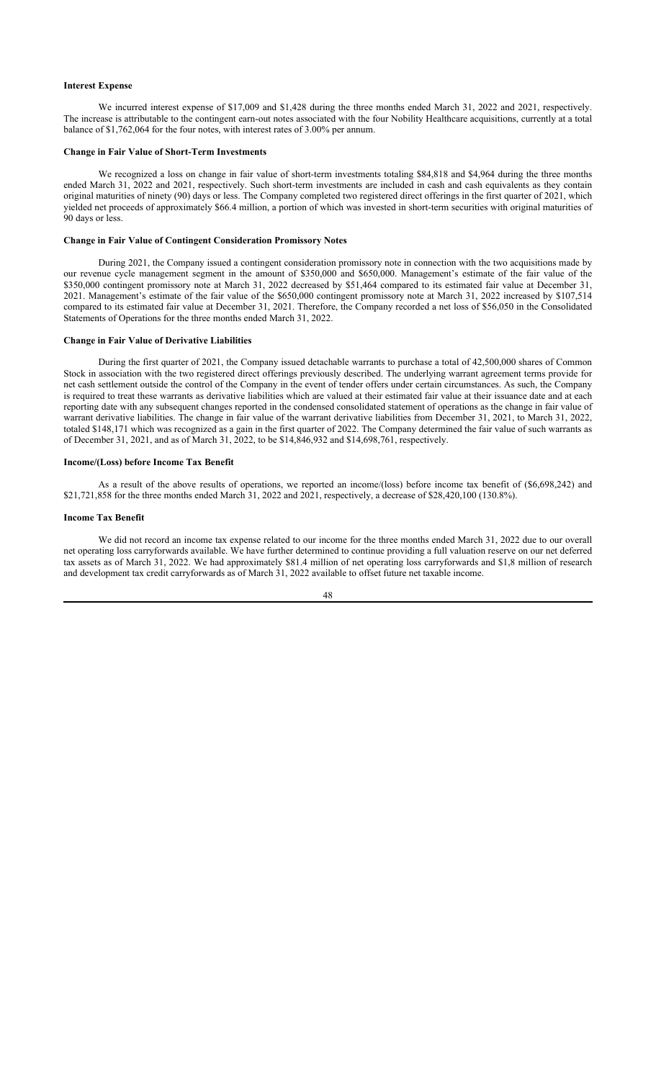#### **Interest Expense**

We incurred interest expense of \$17,009 and \$1,428 during the three months ended March 31, 2022 and 2021, respectively. The increase is attributable to the contingent earn-out notes associated with the four Nobility Healthcare acquisitions, currently at a total balance of \$1,762,064 for the four notes, with interest rates of 3.00% per annum.

#### **Change in Fair Value of Short-Term Investments**

We recognized a loss on change in fair value of short-term investments totaling \$84,818 and \$4,964 during the three months ended March 31, 2022 and 2021, respectively. Such short-term investments are included in cash and cash equivalents as they contain original maturities of ninety (90) days or less. The Company completed two registered direct offerings in the first quarter of 2021, which yielded net proceeds of approximately \$66.4 million, a portion of which was invested in short-term securities with original maturities of 90 days or less.

#### **Change in Fair Value of Contingent Consideration Promissory Notes**

During 2021, the Company issued a contingent consideration promissory note in connection with the two acquisitions made by our revenue cycle management segment in the amount of \$350,000 and \$650,000. Management's estimate of the fair value of the \$350,000 contingent promissory note at March 31, 2022 decreased by \$51,464 compared to its estimated fair value at December 31, 2021. Management's estimate of the fair value of the \$650,000 contingent promissory note at March 31, 2022 increased by \$107,514 compared to its estimated fair value at December 31, 2021. Therefore, the Company recorded a net loss of \$56,050 in the Consolidated Statements of Operations for the three months ended March 31, 2022.

## **Change in Fair Value of Derivative Liabilities**

During the first quarter of 2021, the Company issued detachable warrants to purchase a total of 42,500,000 shares of Common Stock in association with the two registered direct offerings previously described. The underlying warrant agreement terms provide for net cash settlement outside the control of the Company in the event of tender offers under certain circumstances. As such, the Company is required to treat these warrants as derivative liabilities which are valued at their estimated fair value at their issuance date and at each reporting date with any subsequent changes reported in the condensed consolidated statement of operations as the change in fair value of warrant derivative liabilities. The change in fair value of the warrant derivative liabilities from December 31, 2021, to March 31, 2022, totaled \$148,171 which was recognized as a gain in the first quarter of 2022. The Company determined the fair value of such warrants as of December 31, 2021, and as of March 31, 2022, to be \$14,846,932 and \$14,698,761, respectively.

#### **Income/(Loss) before Income Tax Benefit**

As a result of the above results of operations, we reported an income/(loss) before income tax benefit of (\$6,698,242) and \$21,721,858 for the three months ended March 31, 2022 and 2021, respectively, a decrease of \$28,420,100 (130.8%).

#### **Income Tax Benefit**

We did not record an income tax expense related to our income for the three months ended March 31, 2022 due to our overall net operating loss carryforwards available. We have further determined to continue providing a full valuation reserve on our net deferred tax assets as of March 31, 2022. We had approximately \$81.4 million of net operating loss carryforwards and \$1,8 million of research and development tax credit carryforwards as of March 31, 2022 available to offset future net taxable income.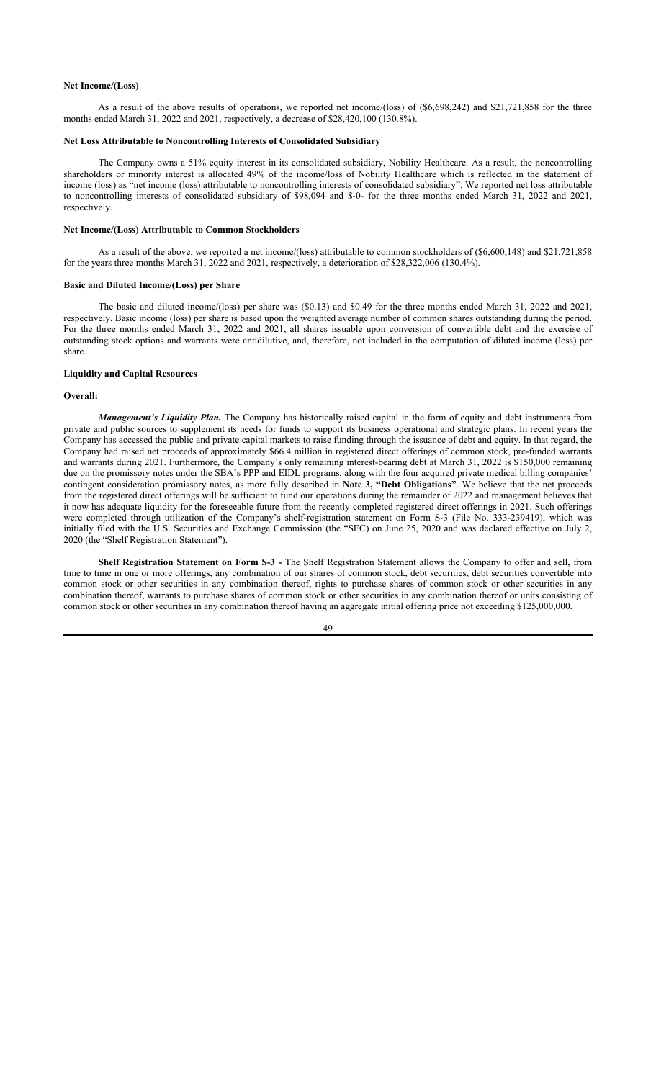#### **Net Income/(Loss)**

As a result of the above results of operations, we reported net income/(loss) of (\$6,698,242) and \$21,721,858 for the three months ended March 31, 2022 and 2021, respectively, a decrease of \$28,420,100 (130.8%).

## **Net Loss Attributable to Noncontrolling Interests of Consolidated Subsidiary**

The Company owns a 51% equity interest in its consolidated subsidiary, Nobility Healthcare. As a result, the noncontrolling shareholders or minority interest is allocated 49% of the income/loss of Nobility Healthcare which is reflected in the statement of income (loss) as "net income (loss) attributable to noncontrolling interests of consolidated subsidiary". We reported net loss attributable to noncontrolling interests of consolidated subsidiary of \$98,094 and \$-0- for the three months ended March 31, 2022 and 2021, respectively.

## **Net Income/(Loss) Attributable to Common Stockholders**

As a result of the above, we reported a net income/(loss) attributable to common stockholders of (\$6,600,148) and \$21,721,858 for the years three months March 31, 2022 and 2021, respectively, a deterioration of \$28,322,006 (130.4%).

#### **Basic and Diluted Income/(Loss) per Share**

The basic and diluted income/(loss) per share was (\$0.13) and \$0.49 for the three months ended March 31, 2022 and 2021, respectively. Basic income (loss) per share is based upon the weighted average number of common shares outstanding during the period. For the three months ended March 31, 2022 and 2021, all shares issuable upon conversion of convertible debt and the exercise of outstanding stock options and warrants were antidilutive, and, therefore, not included in the computation of diluted income (loss) per share.

#### **Liquidity and Capital Resources**

#### **Overall:**

*Management's Liquidity Plan.* The Company has historically raised capital in the form of equity and debt instruments from private and public sources to supplement its needs for funds to support its business operational and strategic plans. In recent years the Company has accessed the public and private capital markets to raise funding through the issuance of debt and equity. In that regard, the Company had raised net proceeds of approximately \$66.4 million in registered direct offerings of common stock, pre-funded warrants and warrants during 2021. Furthermore, the Company's only remaining interest-bearing debt at March 31, 2022 is \$150,000 remaining due on the promissory notes under the SBA's PPP and EIDL programs, along with the four acquired private medical billing companies' contingent consideration promissory notes, as more fully described in **Note 3, "Debt Obligations"**. We believe that the net proceeds from the registered direct offerings will be sufficient to fund our operations during the remainder of 2022 and management believes that it now has adequate liquidity for the foreseeable future from the recently completed registered direct offerings in 2021. Such offerings were completed through utilization of the Company's shelf-registration statement on Form S-3 (File No. 333-239419), which was initially filed with the U.S. Securities and Exchange Commission (the "SEC) on June 25, 2020 and was declared effective on July 2, 2020 (the "Shelf Registration Statement").

**Shelf Registration Statement on Form S-3 -** The Shelf Registration Statement allows the Company to offer and sell, from time to time in one or more offerings, any combination of our shares of common stock, debt securities, debt securities convertible into common stock or other securities in any combination thereof, rights to purchase shares of common stock or other securities in any combination thereof, warrants to purchase shares of common stock or other securities in any combination thereof or units consisting of common stock or other securities in any combination thereof having an aggregate initial offering price not exceeding \$125,000,000.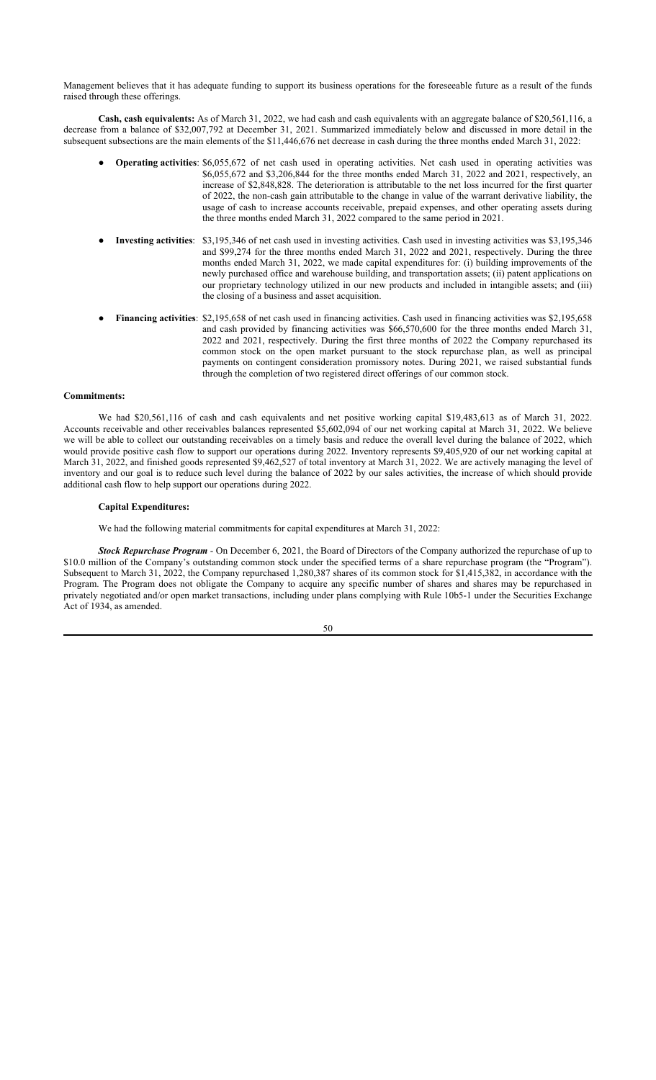Management believes that it has adequate funding to support its business operations for the foreseeable future as a result of the funds raised through these offerings.

**Cash, cash equivalents:** As of March 31, 2022, we had cash and cash equivalents with an aggregate balance of \$20,561,116, a decrease from a balance of \$32,007,792 at December 31, 2021. Summarized immediately below and discussed in more detail in the subsequent subsections are the main elements of the \$11,446,676 net decrease in cash during the three months ended March 31, 2022:

- **Operating activities**: \$6,055,672 of net cash used in operating activities. Net cash used in operating activities was \$6,055,672 and \$3,206,844 for the three months ended March 31, 2022 and 2021, respectively, an increase of \$2,848,828. The deterioration is attributable to the net loss incurred for the first quarter of 2022, the non-cash gain attributable to the change in value of the warrant derivative liability, the usage of cash to increase accounts receivable, prepaid expenses, and other operating assets during the three months ended March 31, 2022 compared to the same period in 2021.
- **Investing activities**: \$3,195,346 of net cash used in investing activities. Cash used in investing activities was \$3,195,346 and \$99,274 for the three months ended March 31, 2022 and 2021, respectively. During the three months ended March 31, 2022, we made capital expenditures for: (i) building improvements of the newly purchased office and warehouse building, and transportation assets; (ii) patent applications on our proprietary technology utilized in our new products and included in intangible assets; and (iii) the closing of a business and asset acquisition.
- **Financing activities**: \$2,195,658 of net cash used in financing activities. Cash used in financing activities was \$2,195,658 and cash provided by financing activities was \$66,570,600 for the three months ended March 31, 2022 and 2021, respectively. During the first three months of 2022 the Company repurchased its common stock on the open market pursuant to the stock repurchase plan, as well as principal payments on contingent consideration promissory notes. During 2021, we raised substantial funds through the completion of two registered direct offerings of our common stock.

#### **Commitments:**

We had \$20,561,116 of cash and cash equivalents and net positive working capital \$19,483,613 as of March 31, 2022. Accounts receivable and other receivables balances represented \$5,602,094 of our net working capital at March 31, 2022. We believe we will be able to collect our outstanding receivables on a timely basis and reduce the overall level during the balance of 2022, which would provide positive cash flow to support our operations during 2022. Inventory represents \$9,405,920 of our net working capital at March 31, 2022, and finished goods represented \$9,462,527 of total inventory at March 31, 2022. We are actively managing the level of inventory and our goal is to reduce such level during the balance of 2022 by our sales activities, the increase of which should provide additional cash flow to help support our operations during 2022.

## **Capital Expenditures:**

We had the following material commitments for capital expenditures at March 31, 2022:

*Stock Repurchase Program* - On December 6, 2021, the Board of Directors of the Company authorized the repurchase of up to \$10.0 million of the Company's outstanding common stock under the specified terms of a share repurchase program (the "Program"). Subsequent to March 31, 2022, the Company repurchased 1,280,387 shares of its common stock for \$1,415,382, in accordance with the Program. The Program does not obligate the Company to acquire any specific number of shares and shares may be repurchased in privately negotiated and/or open market transactions, including under plans complying with Rule 10b5-1 under the Securities Exchange Act of 1934, as amended.

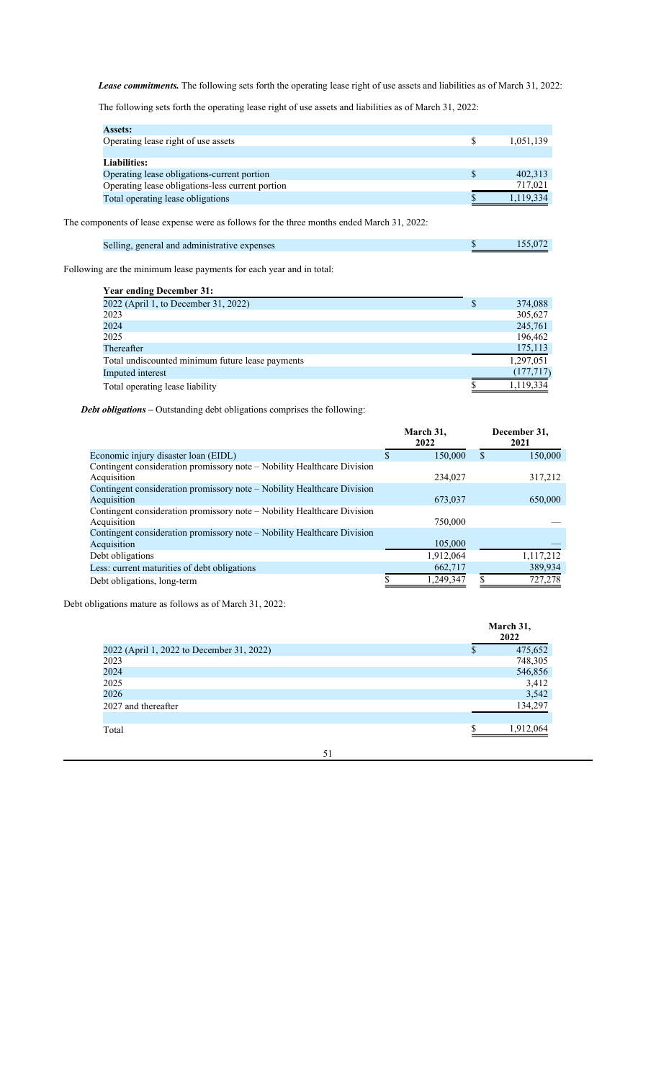*Lease commitments.* The following sets forth the operating lease right of use assets and liabilities as of March 31, 2022:

The following sets forth the operating lease right of use assets and liabilities as of March 31, 2022:

| <b>Assets:</b>                                   |           |
|--------------------------------------------------|-----------|
| Operating lease right of use assets              | 1,051,139 |
|                                                  |           |
| Liabilities:                                     |           |
| Operating lease obligations-current portion      | 402,313   |
| Operating lease obligations-less current portion | 717,021   |
| Total operating lease obligations                | 1,119,334 |

The components of lease expense were as follows for the three months ended March 31, 2022:

| Selling, general and administrative expenses |  |
|----------------------------------------------|--|
|                                              |  |

Following are the minimum lease payments for each year and in total:

| <b>Year ending December 31:</b>                  |   |            |
|--------------------------------------------------|---|------------|
| 2022 (April 1, to December 31, 2022)             | S | 374,088    |
| 2023                                             |   | 305,627    |
| 2024                                             |   | 245,761    |
| 2025                                             |   | 196,462    |
| Thereafter                                       |   | 175,113    |
| Total undiscounted minimum future lease payments |   | 1,297,051  |
| Imputed interest                                 |   | (177, 717) |
| Total operating lease liability                  |   | 1.119.334  |

*Debt obligations –* Outstanding debt obligations comprises the following:

|                                                                         | March 31,<br>2022 |           | December 31,<br>2021 |           |
|-------------------------------------------------------------------------|-------------------|-----------|----------------------|-----------|
| Economic injury disaster loan (EIDL)                                    |                   | 150,000   | \$                   | 150,000   |
| Contingent consideration promissory note - Nobility Healthcare Division |                   |           |                      |           |
| Acquisition                                                             |                   | 234,027   |                      | 317,212   |
| Contingent consideration promissory note - Nobility Healthcare Division |                   |           |                      |           |
| Acquisition                                                             |                   | 673,037   |                      | 650,000   |
| Contingent consideration promissory note – Nobility Healthcare Division |                   |           |                      |           |
| Acquisition                                                             |                   | 750,000   |                      |           |
| Contingent consideration promissory note – Nobility Healthcare Division |                   |           |                      |           |
| Acquisition                                                             |                   | 105,000   |                      |           |
| Debt obligations                                                        |                   | 1,912,064 |                      | 1,117,212 |
| Less: current maturities of debt obligations                            |                   | 662,717   |                      | 389,934   |
| Debt obligations, long-term                                             |                   | 1,249,347 |                      | 727,278   |

Debt obligations mature as follows as of March 31, 2022:

|                                           | March 31,<br>2022 |  |
|-------------------------------------------|-------------------|--|
| 2022 (April 1, 2022 to December 31, 2022) | 475,652<br>\$     |  |
| 2023                                      | 748,305           |  |
| 2024                                      | 546,856           |  |
| 2025                                      | 3,412             |  |
| 2026                                      | 3,542             |  |
| 2027 and thereafter                       | 134,297           |  |
|                                           |                   |  |
| Total                                     | 1,912,064         |  |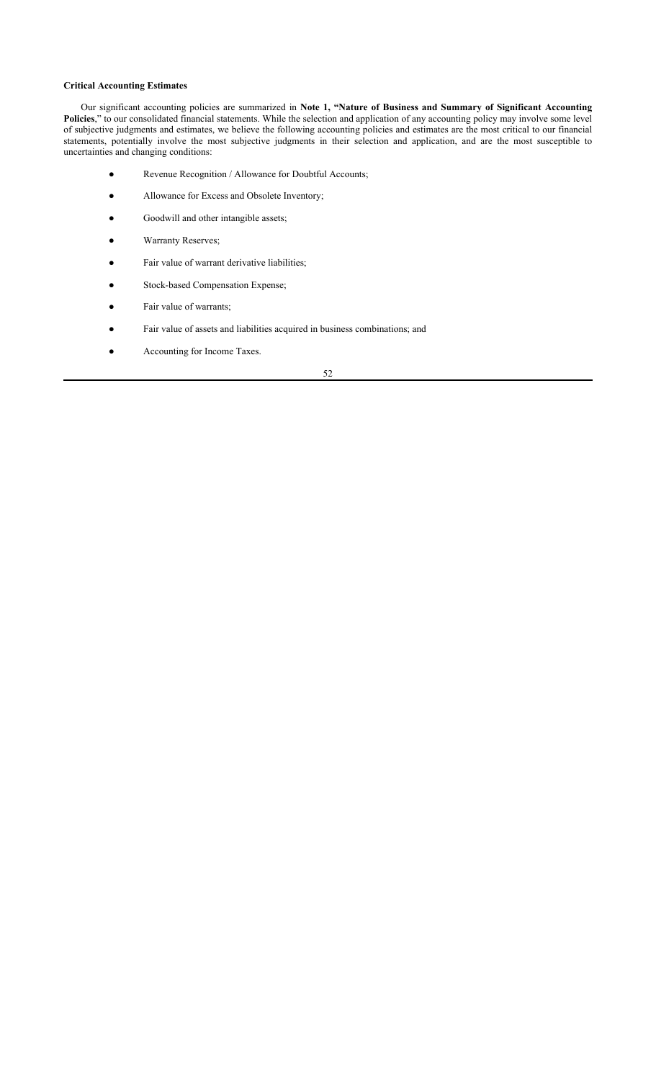# **Critical Accounting Estimates**

Our significant accounting policies are summarized in **Note 1, "Nature of Business and Summary of Significant Accounting Policies**," to our consolidated financial statements. While the selection and application of any accounting policy may involve some level of subjective judgments and estimates, we believe the following accounting policies and estimates are the most critical to our financial statements, potentially involve the most subjective judgments in their selection and application, and are the most susceptible to uncertainties and changing conditions:

- Revenue Recognition / Allowance for Doubtful Accounts;
- Allowance for Excess and Obsolete Inventory;
- Goodwill and other intangible assets;
- Warranty Reserves;
- Fair value of warrant derivative liabilities;
- Stock-based Compensation Expense;
- Fair value of warrants;
- Fair value of assets and liabilities acquired in business combinations; and
- Accounting for Income Taxes.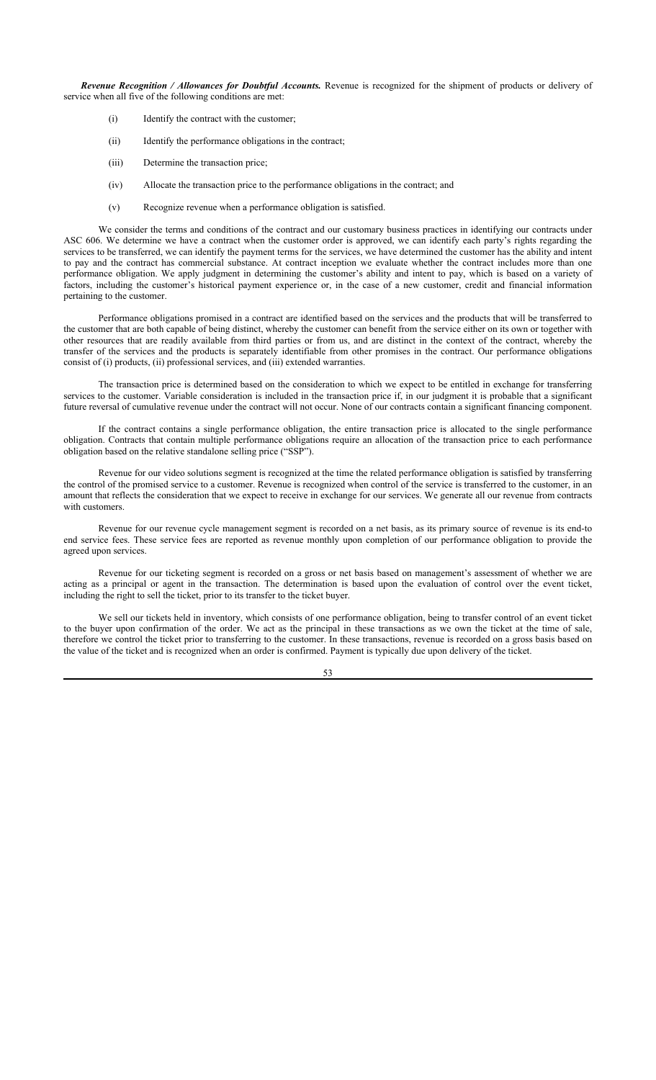*Revenue Recognition / Allowances for Doubtful Accounts.* Revenue is recognized for the shipment of products or delivery of service when all five of the following conditions are met:

- (i) Identify the contract with the customer;
- (ii) Identify the performance obligations in the contract;
- (iii) Determine the transaction price;
- (iv) Allocate the transaction price to the performance obligations in the contract; and
- (v) Recognize revenue when a performance obligation is satisfied.

We consider the terms and conditions of the contract and our customary business practices in identifying our contracts under ASC 606. We determine we have a contract when the customer order is approved, we can identify each party's rights regarding the services to be transferred, we can identify the payment terms for the services, we have determined the customer has the ability and intent to pay and the contract has commercial substance. At contract inception we evaluate whether the contract includes more than one performance obligation. We apply judgment in determining the customer's ability and intent to pay, which is based on a variety of factors, including the customer's historical payment experience or, in the case of a new customer, credit and financial information pertaining to the customer.

Performance obligations promised in a contract are identified based on the services and the products that will be transferred to the customer that are both capable of being distinct, whereby the customer can benefit from the service either on its own or together with other resources that are readily available from third parties or from us, and are distinct in the context of the contract, whereby the transfer of the services and the products is separately identifiable from other promises in the contract. Our performance obligations consist of (i) products, (ii) professional services, and (iii) extended warranties.

The transaction price is determined based on the consideration to which we expect to be entitled in exchange for transferring services to the customer. Variable consideration is included in the transaction price if, in our judgment it is probable that a significant future reversal of cumulative revenue under the contract will not occur. None of our contracts contain a significant financing component.

If the contract contains a single performance obligation, the entire transaction price is allocated to the single performance obligation. Contracts that contain multiple performance obligations require an allocation of the transaction price to each performance obligation based on the relative standalone selling price ("SSP").

Revenue for our video solutions segment is recognized at the time the related performance obligation is satisfied by transferring the control of the promised service to a customer. Revenue is recognized when control of the service is transferred to the customer, in an amount that reflects the consideration that we expect to receive in exchange for our services. We generate all our revenue from contracts with customers.

Revenue for our revenue cycle management segment is recorded on a net basis, as its primary source of revenue is its end-to end service fees. These service fees are reported as revenue monthly upon completion of our performance obligation to provide the agreed upon services.

Revenue for our ticketing segment is recorded on a gross or net basis based on management's assessment of whether we are acting as a principal or agent in the transaction. The determination is based upon the evaluation of control over the event ticket, including the right to sell the ticket, prior to its transfer to the ticket buyer.

We sell our tickets held in inventory, which consists of one performance obligation, being to transfer control of an event ticket to the buyer upon confirmation of the order. We act as the principal in these transactions as we own the ticket at the time of sale, therefore we control the ticket prior to transferring to the customer. In these transactions, revenue is recorded on a gross basis based on the value of the ticket and is recognized when an order is confirmed. Payment is typically due upon delivery of the ticket.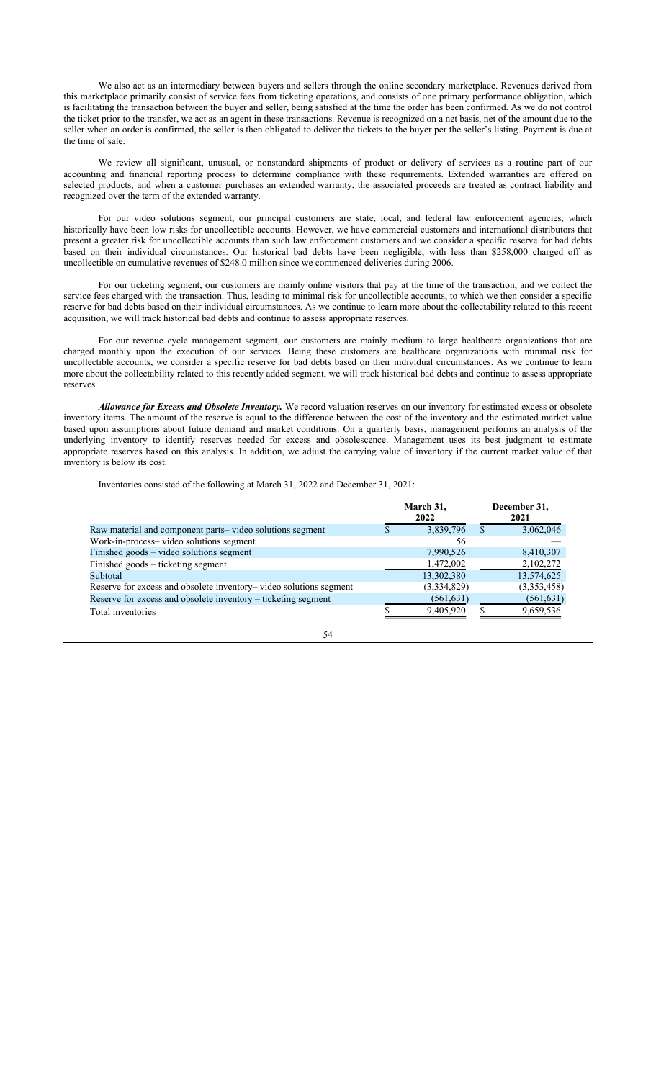We also act as an intermediary between buyers and sellers through the online secondary marketplace. Revenues derived from this marketplace primarily consist of service fees from ticketing operations, and consists of one primary performance obligation, which is facilitating the transaction between the buyer and seller, being satisfied at the time the order has been confirmed. As we do not control the ticket prior to the transfer, we act as an agent in these transactions. Revenue is recognized on a net basis, net of the amount due to the seller when an order is confirmed, the seller is then obligated to deliver the tickets to the buyer per the seller's listing. Payment is due at the time of sale.

We review all significant, unusual, or nonstandard shipments of product or delivery of services as a routine part of our accounting and financial reporting process to determine compliance with these requirements. Extended warranties are offered on selected products, and when a customer purchases an extended warranty, the associated proceeds are treated as contract liability and recognized over the term of the extended warranty.

For our video solutions segment, our principal customers are state, local, and federal law enforcement agencies, which historically have been low risks for uncollectible accounts. However, we have commercial customers and international distributors that present a greater risk for uncollectible accounts than such law enforcement customers and we consider a specific reserve for bad debts based on their individual circumstances. Our historical bad debts have been negligible, with less than \$258,000 charged off as uncollectible on cumulative revenues of \$248.0 million since we commenced deliveries during 2006.

For our ticketing segment, our customers are mainly online visitors that pay at the time of the transaction, and we collect the service fees charged with the transaction. Thus, leading to minimal risk for uncollectible accounts, to which we then consider a specific reserve for bad debts based on their individual circumstances. As we continue to learn more about the collectability related to this recent acquisition, we will track historical bad debts and continue to assess appropriate reserves.

For our revenue cycle management segment, our customers are mainly medium to large healthcare organizations that are charged monthly upon the execution of our services. Being these customers are healthcare organizations with minimal risk for uncollectible accounts, we consider a specific reserve for bad debts based on their individual circumstances. As we continue to learn more about the collectability related to this recently added segment, we will track historical bad debts and continue to assess appropriate reserves.

*Allowance for Excess and Obsolete Inventory.* We record valuation reserves on our inventory for estimated excess or obsolete inventory items. The amount of the reserve is equal to the difference between the cost of the inventory and the estimated market value based upon assumptions about future demand and market conditions. On a quarterly basis, management performs an analysis of the underlying inventory to identify reserves needed for excess and obsolescence. Management uses its best judgment to estimate appropriate reserves based on this analysis. In addition, we adjust the carrying value of inventory if the current market value of that inventory is below its cost.

Inventories consisted of the following at March 31, 2022 and December 31, 2021:

|                                                                    | March 31,<br>2022 |             | December 31,<br>2021 |             |
|--------------------------------------------------------------------|-------------------|-------------|----------------------|-------------|
| Raw material and component parts-video solutions segment           |                   | 3,839,796   | S                    | 3,062,046   |
| Work-in-process- video solutions segment                           |                   | 56          |                      |             |
| Finished goods - video solutions segment                           |                   | 7,990,526   |                      | 8,410,307   |
| Finished goods – ticketing segment                                 |                   | 1,472,002   |                      | 2,102,272   |
| Subtotal                                                           |                   | 13,302,380  |                      | 13,574,625  |
| Reserve for excess and obsolete inventory– video solutions segment |                   | (3,334,829) |                      | (3,353,458) |
| Reserve for excess and obsolete inventory – ticketing segment      |                   | (561, 631)  |                      | (561, 631)  |
| Total inventories                                                  |                   | 9,405,920   |                      | 9,659,536   |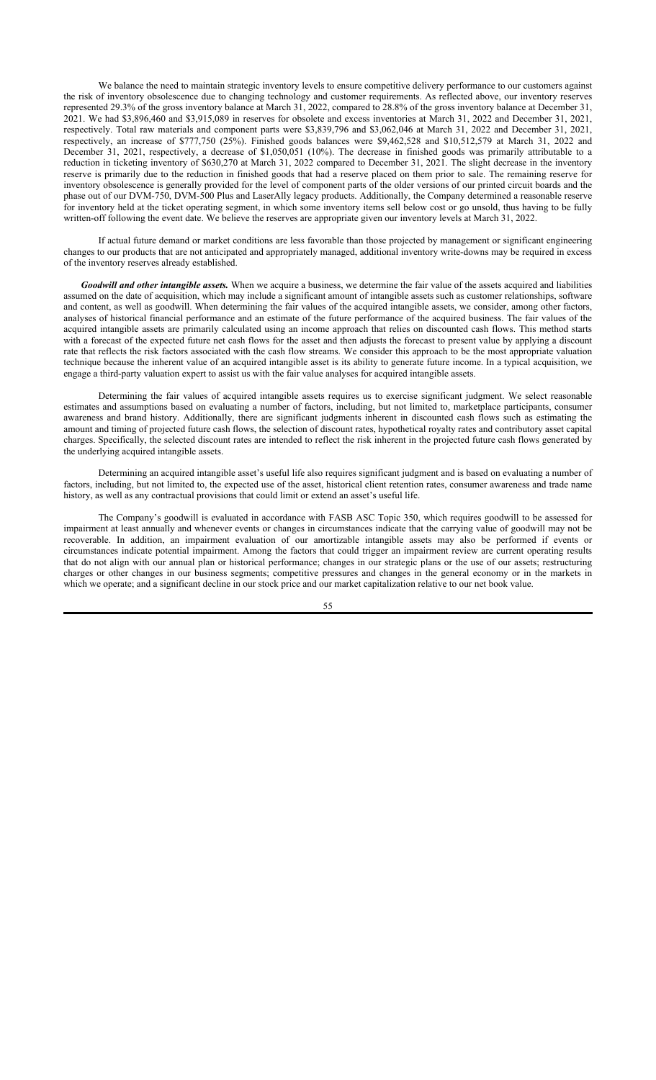We balance the need to maintain strategic inventory levels to ensure competitive delivery performance to our customers against the risk of inventory obsolescence due to changing technology and customer requirements. As reflected above, our inventory reserves represented 29.3% of the gross inventory balance at March 31, 2022, compared to 28.8% of the gross inventory balance at December 31, 2021. We had \$3,896,460 and \$3,915,089 in reserves for obsolete and excess inventories at March 31, 2022 and December 31, 2021, respectively. Total raw materials and component parts were \$3,839,796 and \$3,062,046 at March 31, 2022 and December 31, 2021, respectively, an increase of \$777,750 (25%). Finished goods balances were \$9,462,528 and \$10,512,579 at March 31, 2022 and December 31, 2021, respectively, a decrease of \$1,050,051 (10%). The decrease in finished goods was primarily attributable to a reduction in ticketing inventory of \$630,270 at March 31, 2022 compared to December 31, 2021. The slight decrease in the inventory reserve is primarily due to the reduction in finished goods that had a reserve placed on them prior to sale. The remaining reserve for inventory obsolescence is generally provided for the level of component parts of the older versions of our printed circuit boards and the phase out of our DVM-750, DVM-500 Plus and LaserAlly legacy products. Additionally, the Company determined a reasonable reserve for inventory held at the ticket operating segment, in which some inventory items sell below cost or go unsold, thus having to be fully written-off following the event date. We believe the reserves are appropriate given our inventory levels at March 31, 2022.

If actual future demand or market conditions are less favorable than those projected by management or significant engineering changes to our products that are not anticipated and appropriately managed, additional inventory write-downs may be required in excess of the inventory reserves already established.

*Goodwill and other intangible assets.* When we acquire a business, we determine the fair value of the assets acquired and liabilities assumed on the date of acquisition, which may include a significant amount of intangible assets such as customer relationships, software and content, as well as goodwill. When determining the fair values of the acquired intangible assets, we consider, among other factors, analyses of historical financial performance and an estimate of the future performance of the acquired business. The fair values of the acquired intangible assets are primarily calculated using an income approach that relies on discounted cash flows. This method starts with a forecast of the expected future net cash flows for the asset and then adjusts the forecast to present value by applying a discount rate that reflects the risk factors associated with the cash flow streams. We consider this approach to be the most appropriate valuation technique because the inherent value of an acquired intangible asset is its ability to generate future income. In a typical acquisition, we engage a third-party valuation expert to assist us with the fair value analyses for acquired intangible assets.

Determining the fair values of acquired intangible assets requires us to exercise significant judgment. We select reasonable estimates and assumptions based on evaluating a number of factors, including, but not limited to, marketplace participants, consumer awareness and brand history. Additionally, there are significant judgments inherent in discounted cash flows such as estimating the amount and timing of projected future cash flows, the selection of discount rates, hypothetical royalty rates and contributory asset capital charges. Specifically, the selected discount rates are intended to reflect the risk inherent in the projected future cash flows generated by the underlying acquired intangible assets.

Determining an acquired intangible asset's useful life also requires significant judgment and is based on evaluating a number of factors, including, but not limited to, the expected use of the asset, historical client retention rates, consumer awareness and trade name history, as well as any contractual provisions that could limit or extend an asset's useful life.

The Company's goodwill is evaluated in accordance with FASB ASC Topic 350, which requires goodwill to be assessed for impairment at least annually and whenever events or changes in circumstances indicate that the carrying value of goodwill may not be recoverable. In addition, an impairment evaluation of our amortizable intangible assets may also be performed if events or circumstances indicate potential impairment. Among the factors that could trigger an impairment review are current operating results that do not align with our annual plan or historical performance; changes in our strategic plans or the use of our assets; restructuring charges or other changes in our business segments; competitive pressures and changes in the general economy or in the markets in which we operate; and a significant decline in our stock price and our market capitalization relative to our net book value.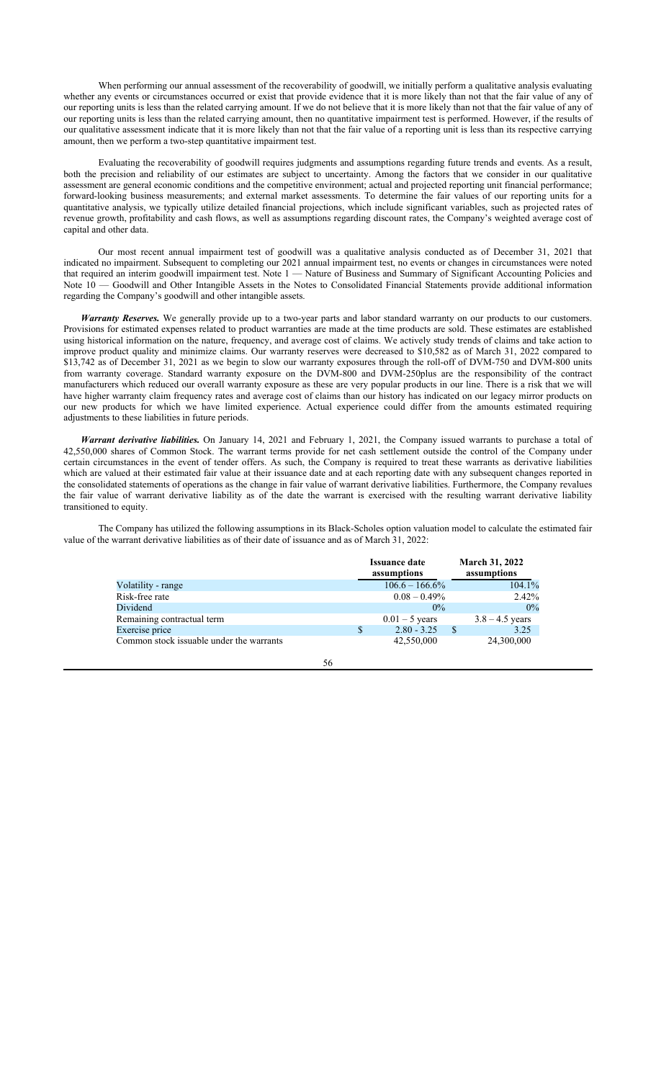When performing our annual assessment of the recoverability of goodwill, we initially perform a qualitative analysis evaluating whether any events or circumstances occurred or exist that provide evidence that it is more likely than not that the fair value of any of our reporting units is less than the related carrying amount. If we do not believe that it is more likely than not that the fair value of any of our reporting units is less than the related carrying amount, then no quantitative impairment test is performed. However, if the results of our qualitative assessment indicate that it is more likely than not that the fair value of a reporting unit is less than its respective carrying amount, then we perform a two-step quantitative impairment test.

Evaluating the recoverability of goodwill requires judgments and assumptions regarding future trends and events. As a result, both the precision and reliability of our estimates are subject to uncertainty. Among the factors that we consider in our qualitative assessment are general economic conditions and the competitive environment; actual and projected reporting unit financial performance; forward-looking business measurements; and external market assessments. To determine the fair values of our reporting units for a quantitative analysis, we typically utilize detailed financial projections, which include significant variables, such as projected rates of revenue growth, profitability and cash flows, as well as assumptions regarding discount rates, the Company's weighted average cost of capital and other data.

Our most recent annual impairment test of goodwill was a qualitative analysis conducted as of December 31, 2021 that indicated no impairment. Subsequent to completing our 2021 annual impairment test, no events or changes in circumstances were noted that required an interim goodwill impairment test. Note 1 — Nature of Business and Summary of Significant Accounting Policies and Note 10 — Goodwill and Other Intangible Assets in the Notes to Consolidated Financial Statements provide additional information regarding the Company's goodwill and other intangible assets.

*Warranty Reserves.* We generally provide up to a two-year parts and labor standard warranty on our products to our customers. Provisions for estimated expenses related to product warranties are made at the time products are sold. These estimates are established using historical information on the nature, frequency, and average cost of claims. We actively study trends of claims and take action to improve product quality and minimize claims. Our warranty reserves were decreased to \$10,582 as of March 31, 2022 compared to \$13,742 as of December 31, 2021 as we begin to slow our warranty exposures through the roll-off of DVM-750 and DVM-800 units from warranty coverage. Standard warranty exposure on the DVM-800 and DVM-250plus are the responsibility of the contract manufacturers which reduced our overall warranty exposure as these are very popular products in our line. There is a risk that we will have higher warranty claim frequency rates and average cost of claims than our history has indicated on our legacy mirror products on our new products for which we have limited experience. Actual experience could differ from the amounts estimated requiring adjustments to these liabilities in future periods.

*Warrant derivative liabilities.* On January 14, 2021 and February 1, 2021, the Company issued warrants to purchase a total of 42,550,000 shares of Common Stock. The warrant terms provide for net cash settlement outside the control of the Company under certain circumstances in the event of tender offers. As such, the Company is required to treat these warrants as derivative liabilities which are valued at their estimated fair value at their issuance date and at each reporting date with any subsequent changes reported in the consolidated statements of operations as the change in fair value of warrant derivative liabilities. Furthermore, the Company revalues the fair value of warrant derivative liability as of the date the warrant is exercised with the resulting warrant derivative liability transitioned to equity.

The Company has utilized the following assumptions in its Black-Scholes option valuation model to calculate the estimated fair value of the warrant derivative liabilities as of their date of issuance and as of March 31, 2022:

|                                          | <b>Issuance date</b><br>assumptions |               | <b>March 31, 2022</b><br>assumptions |
|------------------------------------------|-------------------------------------|---------------|--------------------------------------|
| Volatility - range                       | $106.6 - 166.6\%$                   |               | 104.1%                               |
| Risk-free rate                           | $0.08 - 0.49\%$                     |               | 2.42%                                |
| Dividend                                 | $0\%$                               |               | 0%                                   |
| Remaining contractual term               | $0.01 - 5$ years                    |               | $3.8 - 4.5$ years                    |
| Exercise price                           | $2.80 - 3.25$                       | <sup>\$</sup> | 3.25                                 |
| Common stock issuable under the warrants | 42,550,000                          |               | 24,300,000                           |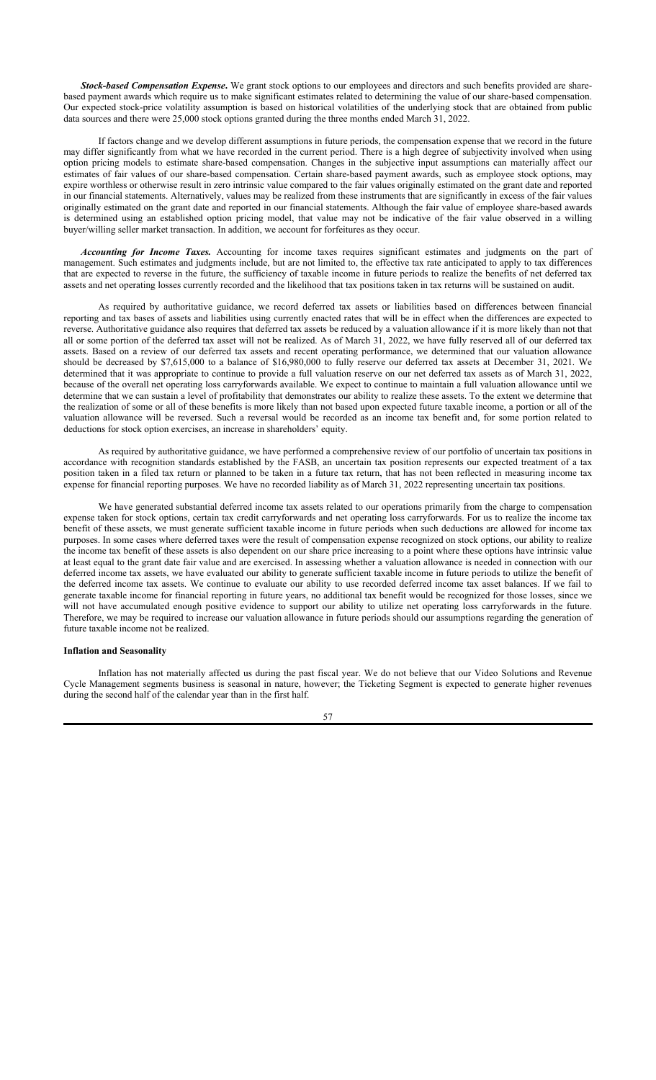*Stock-based Compensation Expense***.** We grant stock options to our employees and directors and such benefits provided are sharebased payment awards which require us to make significant estimates related to determining the value of our share-based compensation. Our expected stock-price volatility assumption is based on historical volatilities of the underlying stock that are obtained from public data sources and there were 25,000 stock options granted during the three months ended March 31, 2022.

If factors change and we develop different assumptions in future periods, the compensation expense that we record in the future may differ significantly from what we have recorded in the current period. There is a high degree of subjectivity involved when using option pricing models to estimate share-based compensation. Changes in the subjective input assumptions can materially affect our estimates of fair values of our share-based compensation. Certain share-based payment awards, such as employee stock options, may expire worthless or otherwise result in zero intrinsic value compared to the fair values originally estimated on the grant date and reported in our financial statements. Alternatively, values may be realized from these instruments that are significantly in excess of the fair values originally estimated on the grant date and reported in our financial statements. Although the fair value of employee share-based awards is determined using an established option pricing model, that value may not be indicative of the fair value observed in a willing buyer/willing seller market transaction. In addition, we account for forfeitures as they occur.

*Accounting for Income Taxes.* Accounting for income taxes requires significant estimates and judgments on the part of management. Such estimates and judgments include, but are not limited to, the effective tax rate anticipated to apply to tax differences that are expected to reverse in the future, the sufficiency of taxable income in future periods to realize the benefits of net deferred tax assets and net operating losses currently recorded and the likelihood that tax positions taken in tax returns will be sustained on audit.

As required by authoritative guidance, we record deferred tax assets or liabilities based on differences between financial reporting and tax bases of assets and liabilities using currently enacted rates that will be in effect when the differences are expected to reverse. Authoritative guidance also requires that deferred tax assets be reduced by a valuation allowance if it is more likely than not that all or some portion of the deferred tax asset will not be realized. As of March 31, 2022, we have fully reserved all of our deferred tax assets. Based on a review of our deferred tax assets and recent operating performance, we determined that our valuation allowance should be decreased by \$7,615,000 to a balance of \$16,980,000 to fully reserve our deferred tax assets at December 31, 2021. We determined that it was appropriate to continue to provide a full valuation reserve on our net deferred tax assets as of March 31, 2022, because of the overall net operating loss carryforwards available. We expect to continue to maintain a full valuation allowance until we determine that we can sustain a level of profitability that demonstrates our ability to realize these assets. To the extent we determine that the realization of some or all of these benefits is more likely than not based upon expected future taxable income, a portion or all of the valuation allowance will be reversed. Such a reversal would be recorded as an income tax benefit and, for some portion related to deductions for stock option exercises, an increase in shareholders' equity.

As required by authoritative guidance, we have performed a comprehensive review of our portfolio of uncertain tax positions in accordance with recognition standards established by the FASB, an uncertain tax position represents our expected treatment of a tax position taken in a filed tax return or planned to be taken in a future tax return, that has not been reflected in measuring income tax expense for financial reporting purposes. We have no recorded liability as of March 31, 2022 representing uncertain tax positions.

We have generated substantial deferred income tax assets related to our operations primarily from the charge to compensation expense taken for stock options, certain tax credit carryforwards and net operating loss carryforwards. For us to realize the income tax benefit of these assets, we must generate sufficient taxable income in future periods when such deductions are allowed for income tax purposes. In some cases where deferred taxes were the result of compensation expense recognized on stock options, our ability to realize the income tax benefit of these assets is also dependent on our share price increasing to a point where these options have intrinsic value at least equal to the grant date fair value and are exercised. In assessing whether a valuation allowance is needed in connection with our deferred income tax assets, we have evaluated our ability to generate sufficient taxable income in future periods to utilize the benefit of the deferred income tax assets. We continue to evaluate our ability to use recorded deferred income tax asset balances. If we fail to generate taxable income for financial reporting in future years, no additional tax benefit would be recognized for those losses, since we will not have accumulated enough positive evidence to support our ability to utilize net operating loss carryforwards in the future. Therefore, we may be required to increase our valuation allowance in future periods should our assumptions regarding the generation of future taxable income not be realized.

## **Inflation and Seasonality**

Inflation has not materially affected us during the past fiscal year. We do not believe that our Video Solutions and Revenue Cycle Management segments business is seasonal in nature, however; the Ticketing Segment is expected to generate higher revenues during the second half of the calendar year than in the first half.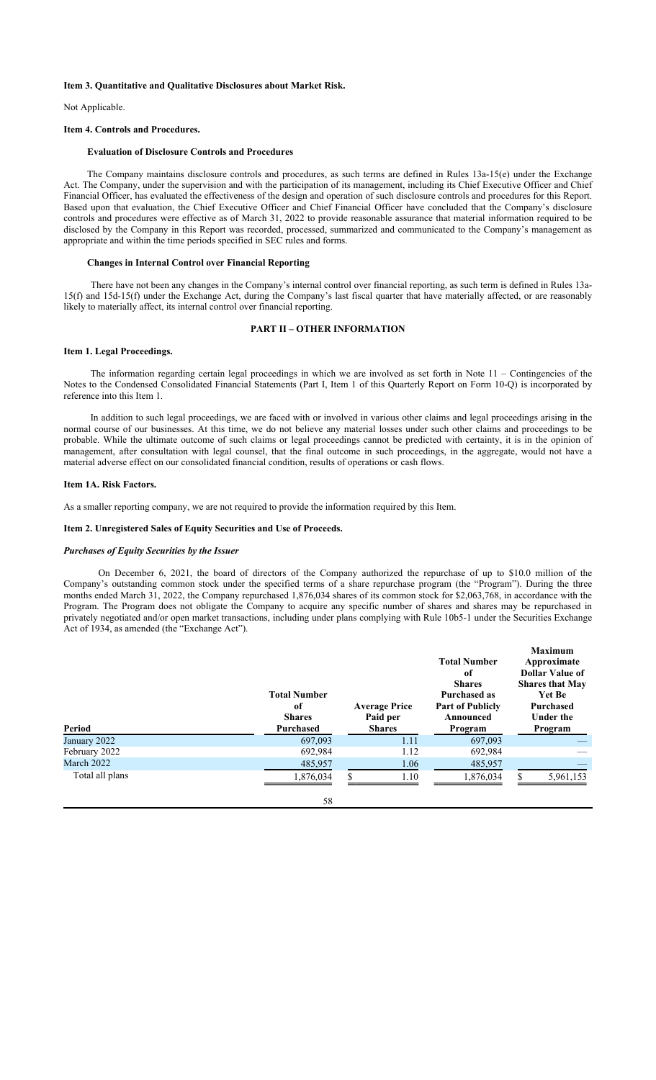## **Item 3. Quantitative and Qualitative Disclosures about Market Risk.**

Not Applicable.

# **Item 4. Controls and Procedures.**

## **Evaluation of Disclosure Controls and Procedures**

The Company maintains disclosure controls and procedures, as such terms are defined in Rules 13a-15(e) under the Exchange Act. The Company, under the supervision and with the participation of its management, including its Chief Executive Officer and Chief Financial Officer, has evaluated the effectiveness of the design and operation of such disclosure controls and procedures for this Report. Based upon that evaluation, the Chief Executive Officer and Chief Financial Officer have concluded that the Company's disclosure controls and procedures were effective as of March 31, 2022 to provide reasonable assurance that material information required to be disclosed by the Company in this Report was recorded, processed, summarized and communicated to the Company's management as appropriate and within the time periods specified in SEC rules and forms.

#### **Changes in Internal Control over Financial Reporting**

There have not been any changes in the Company's internal control over financial reporting, as such term is defined in Rules 13a-15(f) and 15d-15(f) under the Exchange Act, during the Company's last fiscal quarter that have materially affected, or are reasonably likely to materially affect, its internal control over financial reporting.

#### **PART II – OTHER INFORMATION**

## **Item 1. Legal Proceedings.**

The information regarding certain legal proceedings in which we are involved as set forth in Note 11 – Contingencies of the Notes to the Condensed Consolidated Financial Statements (Part I, Item 1 of this Quarterly Report on Form 10-Q) is incorporated by reference into this Item 1.

In addition to such legal proceedings, we are faced with or involved in various other claims and legal proceedings arising in the normal course of our businesses. At this time, we do not believe any material losses under such other claims and proceedings to be probable. While the ultimate outcome of such claims or legal proceedings cannot be predicted with certainty, it is in the opinion of management, after consultation with legal counsel, that the final outcome in such proceedings, in the aggregate, would not have a material adverse effect on our consolidated financial condition, results of operations or cash flows.

#### **Item 1A. Risk Factors.**

As a smaller reporting company, we are not required to provide the information required by this Item.

## **Item 2. Unregistered Sales of Equity Securities and Use of Proceeds.**

## *Purchases of Equity Securities by the Issuer*

On December 6, 2021, the board of directors of the Company authorized the repurchase of up to \$10.0 million of the Company's outstanding common stock under the specified terms of a share repurchase program (the "Program"). During the three months ended March 31, 2022, the Company repurchased 1,876,034 shares of its common stock for \$2,063,768, in accordance with the Program. The Program does not obligate the Company to acquire any specific number of shares and shares may be repurchased in privately negotiated and/or open market transactions, including under plans complying with Rule 10b5-1 under the Securities Exchange Act of 1934, as amended (the "Exchange Act").

| Period          | <b>Total Number</b><br>of<br><b>Shares</b><br>Purchased | <b>Average Price</b><br>Paid per<br><b>Shares</b> | <b>Total Number</b><br>of<br><b>Shares</b><br><b>Purchased as</b><br><b>Part of Publicly</b><br>Announced<br>Program | <b>Maximum</b><br>Approximate<br><b>Dollar Value of</b><br><b>Shares that May</b><br><b>Yet Be</b><br><b>Purchased</b><br><b>Under the</b><br>Program |
|-----------------|---------------------------------------------------------|---------------------------------------------------|----------------------------------------------------------------------------------------------------------------------|-------------------------------------------------------------------------------------------------------------------------------------------------------|
| January 2022    | 697,093                                                 | 1.11                                              | 697,093                                                                                                              |                                                                                                                                                       |
| February 2022   | 692,984                                                 | 1.12                                              | 692,984                                                                                                              |                                                                                                                                                       |
| March 2022      | 485,957                                                 | 1.06                                              | 485,957                                                                                                              |                                                                                                                                                       |
| Total all plans | 1,876,034<br>58                                         | 1.10                                              | 1,876,034                                                                                                            | 5,961,153                                                                                                                                             |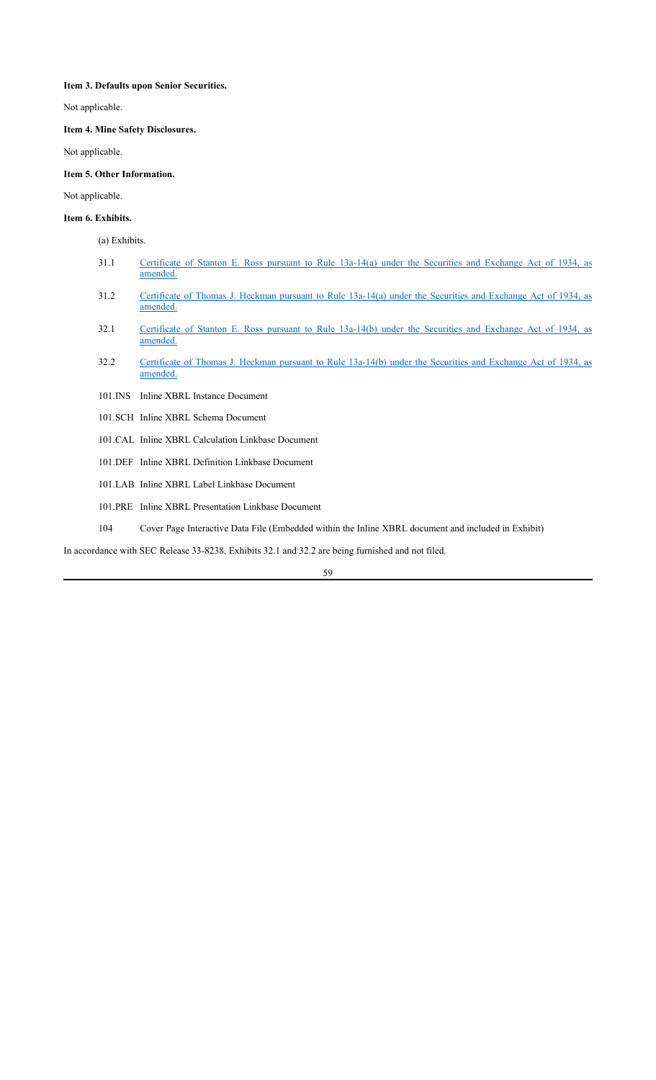# **Item 3. Defaults upon Senior Securities.**

Not applicable.

**Item 4. Mine Safety Disclosures.**

Not applicable.

# **Item 5. Other Information.**

Not applicable.

## **Item 6. Exhibits.**

(a) Exhibits.

- 31.1 Certificate of Stanton E. Ross pursuant to Rule 13a-14(a) under the Securities and Exchange Act of 1934, as amended.
- 31.2 Certificate of Thomas J. Heckman pursuant to Rule 13a-14(a) under the Securities and Exchange Act of 1934, as amended.
- 32.1 Certificate of Stanton E. Ross pursuant to Rule 13a-14(b) under the Securities and Exchange Act of 1934, as amended.
- 32.2 Certificate of Thomas J. Heckman pursuant to Rule 13a-14(b) under the Securities and Exchange Act of 1934, as amended.
- 101.INS Inline XBRL Instance Document
- 101.SCH Inline XBRL Schema Document
- 101.CAL Inline XBRL Calculation Linkbase Document
- 101.DEF Inline XBRL Definition Linkbase Document
- 101.LAB Inline XBRL Label Linkbase Document
- 101.PRE Inline XBRL Presentation Linkbase Document

104 Cover Page Interactive Data File (Embedded within the Inline XBRL document and included in Exhibit)

In accordance with SEC Release 33-8238, Exhibits 32.1 and 32.2 are being furnished and not filed.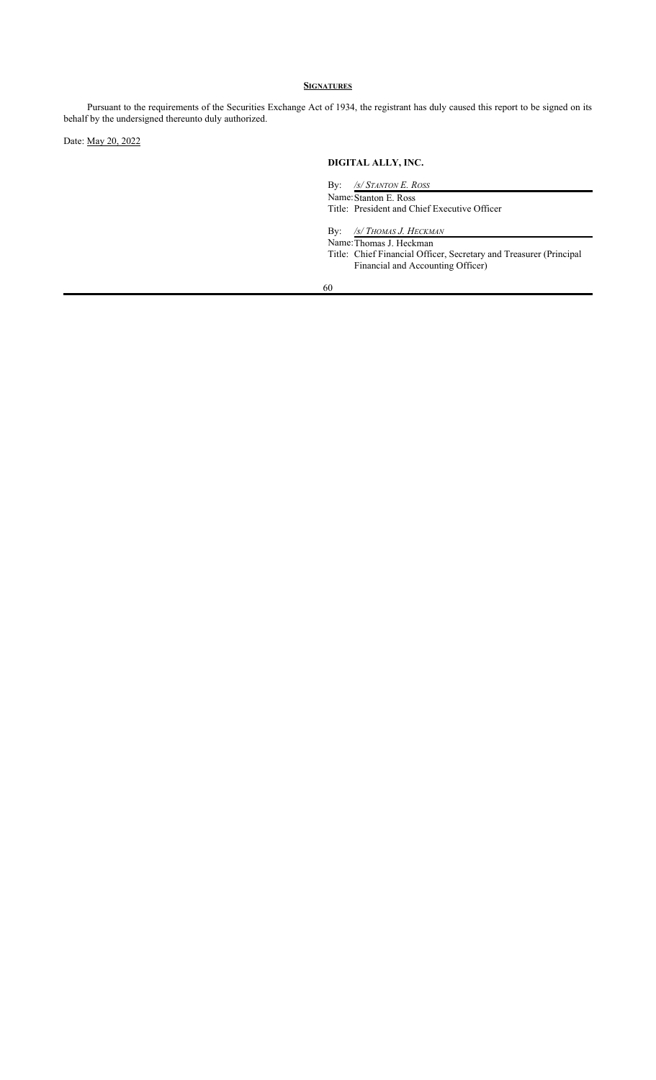# **SIGNATURES**

Pursuant to the requirements of the Securities Exchange Act of 1934, the registrant has duly caused this report to be signed on its behalf by the undersigned thereunto duly authorized.

Date: May 20, 2022

# **DIGITAL ALLY, INC.**

By: */s/ STANTON E. ROSS*

Name:Stanton E. Ross Title: President and Chief Executive Officer

By: */s/ THOMAS J. HECKMAN*

Name: Thomas J. Heckman Title: Chief Financial Officer, Secretary and Treasurer (Principal Financial and Accounting Officer)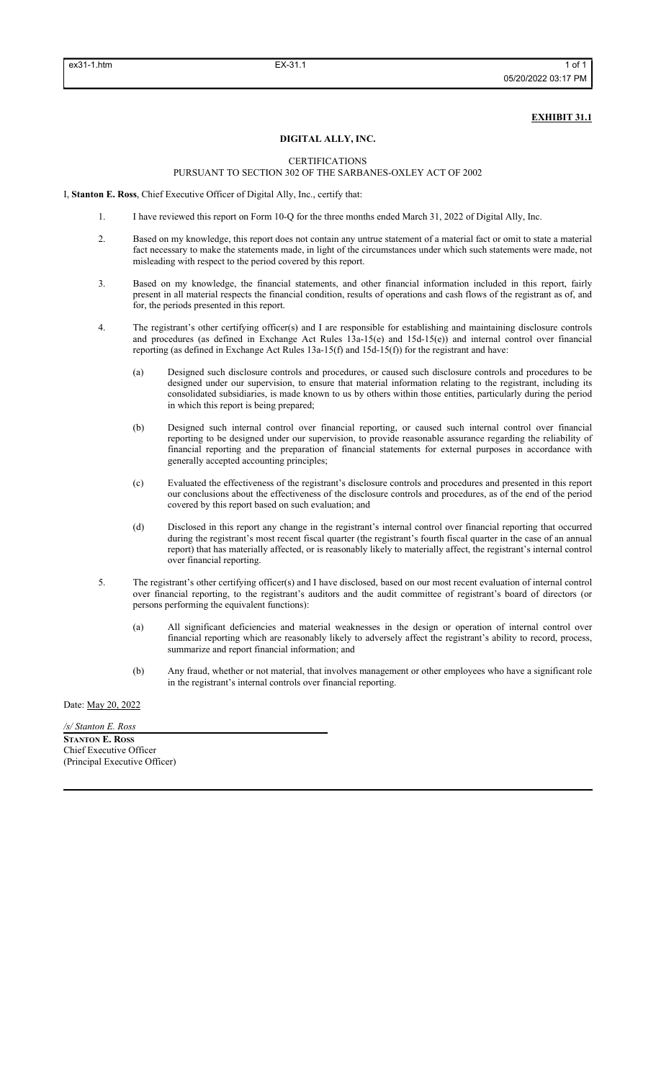## **EXHIBIT 31.1**

# **DIGITAL ALLY, INC.**

CERTIFICATIONS

## PURSUANT TO SECTION 302 OF THE SARBANES-OXLEY ACT OF 2002

I, **Stanton E. Ross**, Chief Executive Officer of Digital Ally, Inc., certify that:

- 1. I have reviewed this report on Form 10-Q for the three months ended March 31, 2022 of Digital Ally, Inc.
- 2. Based on my knowledge, this report does not contain any untrue statement of a material fact or omit to state a material fact necessary to make the statements made, in light of the circumstances under which such statements were made, not misleading with respect to the period covered by this report.
- 3. Based on my knowledge, the financial statements, and other financial information included in this report, fairly present in all material respects the financial condition, results of operations and cash flows of the registrant as of, and for, the periods presented in this report.
- 4. The registrant's other certifying officer(s) and I are responsible for establishing and maintaining disclosure controls and procedures (as defined in Exchange Act Rules 13a-15(e) and 15d-15(e)) and internal control over financial reporting (as defined in Exchange Act Rules 13a-15(f) and 15d-15(f)) for the registrant and have:
	- (a) Designed such disclosure controls and procedures, or caused such disclosure controls and procedures to be designed under our supervision, to ensure that material information relating to the registrant, including its consolidated subsidiaries, is made known to us by others within those entities, particularly during the period in which this report is being prepared;
	- (b) Designed such internal control over financial reporting, or caused such internal control over financial reporting to be designed under our supervision, to provide reasonable assurance regarding the reliability of financial reporting and the preparation of financial statements for external purposes in accordance with generally accepted accounting principles;
	- (c) Evaluated the effectiveness of the registrant's disclosure controls and procedures and presented in this report our conclusions about the effectiveness of the disclosure controls and procedures, as of the end of the period covered by this report based on such evaluation; and
	- (d) Disclosed in this report any change in the registrant's internal control over financial reporting that occurred during the registrant's most recent fiscal quarter (the registrant's fourth fiscal quarter in the case of an annual report) that has materially affected, or is reasonably likely to materially affect, the registrant's internal control over financial reporting.
- 5. The registrant's other certifying officer(s) and I have disclosed, based on our most recent evaluation of internal control over financial reporting, to the registrant's auditors and the audit committee of registrant's board of directors (or persons performing the equivalent functions):
	- (a) All significant deficiencies and material weaknesses in the design or operation of internal control over financial reporting which are reasonably likely to adversely affect the registrant's ability to record, process, summarize and report financial information; and
	- (b) Any fraud, whether or not material, that involves management or other employees who have a significant role in the registrant's internal controls over financial reporting.

Date: May 20, 2022

*/s/ Stanton E. Ross* **STANTON E. ROSS** Chief Executive Officer (Principal Executive Officer)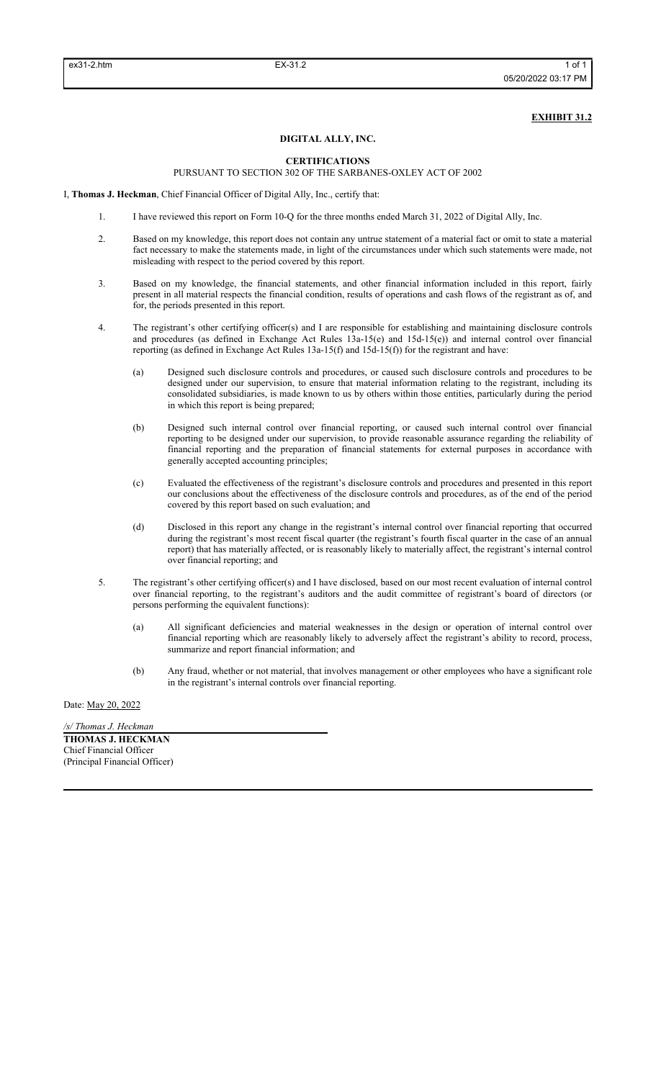## **EXHIBIT 31.2**

# **DIGITAL ALLY, INC.**

## **CERTIFICATIONS**

## PURSUANT TO SECTION 302 OF THE SARBANES-OXLEY ACT OF 2002

I, **Thomas J. Heckman**, Chief Financial Officer of Digital Ally, Inc., certify that:

- 1. I have reviewed this report on Form 10-Q for the three months ended March 31, 2022 of Digital Ally, Inc.
- 2. Based on my knowledge, this report does not contain any untrue statement of a material fact or omit to state a material fact necessary to make the statements made, in light of the circumstances under which such statements were made, not misleading with respect to the period covered by this report.
- 3. Based on my knowledge, the financial statements, and other financial information included in this report, fairly present in all material respects the financial condition, results of operations and cash flows of the registrant as of, and for, the periods presented in this report.
- 4. The registrant's other certifying officer(s) and I are responsible for establishing and maintaining disclosure controls and procedures (as defined in Exchange Act Rules 13a-15(e) and 15d-15(e)) and internal control over financial reporting (as defined in Exchange Act Rules 13a-15(f) and 15d-15(f)) for the registrant and have:
	- (a) Designed such disclosure controls and procedures, or caused such disclosure controls and procedures to be designed under our supervision, to ensure that material information relating to the registrant, including its consolidated subsidiaries, is made known to us by others within those entities, particularly during the period in which this report is being prepared;
	- (b) Designed such internal control over financial reporting, or caused such internal control over financial reporting to be designed under our supervision, to provide reasonable assurance regarding the reliability of financial reporting and the preparation of financial statements for external purposes in accordance with generally accepted accounting principles;
	- (c) Evaluated the effectiveness of the registrant's disclosure controls and procedures and presented in this report our conclusions about the effectiveness of the disclosure controls and procedures, as of the end of the period covered by this report based on such evaluation; and
	- (d) Disclosed in this report any change in the registrant's internal control over financial reporting that occurred during the registrant's most recent fiscal quarter (the registrant's fourth fiscal quarter in the case of an annual report) that has materially affected, or is reasonably likely to materially affect, the registrant's internal control over financial reporting; and
- 5. The registrant's other certifying officer(s) and I have disclosed, based on our most recent evaluation of internal control over financial reporting, to the registrant's auditors and the audit committee of registrant's board of directors (or persons performing the equivalent functions):
	- (a) All significant deficiencies and material weaknesses in the design or operation of internal control over financial reporting which are reasonably likely to adversely affect the registrant's ability to record, process, summarize and report financial information; and
	- (b) Any fraud, whether or not material, that involves management or other employees who have a significant role in the registrant's internal controls over financial reporting.

Date: May 20, 2022

*/s/ Thomas J. Heckman* **THOMAS J. HECKMAN** Chief Financial Officer (Principal Financial Officer)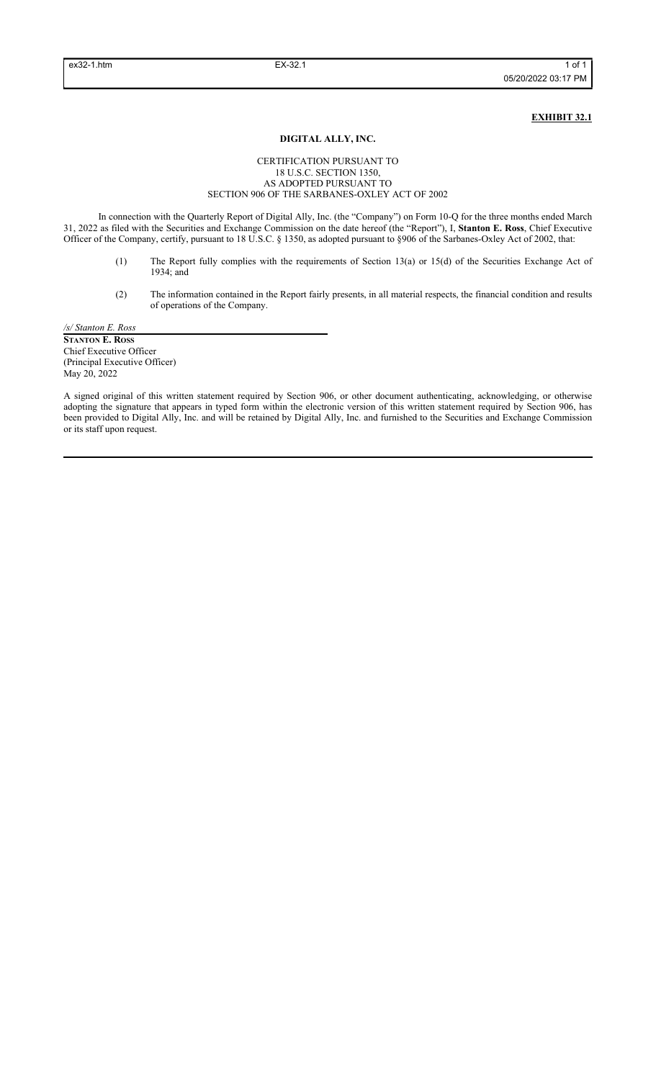## **EXHIBIT 32.1**

## **DIGITAL ALLY, INC.**

## CERTIFICATION PURSUANT TO 18 U.S.C. SECTION 1350, AS ADOPTED PURSUANT TO SECTION 906 OF THE SARBANES-OXLEY ACT OF 2002

In connection with the Quarterly Report of Digital Ally, Inc. (the "Company") on Form 10-Q for the three months ended March 31, 2022 as filed with the Securities and Exchange Commission on the date hereof (the "Report"), I, **Stanton E. Ross**, Chief Executive Officer of the Company, certify, pursuant to 18 U.S.C. § 1350, as adopted pursuant to §906 of the Sarbanes-Oxley Act of 2002, that:

- (1) The Report fully complies with the requirements of Section 13(a) or 15(d) of the Securities Exchange Act of 1934; and
- (2) The information contained in the Report fairly presents, in all material respects, the financial condition and results of operations of the Company.

*/s/ Stanton E. Ross* **STANTON E. ROSS** Chief Executive Officer (Principal Executive Officer) May 20, 2022

A signed original of this written statement required by Section 906, or other document authenticating, acknowledging, or otherwise adopting the signature that appears in typed form within the electronic version of this written statement required by Section 906, has been provided to Digital Ally, Inc. and will be retained by Digital Ally, Inc. and furnished to the Securities and Exchange Commission or its staff upon request.